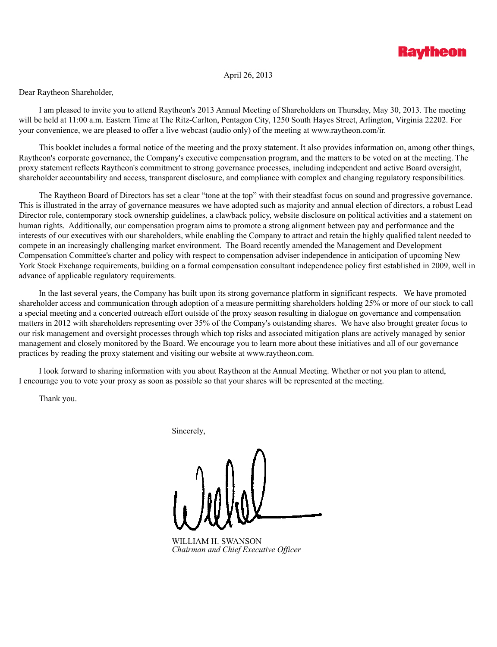

# April 26, 2013

Dear Raytheon Shareholder,

I am pleased to invite you to attend Raytheon's 2013 Annual Meeting of Shareholders on Thursday, May 30, 2013. The meeting will be held at 11:00 a.m. Eastern Time at The Ritz-Carlton, Pentagon City, 1250 South Hayes Street, Arlington, Virginia 22202. For your convenience, we are pleased to offer a live webcast (audio only) of the meeting at www.raytheon.com/ir.

This booklet includes a formal notice of the meeting and the proxy statement. It also provides information on, among other things, Raytheon's corporate governance, the Company's executive compensation program, and the matters to be voted on at the meeting. The proxy statement reflects Raytheon's commitment to strong governance processes, including independent and active Board oversight, shareholder accountability and access, transparent disclosure, and compliance with complex and changing regulatory responsibilities.

The Raytheon Board of Directors has set a clear "tone at the top" with their steadfast focus on sound and progressive governance. This is illustrated in the array of governance measures we have adopted such as majority and annual election of directors, a robust Lead Director role, contemporary stock ownership guidelines, a clawback policy, website disclosure on political activities and a statement on human rights. Additionally, our compensation program aims to promote a strong alignment between pay and performance and the interests of our executives with our shareholders, while enabling the Company to attract and retain the highly qualified talent needed to compete in an increasingly challenging market environment. The Board recently amended the Management and Development Compensation Committee's charter and policy with respect to compensation adviser independence in anticipation of upcoming New York Stock Exchange requirements, building on a formal compensation consultant independence policy first established in 2009, well in advance of applicable regulatory requirements.

In the last several years, the Company has built upon its strong governance platform in significant respects. We have promoted shareholder access and communication through adoption of a measure permitting shareholders holding 25% or more of our stock to call a special meeting and a concerted outreach effort outside of the proxy season resulting in dialogue on governance and compensation matters in 2012 with shareholders representing over 35% of the Company's outstanding shares. We have also brought greater focus to our risk management and oversight processes through which top risks and associated mitigation plans are actively managed by senior management and closely monitored by the Board. We encourage you to learn more about these initiatives and all of our governance practices by reading the proxy statement and visiting our website at www.raytheon.com.

I look forward to sharing information with you about Raytheon at the Annual Meeting. Whether or not you plan to attend, I encourage you to vote your proxy as soon as possible so that your shares will be represented at the meeting.

Thank you.

Sincerely,

WILLIAM H. SWANSON *Chairman and Chief Executive Officer*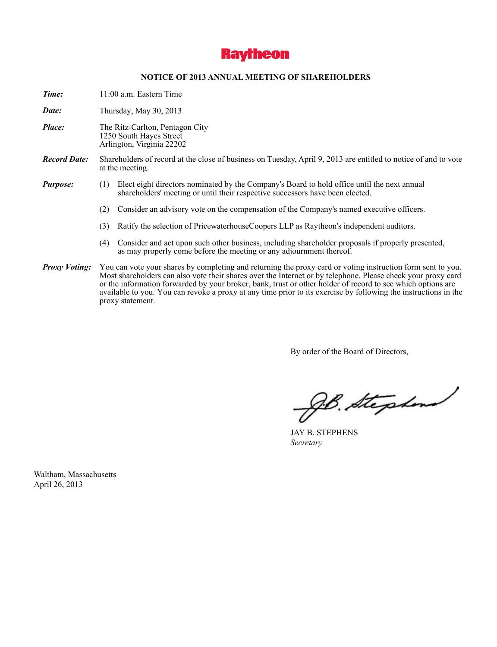

### **NOTICE OF 2013 ANNUAL MEETING OF SHAREHOLDERS**

*Time:* 11:00 a.m. Eastern Time

*Date:* Thursday, May 30, 2013

- *Place:* The Ritz-Carlton, Pentagon City 1250 South Hayes Street Arlington, Virginia 22202
- *Record Date:* Shareholders of record at the close of business on Tuesday, April 9, 2013 are entitled to notice of and to vote at the meeting.
- *Purpose:* (1) Elect eight directors nominated by the Company's Board to hold office until the next annual shareholders' meeting or until their respective successors have been elected.
	- (2) Consider an advisory vote on the compensation of the Company's named executive officers.
	- (3) Ratify the selection of PricewaterhouseCoopers LLP as Raytheon's independent auditors.
	- (4) Consider and act upon such other business, including shareholder proposals if properly presented, as may properly come before the meeting or any adjournment thereof.
- *Proxy Voting:* You can vote your shares by completing and returning the proxy card or voting instruction form sent to you. Most shareholders can also vote their shares over the Internet or by telephone. Please check your proxy card or the information forwarded by your broker, bank, trust or other holder of record to see which options are available to you. You can revoke a proxy at any time prior to its exercise by following the instructions in the proxy statement.

By order of the Board of Directors,

gb. Stephend

JAY B. STEPHENS *Secretary*

Waltham, Massachusetts April 26, 2013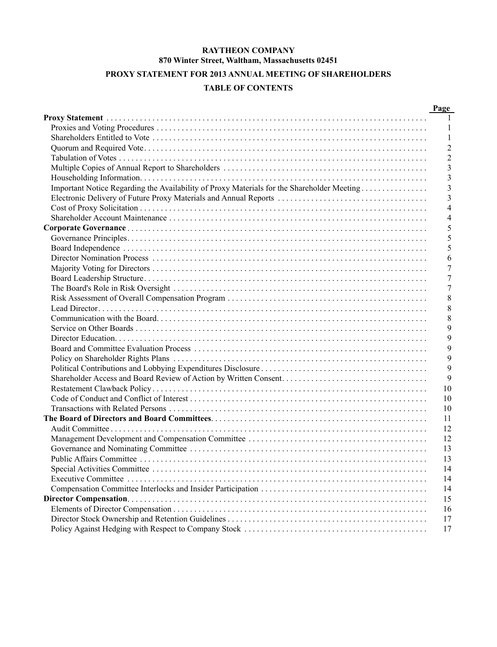# **RAYTHEON COMPANY 870 Winter Street, Waltham, Massachusetts 02451**

# **PROXY STATEMENT FOR 2013 ANNUAL MEETING OF SHAREHOLDERS**

# **TABLE OF CONTENTS**

|                                                                                            | Page           |
|--------------------------------------------------------------------------------------------|----------------|
|                                                                                            | $\mathbf{1}$   |
|                                                                                            | $\mathbf{1}$   |
|                                                                                            | -1             |
|                                                                                            | $\overline{2}$ |
|                                                                                            | $\overline{2}$ |
|                                                                                            | 3              |
|                                                                                            | 3              |
| Important Notice Regarding the Availability of Proxy Materials for the Shareholder Meeting | 3              |
|                                                                                            | 3              |
|                                                                                            | $\overline{4}$ |
|                                                                                            | 4              |
|                                                                                            | 5              |
|                                                                                            | 5              |
|                                                                                            | 5              |
|                                                                                            | 6              |
|                                                                                            | 7              |
|                                                                                            | 7              |
|                                                                                            | 7              |
|                                                                                            | 8              |
|                                                                                            | 8              |
|                                                                                            | 8              |
|                                                                                            | 9              |
|                                                                                            | 9              |
|                                                                                            | 9              |
|                                                                                            | 9              |
|                                                                                            | 9              |
|                                                                                            | 9              |
|                                                                                            | 10             |
|                                                                                            | 10             |
|                                                                                            | 10             |
|                                                                                            | 11             |
|                                                                                            | 12             |
|                                                                                            | 12             |
|                                                                                            | 13             |
|                                                                                            | 13             |
|                                                                                            | 14             |
|                                                                                            | 14             |
|                                                                                            | 14             |
|                                                                                            | 15             |
|                                                                                            | 16             |
|                                                                                            | 17             |
|                                                                                            | 17             |
|                                                                                            |                |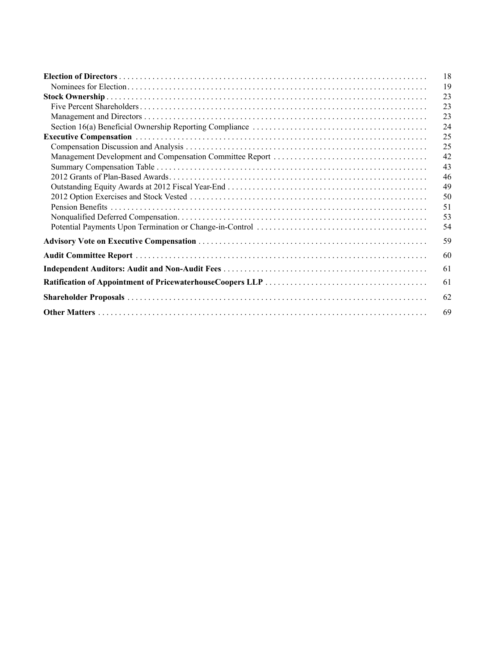| 18 |
|----|
| 19 |
| 23 |
| 23 |
| 23 |
| 24 |
| 25 |
| 25 |
| 42 |
| 43 |
| 46 |
| 49 |
| 50 |
| 51 |
| 53 |
| 54 |
| 59 |
| 60 |
| 61 |
| 61 |
| 62 |
| 69 |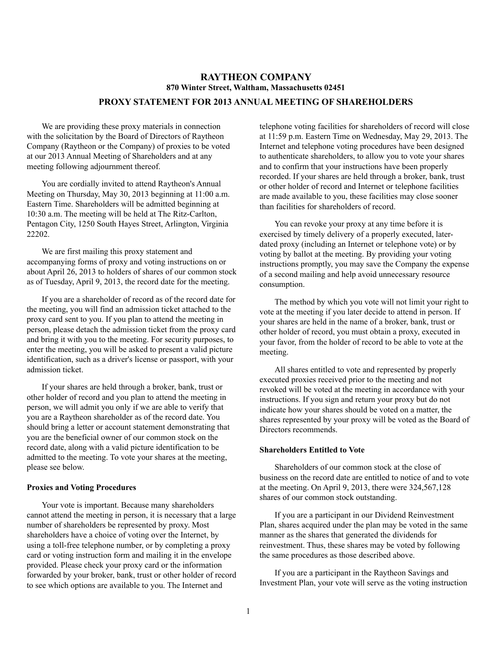# **RAYTHEON COMPANY 870 Winter Street, Waltham, Massachusetts 02451**

# **PROXY STATEMENT FOR 2013 ANNUAL MEETING OF SHAREHOLDERS**

We are providing these proxy materials in connection with the solicitation by the Board of Directors of Raytheon Company (Raytheon or the Company) of proxies to be voted at our 2013 Annual Meeting of Shareholders and at any meeting following adjournment thereof.

You are cordially invited to attend Raytheon's Annual Meeting on Thursday, May 30, 2013 beginning at 11:00 a.m. Eastern Time. Shareholders will be admitted beginning at 10:30 a.m. The meeting will be held at The Ritz-Carlton, Pentagon City, 1250 South Hayes Street, Arlington, Virginia 22202.

We are first mailing this proxy statement and accompanying forms of proxy and voting instructions on or about April 26, 2013 to holders of shares of our common stock as of Tuesday, April 9, 2013, the record date for the meeting.

If you are a shareholder of record as of the record date for the meeting, you will find an admission ticket attached to the proxy card sent to you. If you plan to attend the meeting in person, please detach the admission ticket from the proxy card and bring it with you to the meeting. For security purposes, to enter the meeting, you will be asked to present a valid picture identification, such as a driver's license or passport, with your admission ticket.

If your shares are held through a broker, bank, trust or other holder of record and you plan to attend the meeting in person, we will admit you only if we are able to verify that you are a Raytheon shareholder as of the record date. You should bring a letter or account statement demonstrating that you are the beneficial owner of our common stock on the record date, along with a valid picture identification to be admitted to the meeting. To vote your shares at the meeting, please see below.

#### **Proxies and Voting Procedures**

Your vote is important. Because many shareholders cannot attend the meeting in person, it is necessary that a large number of shareholders be represented by proxy. Most shareholders have a choice of voting over the Internet, by using a toll-free telephone number, or by completing a proxy card or voting instruction form and mailing it in the envelope provided. Please check your proxy card or the information forwarded by your broker, bank, trust or other holder of record to see which options are available to you. The Internet and

telephone voting facilities for shareholders of record will close at 11:59 p.m. Eastern Time on Wednesday, May 29, 2013. The Internet and telephone voting procedures have been designed to authenticate shareholders, to allow you to vote your shares and to confirm that your instructions have been properly recorded. If your shares are held through a broker, bank, trust or other holder of record and Internet or telephone facilities are made available to you, these facilities may close sooner than facilities for shareholders of record.

You can revoke your proxy at any time before it is exercised by timely delivery of a properly executed, laterdated proxy (including an Internet or telephone vote) or by voting by ballot at the meeting. By providing your voting instructions promptly, you may save the Company the expense of a second mailing and help avoid unnecessary resource consumption.

The method by which you vote will not limit your right to vote at the meeting if you later decide to attend in person. If your shares are held in the name of a broker, bank, trust or other holder of record, you must obtain a proxy, executed in your favor, from the holder of record to be able to vote at the meeting.

All shares entitled to vote and represented by properly executed proxies received prior to the meeting and not revoked will be voted at the meeting in accordance with your instructions. If you sign and return your proxy but do not indicate how your shares should be voted on a matter, the shares represented by your proxy will be voted as the Board of Directors recommends.

#### **Shareholders Entitled to Vote**

Shareholders of our common stock at the close of business on the record date are entitled to notice of and to vote at the meeting. On April 9, 2013, there were 324,567,128 shares of our common stock outstanding.

If you are a participant in our Dividend Reinvestment Plan, shares acquired under the plan may be voted in the same manner as the shares that generated the dividends for reinvestment. Thus, these shares may be voted by following the same procedures as those described above.

If you are a participant in the Raytheon Savings and Investment Plan, your vote will serve as the voting instruction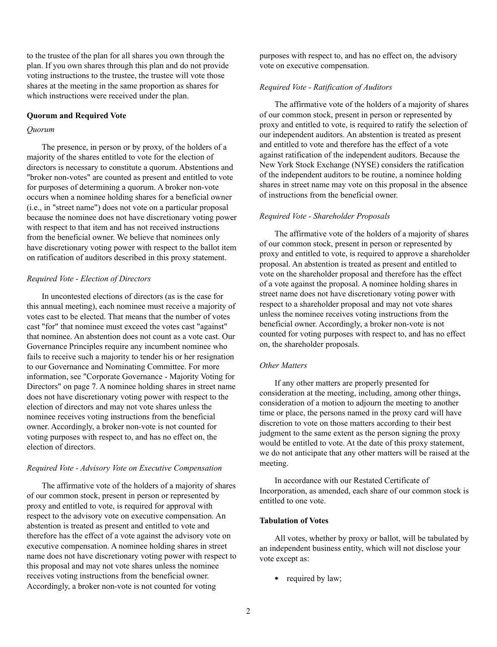to the trustee of the plan for all shares you own through the plan. If you own shares through this plan and do not provide voting instructions to the trustee, the trustee will vote those shares at the meeting in the same proportion as shares for which instructions were received under the plan.

### **Quorum and Required Vote**

#### *Quorum*

The presence, in person or by proxy, of the holders of a majority of the shares entitled to vote for the election of directors is necessary to constitute a quorum. Abstentions and "broker non-votes" are counted as present and entitled to vote for purposes of determining a quorum. A broker non-vote occurs when a nominee holding shares for a beneficial owner (i.e., in "street name") does not vote on a particular proposal because the nominee does not have discretionary voting power with respect to that item and has not received instructions from the beneficial owner. We believe that nominees only have discretionary voting power with respect to the ballot item on ratification of auditors described in this proxy statement.

#### *Required Vote - Election of Directors*

In uncontested elections of directors (as is the case for this annual meeting), each nominee must receive a majority of votes cast to be elected. That means that the number of votes cast "for" that nominee must exceed the votes cast "against" that nominee. An abstention does not count as a vote cast. Our Governance Principles require any incumbent nominee who fails to receive such a majority to tender his or her resignation to our Governance and Nominating Committee. For more information, see "Corporate Governance - Majority Voting for Directors" on page 7. A nominee holding shares in street name does not have discretionary voting power with respect to the election of directors and may not vote shares unless the nominee receives voting instructions from the beneficial owner. Accordingly, a broker non-vote is not counted for voting purposes with respect to, and has no effect on, the election of directors.

#### *Required Vote - Advisory Vote on Executive Compensation*

The affirmative vote of the holders of a majority of shares of our common stock, present in person or represented by proxy and entitled to vote, is required for approval with respect to the advisory vote on executive compensation. An abstention is treated as present and entitled to vote and therefore has the effect of a vote against the advisory vote on executive compensation. A nominee holding shares in street name does not have discretionary voting power with respect to this proposal and may not vote shares unless the nominee receives voting instructions from the beneficial owner. Accordingly, a broker non-vote is not counted for voting

purposes with respect to, and has no effect on, the advisory vote on executive compensation.

#### *Required Vote - Ratification of Auditors*

The affirmative vote of the holders of a majority of shares of our common stock, present in person or represented by proxy and entitled to vote, is required to ratify the selection of our independent auditors. An abstention is treated as present and entitled to vote and therefore has the effect of a vote against ratification of the independent auditors. Because the New York Stock Exchange (NYSE) considers the ratification of the independent auditors to be routine, a nominee holding shares in street name may vote on this proposal in the absence of instructions from the beneficial owner.

### *Required Vote - Shareholder Proposals*

The affirmative vote of the holders of a majority of shares of our common stock, present in person or represented by proxy and entitled to vote, is required to approve a shareholder proposal. An abstention is treated as present and entitled to vote on the shareholder proposal and therefore has the effect of a vote against the proposal. A nominee holding shares in street name does not have discretionary voting power with respect to a shareholder proposal and may not vote shares unless the nominee receives voting instructions from the beneficial owner. Accordingly, a broker non-vote is not counted for voting purposes with respect to, and has no effect on, the shareholder proposals.

#### *Other Matters*

If any other matters are properly presented for consideration at the meeting, including, among other things, consideration of a motion to adjourn the meeting to another time or place, the persons named in the proxy card will have discretion to vote on those matters according to their best judgment to the same extent as the person signing the proxy would be entitled to vote. At the date of this proxy statement, we do not anticipate that any other matters will be raised at the meeting.

In accordance with our Restated Certificate of Incorporation, as amended, each share of our common stock is entitled to one vote.

### **Tabulation of Votes**

All votes, whether by proxy or ballot, will be tabulated by an independent business entity, which will not disclose your vote except as:

• required by law;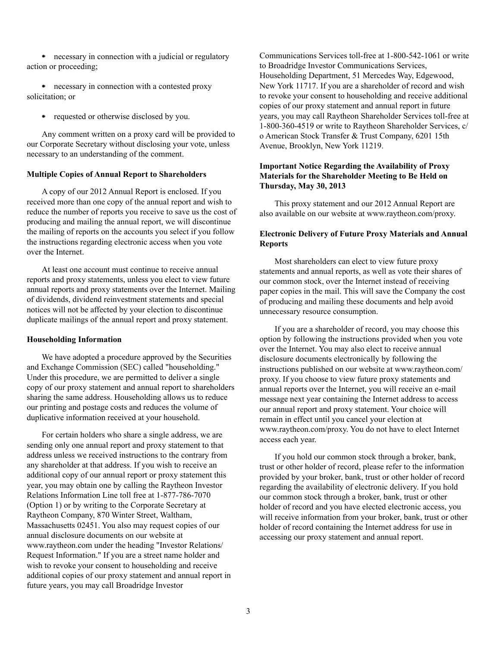necessary in connection with a judicial or regulatory action or proceeding;

necessary in connection with a contested proxy solicitation; or

• requested or otherwise disclosed by you.

Any comment written on a proxy card will be provided to our Corporate Secretary without disclosing your vote, unless necessary to an understanding of the comment.

### **Multiple Copies of Annual Report to Shareholders**

A copy of our 2012 Annual Report is enclosed. If you received more than one copy of the annual report and wish to reduce the number of reports you receive to save us the cost of producing and mailing the annual report, we will discontinue the mailing of reports on the accounts you select if you follow the instructions regarding electronic access when you vote over the Internet.

At least one account must continue to receive annual reports and proxy statements, unless you elect to view future annual reports and proxy statements over the Internet. Mailing of dividends, dividend reinvestment statements and special notices will not be affected by your election to discontinue duplicate mailings of the annual report and proxy statement.

### **Householding Information**

We have adopted a procedure approved by the Securities and Exchange Commission (SEC) called "householding." Under this procedure, we are permitted to deliver a single copy of our proxy statement and annual report to shareholders sharing the same address. Householding allows us to reduce our printing and postage costs and reduces the volume of duplicative information received at your household.

For certain holders who share a single address, we are sending only one annual report and proxy statement to that address unless we received instructions to the contrary from any shareholder at that address. If you wish to receive an additional copy of our annual report or proxy statement this year, you may obtain one by calling the Raytheon Investor Relations Information Line toll free at 1-877-786-7070 (Option 1) or by writing to the Corporate Secretary at Raytheon Company, 870 Winter Street, Waltham, Massachusetts 02451. You also may request copies of our annual disclosure documents on our website at www.raytheon.com under the heading "Investor Relations/ Request Information." If you are a street name holder and wish to revoke your consent to householding and receive additional copies of our proxy statement and annual report in future years, you may call Broadridge Investor

Communications Services toll-free at 1-800-542-1061 or write to Broadridge Investor Communications Services, Householding Department, 51 Mercedes Way, Edgewood, New York 11717. If you are a shareholder of record and wish to revoke your consent to householding and receive additional copies of our proxy statement and annual report in future years, you may call Raytheon Shareholder Services toll-free at 1-800-360-4519 or write to Raytheon Shareholder Services, c/ o American Stock Transfer & Trust Company, 6201 15th Avenue, Brooklyn, New York 11219.

# **Important Notice Regarding the Availability of Proxy Materials for the Shareholder Meeting to Be Held on Thursday, May 30, 2013**

This proxy statement and our 2012 Annual Report are also available on our website at www.raytheon.com/proxy.

# **Electronic Delivery of Future Proxy Materials and Annual Reports**

Most shareholders can elect to view future proxy statements and annual reports, as well as vote their shares of our common stock, over the Internet instead of receiving paper copies in the mail. This will save the Company the cost of producing and mailing these documents and help avoid unnecessary resource consumption.

If you are a shareholder of record, you may choose this option by following the instructions provided when you vote over the Internet. You may also elect to receive annual disclosure documents electronically by following the instructions published on our website at www.raytheon.com/ proxy. If you choose to view future proxy statements and annual reports over the Internet, you will receive an e-mail message next year containing the Internet address to access our annual report and proxy statement. Your choice will remain in effect until you cancel your election at www.raytheon.com/proxy. You do not have to elect Internet access each year.

If you hold our common stock through a broker, bank, trust or other holder of record, please refer to the information provided by your broker, bank, trust or other holder of record regarding the availability of electronic delivery. If you hold our common stock through a broker, bank, trust or other holder of record and you have elected electronic access, you will receive information from your broker, bank, trust or other holder of record containing the Internet address for use in accessing our proxy statement and annual report.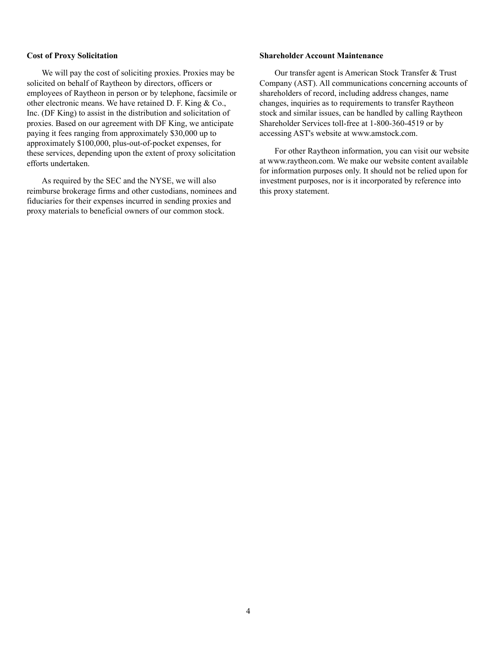#### **Cost of Proxy Solicitation**

We will pay the cost of soliciting proxies. Proxies may be solicited on behalf of Raytheon by directors, officers or employees of Raytheon in person or by telephone, facsimile or other electronic means. We have retained D. F. King & Co., Inc. (DF King) to assist in the distribution and solicitation of proxies. Based on our agreement with DF King, we anticipate paying it fees ranging from approximately \$30,000 up to approximately \$100,000, plus-out-of-pocket expenses, for these services, depending upon the extent of proxy solicitation efforts undertaken.

As required by the SEC and the NYSE, we will also reimburse brokerage firms and other custodians, nominees and fiduciaries for their expenses incurred in sending proxies and proxy materials to beneficial owners of our common stock.

#### **Shareholder Account Maintenance**

Our transfer agent is American Stock Transfer & Trust Company (AST). All communications concerning accounts of shareholders of record, including address changes, name changes, inquiries as to requirements to transfer Raytheon stock and similar issues, can be handled by calling Raytheon Shareholder Services toll-free at 1-800-360-4519 or by accessing AST's website at www.amstock.com.

For other Raytheon information, you can visit our website at www.raytheon.com. We make our website content available for information purposes only. It should not be relied upon for investment purposes, nor is it incorporated by reference into this proxy statement.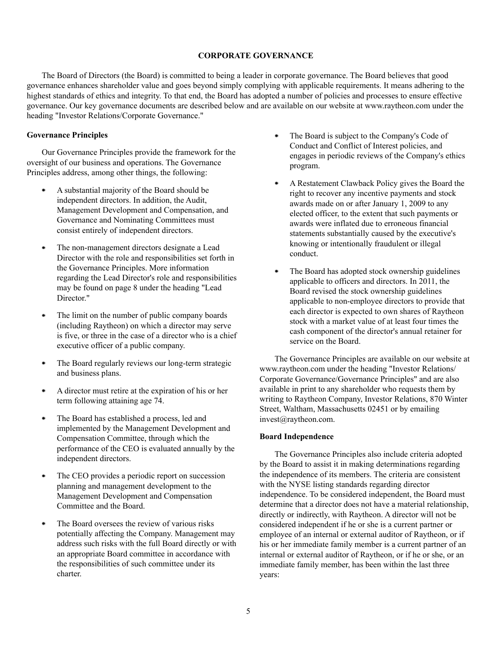#### **CORPORATE GOVERNANCE**

The Board of Directors (the Board) is committed to being a leader in corporate governance. The Board believes that good governance enhances shareholder value and goes beyond simply complying with applicable requirements. It means adhering to the highest standards of ethics and integrity. To that end, the Board has adopted a number of policies and processes to ensure effective governance. Our key governance documents are described below and are available on our website at www.raytheon.com under the heading "Investor Relations/Corporate Governance."

## **Governance Principles**

Our Governance Principles provide the framework for the oversight of our business and operations. The Governance Principles address, among other things, the following:

- ٠ A substantial majority of the Board should be independent directors. In addition, the Audit, Management Development and Compensation, and Governance and Nominating Committees must consist entirely of independent directors.
- The non-management directors designate a Lead Director with the role and responsibilities set forth in the Governance Principles. More information regarding the Lead Director's role and responsibilities may be found on page 8 under the heading "Lead Director."
- ٠ The limit on the number of public company boards (including Raytheon) on which a director may serve is five, or three in the case of a director who is a chief executive officer of a public company.
- The Board regularly reviews our long-term strategic . and business plans.
- A director must retire at the expiration of his or her term following attaining age 74.
- The Board has established a process, led and implemented by the Management Development and Compensation Committee, through which the performance of the CEO is evaluated annually by the independent directors.
- The CEO provides a periodic report on succession planning and management development to the Management Development and Compensation Committee and the Board.
- The Board oversees the review of various risks potentially affecting the Company. Management may address such risks with the full Board directly or with an appropriate Board committee in accordance with the responsibilities of such committee under its charter.
- ۰ The Board is subject to the Company's Code of Conduct and Conflict of Interest policies, and engages in periodic reviews of the Company's ethics program.
- $\bullet$ A Restatement Clawback Policy gives the Board the right to recover any incentive payments and stock awards made on or after January 1, 2009 to any elected officer, to the extent that such payments or awards were inflated due to erroneous financial statements substantially caused by the executive's knowing or intentionally fraudulent or illegal conduct.
- $\bullet$ The Board has adopted stock ownership guidelines applicable to officers and directors. In 2011, the Board revised the stock ownership guidelines applicable to non-employee directors to provide that each director is expected to own shares of Raytheon stock with a market value of at least four times the cash component of the director's annual retainer for service on the Board.

The Governance Principles are available on our website at www.raytheon.com under the heading "Investor Relations/ Corporate Governance/Governance Principles" and are also available in print to any shareholder who requests them by writing to Raytheon Company, Investor Relations, 870 Winter Street, Waltham, Massachusetts 02451 or by emailing invest@raytheon.com.

### **Board Independence**

The Governance Principles also include criteria adopted by the Board to assist it in making determinations regarding the independence of its members. The criteria are consistent with the NYSE listing standards regarding director independence. To be considered independent, the Board must determine that a director does not have a material relationship, directly or indirectly, with Raytheon. A director will not be considered independent if he or she is a current partner or employee of an internal or external auditor of Raytheon, or if his or her immediate family member is a current partner of an internal or external auditor of Raytheon, or if he or she, or an immediate family member, has been within the last three years: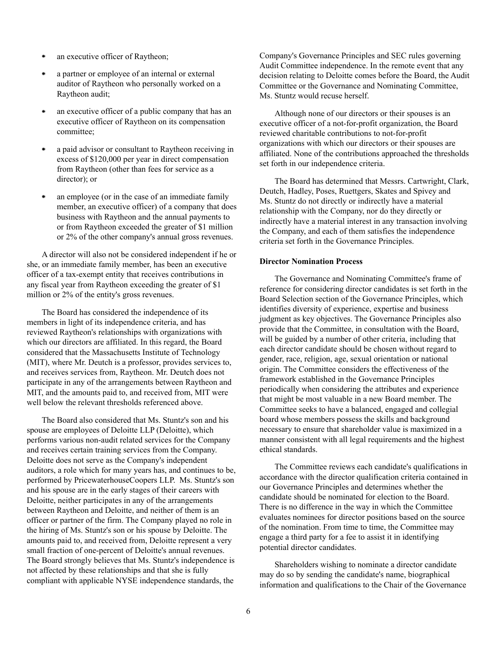- an executive officer of Raytheon;
- a partner or employee of an internal or external auditor of Raytheon who personally worked on a Raytheon audit;
- an executive officer of a public company that has an executive officer of Raytheon on its compensation committee;
- a paid advisor or consultant to Raytheon receiving in excess of \$120,000 per year in direct compensation from Raytheon (other than fees for service as a director); or
- an employee (or in the case of an immediate family member, an executive officer) of a company that does business with Raytheon and the annual payments to or from Raytheon exceeded the greater of \$1 million or 2% of the other company's annual gross revenues.

A director will also not be considered independent if he or she, or an immediate family member, has been an executive officer of a tax-exempt entity that receives contributions in any fiscal year from Raytheon exceeding the greater of \$1 million or 2% of the entity's gross revenues.

The Board has considered the independence of its members in light of its independence criteria, and has reviewed Raytheon's relationships with organizations with which our directors are affiliated. In this regard, the Board considered that the Massachusetts Institute of Technology (MIT), where Mr. Deutch is a professor, provides services to, and receives services from, Raytheon. Mr. Deutch does not participate in any of the arrangements between Raytheon and MIT, and the amounts paid to, and received from, MIT were well below the relevant thresholds referenced above

The Board also considered that Ms. Stuntz's son and his spouse are employees of Deloitte LLP (Deloitte), which performs various non-audit related services for the Company and receives certain training services from the Company. Deloitte does not serve as the Company's independent auditors, a role which for many years has, and continues to be, performed by PricewaterhouseCoopers LLP. Ms. Stuntz's son and his spouse are in the early stages of their careers with Deloitte, neither participates in any of the arrangements between Raytheon and Deloitte, and neither of them is an officer or partner of the firm. The Company played no role in the hiring of Ms. Stuntz's son or his spouse by Deloitte. The amounts paid to, and received from, Deloitte represent a very small fraction of one-percent of Deloitte's annual revenues. The Board strongly believes that Ms. Stuntz's independence is not affected by these relationships and that she is fully compliant with applicable NYSE independence standards, the

Company's Governance Principles and SEC rules governing Audit Committee independence. In the remote event that any decision relating to Deloitte comes before the Board, the Audit Committee or the Governance and Nominating Committee, Ms. Stuntz would recuse herself.

Although none of our directors or their spouses is an executive officer of a not-for-profit organization, the Board reviewed charitable contributions to not-for-profit organizations with which our directors or their spouses are affiliated. None of the contributions approached the thresholds set forth in our independence criteria.

The Board has determined that Messrs. Cartwright, Clark, Deutch, Hadley, Poses, Ruettgers, Skates and Spivey and Ms. Stuntz do not directly or indirectly have a material relationship with the Company, nor do they directly or indirectly have a material interest in any transaction involving the Company, and each of them satisfies the independence criteria set forth in the Governance Principles.

#### **Director Nomination Process**

The Governance and Nominating Committee's frame of reference for considering director candidates is set forth in the Board Selection section of the Governance Principles, which identifies diversity of experience, expertise and business judgment as key objectives. The Governance Principles also provide that the Committee, in consultation with the Board, will be guided by a number of other criteria, including that each director candidate should be chosen without regard to gender, race, religion, age, sexual orientation or national origin. The Committee considers the effectiveness of the framework established in the Governance Principles periodically when considering the attributes and experience that might be most valuable in a new Board member. The Committee seeks to have a balanced, engaged and collegial board whose members possess the skills and background necessary to ensure that shareholder value is maximized in a manner consistent with all legal requirements and the highest ethical standards.

The Committee reviews each candidate's qualifications in accordance with the director qualification criteria contained in our Governance Principles and determines whether the candidate should be nominated for election to the Board. There is no difference in the way in which the Committee evaluates nominees for director positions based on the source of the nomination. From time to time, the Committee may engage a third party for a fee to assist it in identifying potential director candidates.

Shareholders wishing to nominate a director candidate may do so by sending the candidate's name, biographical information and qualifications to the Chair of the Governance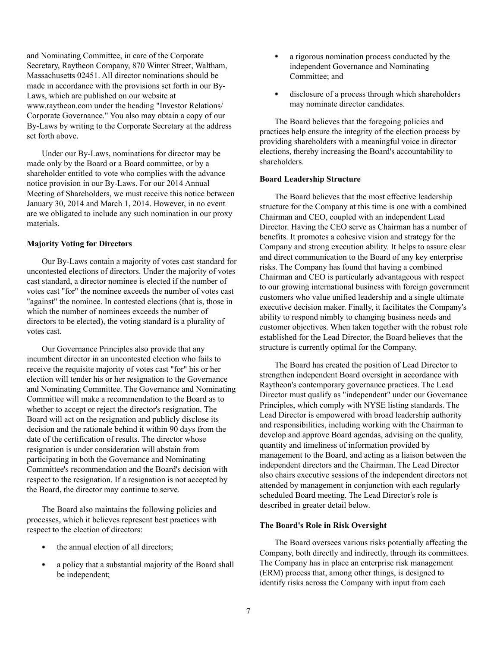and Nominating Committee, in care of the Corporate Secretary, Raytheon Company, 870 Winter Street, Waltham, Massachusetts 02451. All director nominations should be made in accordance with the provisions set forth in our By-Laws, which are published on our website at www.raytheon.com under the heading "Investor Relations/ Corporate Governance." You also may obtain a copy of our By-Laws by writing to the Corporate Secretary at the address set forth above.

Under our By-Laws, nominations for director may be made only by the Board or a Board committee, or by a shareholder entitled to vote who complies with the advance notice provision in our By-Laws. For our 2014 Annual Meeting of Shareholders, we must receive this notice between January 30, 2014 and March 1, 2014. However, in no event are we obligated to include any such nomination in our proxy materials.

#### **Majority Voting for Directors**

Our By-Laws contain a majority of votes cast standard for uncontested elections of directors. Under the majority of votes cast standard, a director nominee is elected if the number of votes cast "for" the nominee exceeds the number of votes cast "against" the nominee. In contested elections (that is, those in which the number of nominees exceeds the number of directors to be elected), the voting standard is a plurality of votes cast.

Our Governance Principles also provide that any incumbent director in an uncontested election who fails to receive the requisite majority of votes cast "for" his or her election will tender his or her resignation to the Governance and Nominating Committee. The Governance and Nominating Committee will make a recommendation to the Board as to whether to accept or reject the director's resignation. The Board will act on the resignation and publicly disclose its decision and the rationale behind it within 90 days from the date of the certification of results. The director whose resignation is under consideration will abstain from participating in both the Governance and Nominating Committee's recommendation and the Board's decision with respect to the resignation. If a resignation is not accepted by the Board, the director may continue to serve.

The Board also maintains the following policies and processes, which it believes represent best practices with respect to the election of directors:

- the annual election of all directors;
- a policy that a substantial majority of the Board shall be independent;
- ٠ a rigorous nomination process conducted by the independent Governance and Nominating Committee; and
- disclosure of a process through which shareholders  $\bullet$ may nominate director candidates.

The Board believes that the foregoing policies and practices help ensure the integrity of the election process by providing shareholders with a meaningful voice in director elections, thereby increasing the Board's accountability to shareholders.

#### **Board Leadership Structure**

The Board believes that the most effective leadership structure for the Company at this time is one with a combined Chairman and CEO, coupled with an independent Lead Director. Having the CEO serve as Chairman has a number of benefits. It promotes a cohesive vision and strategy for the Company and strong execution ability. It helps to assure clear and direct communication to the Board of any key enterprise risks. The Company has found that having a combined Chairman and CEO is particularly advantageous with respect to our growing international business with foreign government customers who value unified leadership and a single ultimate executive decision maker. Finally, it facilitates the Company's ability to respond nimbly to changing business needs and customer objectives. When taken together with the robust role established for the Lead Director, the Board believes that the structure is currently optimal for the Company.

The Board has created the position of Lead Director to strengthen independent Board oversight in accordance with Raytheon's contemporary governance practices. The Lead Director must qualify as "independent" under our Governance Principles, which comply with NYSE listing standards. The Lead Director is empowered with broad leadership authority and responsibilities, including working with the Chairman to develop and approve Board agendas, advising on the quality, quantity and timeliness of information provided by management to the Board, and acting as a liaison between the independent directors and the Chairman. The Lead Director also chairs executive sessions of the independent directors not attended by management in conjunction with each regularly scheduled Board meeting. The Lead Director's role is described in greater detail below.

### **The Board's Role in Risk Oversight**

The Board oversees various risks potentially affecting the Company, both directly and indirectly, through its committees. The Company has in place an enterprise risk management (ERM) process that, among other things, is designed to identify risks across the Company with input from each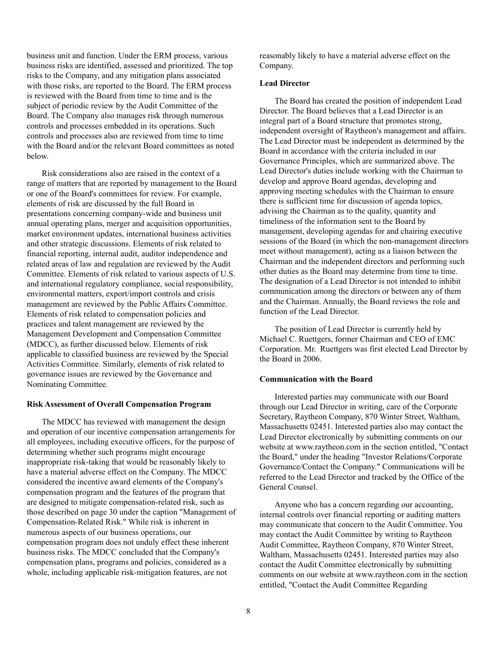business unit and function. Under the ERM process, various business risks are identified, assessed and prioritized. The top risks to the Company, and any mitigation plans associated with those risks, are reported to the Board. The ERM process is reviewed with the Board from time to time and is the subject of periodic review by the Audit Committee of the Board. The Company also manages risk through numerous controls and processes embedded in its operations. Such controls and processes also are reviewed from time to time with the Board and/or the relevant Board committees as noted below.

Risk considerations also are raised in the context of a range of matters that are reported by management to the Board or one of the Board's committees for review. For example, elements of risk are discussed by the full Board in presentations concerning company-wide and business unit annual operating plans, merger and acquisition opportunities, market environment updates, international business activities and other strategic discussions. Elements of risk related to financial reporting, internal audit, auditor independence and related areas of law and regulation are reviewed by the Audit Committee. Elements of risk related to various aspects of U.S. and international regulatory compliance, social responsibility, environmental matters, export/import controls and crisis management are reviewed by the Public Affairs Committee. Elements of risk related to compensation policies and practices and talent management are reviewed by the Management Development and Compensation Committee (MDCC), as further discussed below. Elements of risk applicable to classified business are reviewed by the Special Activities Committee. Similarly, elements of risk related to governance issues are reviewed by the Governance and Nominating Committee.

#### **Risk Assessment of Overall Compensation Program**

The MDCC has reviewed with management the design and operation of our incentive compensation arrangements for all employees, including executive officers, for the purpose of determining whether such programs might encourage inappropriate risk-taking that would be reasonably likely to have a material adverse effect on the Company. The MDCC considered the incentive award elements of the Company's compensation program and the features of the program that are designed to mitigate compensation-related risk, such as those described on page 30 under the caption "Management of Compensation-Related Risk." While risk is inherent in numerous aspects of our business operations, our compensation program does not unduly effect these inherent business risks. The MDCC concluded that the Company's compensation plans, programs and policies, considered as a whole, including applicable risk-mitigation features, are not

reasonably likely to have a material adverse effect on the Company.

### **Lead Director**

The Board has created the position of independent Lead Director. The Board believes that a Lead Director is an integral part of a Board structure that promotes strong, independent oversight of Raytheon's management and affairs. The Lead Director must be independent as determined by the Board in accordance with the criteria included in our Governance Principles, which are summarized above. The Lead Director's duties include working with the Chairman to develop and approve Board agendas, developing and approving meeting schedules with the Chairman to ensure there is sufficient time for discussion of agenda topics, advising the Chairman as to the quality, quantity and timeliness of the information sent to the Board by management, developing agendas for and chairing executive sessions of the Board (in which the non-management directors meet without management), acting as a liaison between the Chairman and the independent directors and performing such other duties as the Board may determine from time to time. The designation of a Lead Director is not intended to inhibit communication among the directors or between any of them and the Chairman. Annually, the Board reviews the role and function of the Lead Director.

The position of Lead Director is currently held by Michael C. Ruettgers, former Chairman and CEO of EMC Corporation. Mr. Ruettgers was first elected Lead Director by the Board in 2006.

#### **Communication with the Board**

Interested parties may communicate with our Board through our Lead Director in writing, care of the Corporate Secretary, Raytheon Company, 870 Winter Street, Waltham, Massachusetts 02451. Interested parties also may contact the Lead Director electronically by submitting comments on our website at www.raytheon.com in the section entitled, "Contact the Board," under the heading "Investor Relations/Corporate Governance/Contact the Company." Communications will be referred to the Lead Director and tracked by the Office of the General Counsel.

Anyone who has a concern regarding our accounting, internal controls over financial reporting or auditing matters may communicate that concern to the Audit Committee. You may contact the Audit Committee by writing to Raytheon Audit Committee, Raytheon Company, 870 Winter Street, Waltham, Massachusetts 02451. Interested parties may also contact the Audit Committee electronically by submitting comments on our website at www.raytheon.com in the section entitled, "Contact the Audit Committee Regarding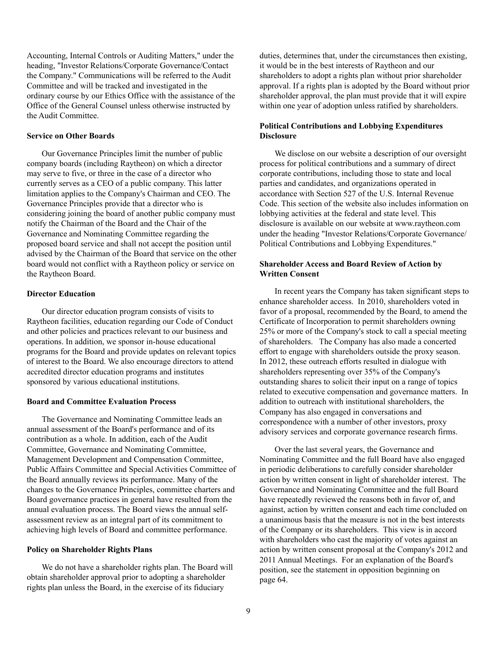Accounting, Internal Controls or Auditing Matters," under the heading, "Investor Relations/Corporate Governance/Contact the Company." Communications will be referred to the Audit Committee and will be tracked and investigated in the ordinary course by our Ethics Office with the assistance of the Office of the General Counsel unless otherwise instructed by the Audit Committee.

#### **Service on Other Boards**

Our Governance Principles limit the number of public company boards (including Raytheon) on which a director may serve to five, or three in the case of a director who currently serves as a CEO of a public company. This latter limitation applies to the Company's Chairman and CEO. The Governance Principles provide that a director who is considering joining the board of another public company must notify the Chairman of the Board and the Chair of the Governance and Nominating Committee regarding the proposed board service and shall not accept the position until advised by the Chairman of the Board that service on the other board would not conflict with a Raytheon policy or service on the Raytheon Board.

#### **Director Education**

Our director education program consists of visits to Raytheon facilities, education regarding our Code of Conduct and other policies and practices relevant to our business and operations. In addition, we sponsor in-house educational programs for the Board and provide updates on relevant topics of interest to the Board. We also encourage directors to attend accredited director education programs and institutes sponsored by various educational institutions.

#### **Board and Committee Evaluation Process**

The Governance and Nominating Committee leads an annual assessment of the Board's performance and of its contribution as a whole. In addition, each of the Audit Committee, Governance and Nominating Committee, Management Development and Compensation Committee, Public Affairs Committee and Special Activities Committee of the Board annually reviews its performance. Many of the changes to the Governance Principles, committee charters and Board governance practices in general have resulted from the annual evaluation process. The Board views the annual selfassessment review as an integral part of its commitment to achieving high levels of Board and committee performance.

#### **Policy on Shareholder Rights Plans**

We do not have a shareholder rights plan. The Board will obtain shareholder approval prior to adopting a shareholder rights plan unless the Board, in the exercise of its fiduciary

duties, determines that, under the circumstances then existing, it would be in the best interests of Raytheon and our shareholders to adopt a rights plan without prior shareholder approval. If a rights plan is adopted by the Board without prior shareholder approval, the plan must provide that it will expire within one year of adoption unless ratified by shareholders.

# **Political Contributions and Lobbying Expenditures Disclosure**

We disclose on our website a description of our oversight process for political contributions and a summary of direct corporate contributions, including those to state and local parties and candidates, and organizations operated in accordance with Section 527 of the U.S. Internal Revenue Code. This section of the website also includes information on lobbying activities at the federal and state level. This disclosure is available on our website at www.raytheon.com under the heading "Investor Relations/Corporate Governance/ Political Contributions and Lobbying Expenditures."

# **Shareholder Access and Board Review of Action by Written Consent**

In recent years the Company has taken significant steps to enhance shareholder access. In 2010, shareholders voted in favor of a proposal, recommended by the Board, to amend the Certificate of Incorporation to permit shareholders owning 25% or more of the Company's stock to call a special meeting of shareholders. The Company has also made a concerted effort to engage with shareholders outside the proxy season. In 2012, these outreach efforts resulted in dialogue with shareholders representing over 35% of the Company's outstanding shares to solicit their input on a range of topics related to executive compensation and governance matters. In addition to outreach with institutional shareholders, the Company has also engaged in conversations and correspondence with a number of other investors, proxy advisory services and corporate governance research firms.

Over the last several years, the Governance and Nominating Committee and the full Board have also engaged in periodic deliberations to carefully consider shareholder action by written consent in light of shareholder interest. The Governance and Nominating Committee and the full Board have repeatedly reviewed the reasons both in favor of, and against, action by written consent and each time concluded on a unanimous basis that the measure is not in the best interests of the Company or its shareholders. This view is in accord with shareholders who cast the majority of votes against an action by written consent proposal at the Company's 2012 and 2011 Annual Meetings. For an explanation of the Board's position, see the statement in opposition beginning on page 64.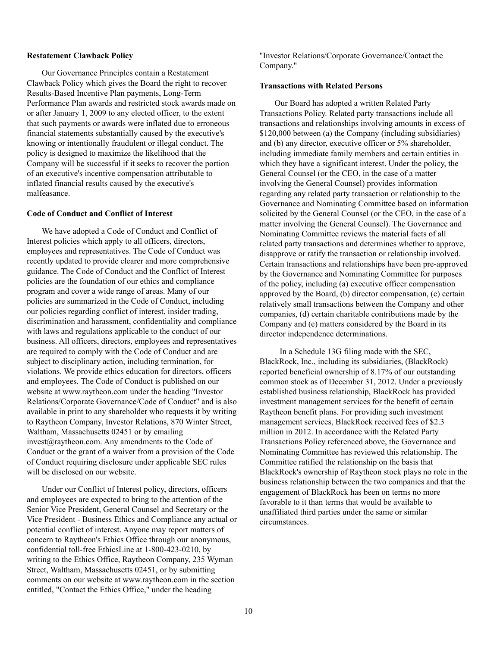#### **Restatement Clawback Policy**

Our Governance Principles contain a Restatement Clawback Policy which gives the Board the right to recover Results-Based Incentive Plan payments, Long-Term Performance Plan awards and restricted stock awards made on or after January 1, 2009 to any elected officer, to the extent that such payments or awards were inflated due to erroneous financial statements substantially caused by the executive's knowing or intentionally fraudulent or illegal conduct. The policy is designed to maximize the likelihood that the Company will be successful if it seeks to recover the portion of an executive's incentive compensation attributable to inflated financial results caused by the executive's malfeasance.

#### **Code of Conduct and Conflict of Interest**

We have adopted a Code of Conduct and Conflict of Interest policies which apply to all officers, directors, employees and representatives. The Code of Conduct was recently updated to provide clearer and more comprehensive guidance. The Code of Conduct and the Conflict of Interest policies are the foundation of our ethics and compliance program and cover a wide range of areas. Many of our policies are summarized in the Code of Conduct, including our policies regarding conflict of interest, insider trading, discrimination and harassment, confidentiality and compliance with laws and regulations applicable to the conduct of our business. All officers, directors, employees and representatives are required to comply with the Code of Conduct and are subject to disciplinary action, including termination, for violations. We provide ethics education for directors, officers and employees. The Code of Conduct is published on our website at www.raytheon.com under the heading "Investor Relations/Corporate Governance/Code of Conduct" and is also available in print to any shareholder who requests it by writing to Raytheon Company, Investor Relations, 870 Winter Street, Waltham, Massachusetts 02451 or by emailing invest@raytheon.com. Any amendments to the Code of Conduct or the grant of a waiver from a provision of the Code of Conduct requiring disclosure under applicable SEC rules will be disclosed on our website.

Under our Conflict of Interest policy, directors, officers and employees are expected to bring to the attention of the Senior Vice President, General Counsel and Secretary or the Vice President - Business Ethics and Compliance any actual or potential conflict of interest. Anyone may report matters of concern to Raytheon's Ethics Office through our anonymous, confidential toll-free EthicsLine at 1-800-423-0210, by writing to the Ethics Office, Raytheon Company, 235 Wyman Street, Waltham, Massachusetts 02451, or by submitting comments on our website at www.raytheon.com in the section entitled, "Contact the Ethics Office," under the heading

"Investor Relations/Corporate Governance/Contact the Company."

#### **Transactions with Related Persons**

Our Board has adopted a written Related Party Transactions Policy. Related party transactions include all transactions and relationships involving amounts in excess of \$120,000 between (a) the Company (including subsidiaries) and (b) any director, executive officer or 5% shareholder, including immediate family members and certain entities in which they have a significant interest. Under the policy, the General Counsel (or the CEO, in the case of a matter involving the General Counsel) provides information regarding any related party transaction or relationship to the Governance and Nominating Committee based on information solicited by the General Counsel (or the CEO, in the case of a matter involving the General Counsel). The Governance and Nominating Committee reviews the material facts of all related party transactions and determines whether to approve, disapprove or ratify the transaction or relationship involved. Certain transactions and relationships have been pre-approved by the Governance and Nominating Committee for purposes of the policy, including (a) executive officer compensation approved by the Board, (b) director compensation, (c) certain relatively small transactions between the Company and other companies, (d) certain charitable contributions made by the Company and (e) matters considered by the Board in its director independence determinations.

In a Schedule 13G filing made with the SEC, BlackRock, Inc., including its subsidiaries, (BlackRock) reported beneficial ownership of 8.17% of our outstanding common stock as of December 31, 2012. Under a previously established business relationship, BlackRock has provided investment management services for the benefit of certain Raytheon benefit plans. For providing such investment management services, BlackRock received fees of \$2.3 million in 2012. In accordance with the Related Party Transactions Policy referenced above, the Governance and Nominating Committee has reviewed this relationship. The Committee ratified the relationship on the basis that BlackRock's ownership of Raytheon stock plays no role in the business relationship between the two companies and that the engagement of BlackRock has been on terms no more favorable to it than terms that would be available to unaffiliated third parties under the same or similar circumstances.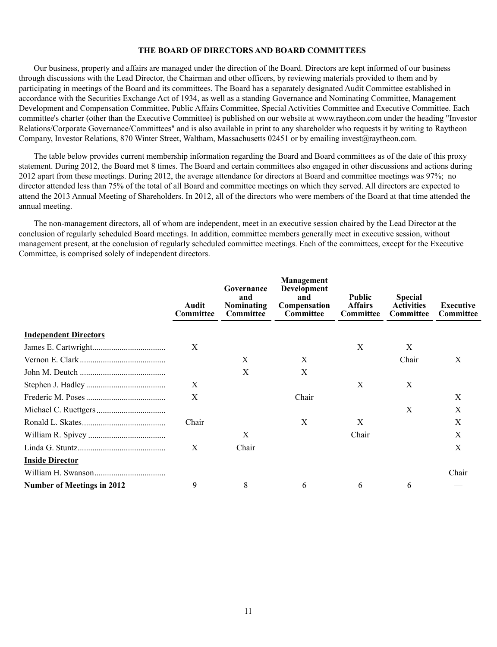#### **THE BOARD OF DIRECTORS AND BOARD COMMITTEES**

Our business, property and affairs are managed under the direction of the Board. Directors are kept informed of our business through discussions with the Lead Director, the Chairman and other officers, by reviewing materials provided to them and by participating in meetings of the Board and its committees. The Board has a separately designated Audit Committee established in accordance with the Securities Exchange Act of 1934, as well as a standing Governance and Nominating Committee, Management Development and Compensation Committee, Public Affairs Committee, Special Activities Committee and Executive Committee. Each committee's charter (other than the Executive Committee) is published on our website at www.raytheon.com under the heading "Investor Relations/Corporate Governance/Committees" and is also available in print to any shareholder who requests it by writing to Raytheon Company, Investor Relations, 870 Winter Street, Waltham, Massachusetts 02451 or by emailing invest@raytheon.com.

The table below provides current membership information regarding the Board and Board committees as of the date of this proxy statement. During 2012, the Board met 8 times. The Board and certain committees also engaged in other discussions and actions during 2012 apart from these meetings. During 2012, the average attendance for directors at Board and committee meetings was 97%; no director attended less than 75% of the total of all Board and committee meetings on which they served. All directors are expected to attend the 2013 Annual Meeting of Shareholders. In 2012, all of the directors who were members of the Board at that time attended the annual meeting.

The non-management directors, all of whom are independent, meet in an executive session chaired by the Lead Director at the conclusion of regularly scheduled Board meetings. In addition, committee members generally meet in executive session, without management present, at the conclusion of regularly scheduled committee meetings. Each of the committees, except for the Executive Committee, is comprised solely of independent directors.

|                                   | Audit<br>Committee | Governance<br>and<br>Nominating<br><b>Committee</b> | Management<br><b>Development</b><br>and<br>Compensation<br>Committee | <b>Public</b><br><b>Affairs</b><br>Committee | <b>Special</b><br><b>Activities</b><br>Committee | Executive<br>Committee |
|-----------------------------------|--------------------|-----------------------------------------------------|----------------------------------------------------------------------|----------------------------------------------|--------------------------------------------------|------------------------|
| <b>Independent Directors</b>      |                    |                                                     |                                                                      |                                              |                                                  |                        |
|                                   | X                  |                                                     |                                                                      | X                                            | Χ                                                |                        |
|                                   |                    | X                                                   | Χ                                                                    |                                              | Chair                                            | X                      |
|                                   |                    | X                                                   | X                                                                    |                                              |                                                  |                        |
|                                   | X                  |                                                     |                                                                      | X                                            | X                                                |                        |
|                                   | X                  |                                                     | Chair                                                                |                                              |                                                  | X                      |
|                                   |                    |                                                     |                                                                      |                                              | X                                                | X                      |
|                                   | Chair              |                                                     | Χ                                                                    | X                                            |                                                  | Χ                      |
|                                   |                    | X                                                   |                                                                      | Chair                                        |                                                  | Χ                      |
|                                   | X                  | Chair                                               |                                                                      |                                              |                                                  | X                      |
| <b>Inside Director</b>            |                    |                                                     |                                                                      |                                              |                                                  |                        |
|                                   |                    |                                                     |                                                                      |                                              |                                                  | Chair                  |
| <b>Number of Meetings in 2012</b> | 9                  | 8                                                   | 6                                                                    | 6                                            | 6                                                |                        |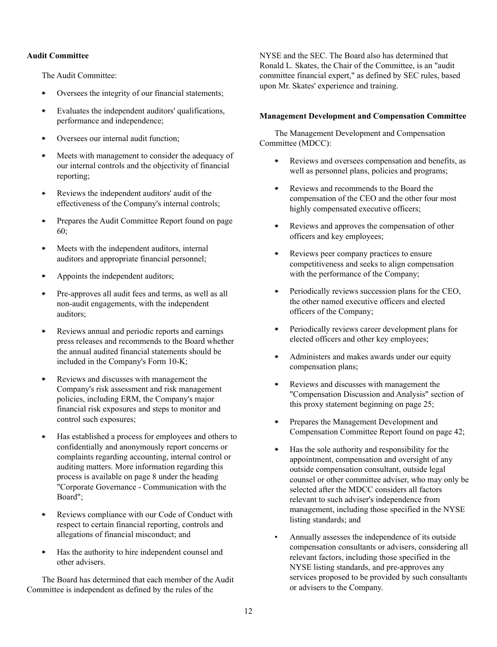### **Audit Committee**

The Audit Committee:

- Oversees the integrity of our financial statements;
- Evaluates the independent auditors' qualifications, performance and independence;
- Oversees our internal audit function;
- Meets with management to consider the adequacy of our internal controls and the objectivity of financial reporting;
- Reviews the independent auditors' audit of the  $\bullet$ effectiveness of the Company's internal controls;
- Prepares the Audit Committee Report found on page  $\bullet$ 60;
- Meets with the independent auditors, internal auditors and appropriate financial personnel;
- Appoints the independent auditors;
- Pre-approves all audit fees and terms, as well as all non-audit engagements, with the independent auditors;
- $\bullet$ Reviews annual and periodic reports and earnings press releases and recommends to the Board whether the annual audited financial statements should be included in the Company's Form 10-K;
- Reviews and discusses with management the Company's risk assessment and risk management policies, including ERM, the Company's major financial risk exposures and steps to monitor and control such exposures;
- Has established a process for employees and others to confidentially and anonymously report concerns or complaints regarding accounting, internal control or auditing matters. More information regarding this process is available on page 8 under the heading "Corporate Governance - Communication with the Board";
- Reviews compliance with our Code of Conduct with  $\bullet$ respect to certain financial reporting, controls and allegations of financial misconduct; and
- $\bullet$ Has the authority to hire independent counsel and other advisers.

The Board has determined that each member of the Audit Committee is independent as defined by the rules of the

NYSE and the SEC. The Board also has determined that Ronald L. Skates, the Chair of the Committee, is an "audit committee financial expert," as defined by SEC rules, based upon Mr. Skates' experience and training.

### **Management Development and Compensation Committee**

The Management Development and Compensation Committee (MDCC):

- $\bullet$ Reviews and oversees compensation and benefits, as well as personnel plans, policies and programs;
- $\bullet$ Reviews and recommends to the Board the compensation of the CEO and the other four most highly compensated executive officers;
- Reviews and approves the compensation of other  $\bullet$ officers and key employees;
- $\bullet$ Reviews peer company practices to ensure competitiveness and seeks to align compensation with the performance of the Company;
- Periodically reviews succession plans for the CEO,  $\bullet$ the other named executive officers and elected officers of the Company;
- Periodically reviews career development plans for . elected officers and other key employees;
- $\bullet$ Administers and makes awards under our equity compensation plans;
- $\bullet$ Reviews and discusses with management the "Compensation Discussion and Analysis" section of this proxy statement beginning on page 25;
- Prepares the Management Development and . Compensation Committee Report found on page 42;
- $\bullet$ Has the sole authority and responsibility for the appointment, compensation and oversight of any outside compensation consultant, outside legal counsel or other committee adviser, who may only be selected after the MDCC considers all factors relevant to such adviser's independence from management, including those specified in the NYSE listing standards; and
- Annually assesses the independence of its outside compensation consultants or advisers, considering all relevant factors, including those specified in the NYSE listing standards, and pre-approves any services proposed to be provided by such consultants or advisers to the Company.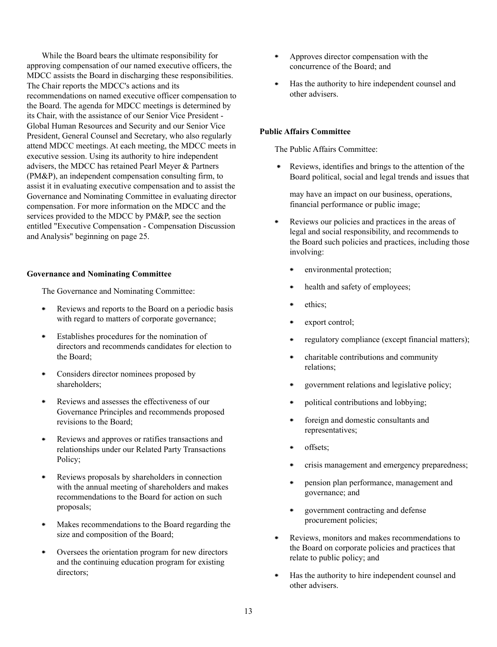While the Board bears the ultimate responsibility for approving compensation of our named executive officers, the MDCC assists the Board in discharging these responsibilities. The Chair reports the MDCC's actions and its recommendations on named executive officer compensation to the Board. The agenda for MDCC meetings is determined by its Chair, with the assistance of our Senior Vice President - Global Human Resources and Security and our Senior Vice President, General Counsel and Secretary, who also regularly attend MDCC meetings. At each meeting, the MDCC meets in executive session. Using its authority to hire independent advisers, the MDCC has retained Pearl Meyer & Partners (PM&P), an independent compensation consulting firm, to assist it in evaluating executive compensation and to assist the Governance and Nominating Committee in evaluating director compensation. For more information on the MDCC and the services provided to the MDCC by PM&P, see the section entitled "Executive Compensation - Compensation Discussion and Analysis" beginning on page 25.

### **Governance and Nominating Committee**

The Governance and Nominating Committee:

- Reviews and reports to the Board on a periodic basis with regard to matters of corporate governance;
- Establishes procedures for the nomination of directors and recommends candidates for election to the Board;
- Considers director nominees proposed by shareholders;
- Reviews and assesses the effectiveness of our Governance Principles and recommends proposed revisions to the Board;
- Reviews and approves or ratifies transactions and relationships under our Related Party Transactions Policy;
- Reviews proposals by shareholders in connection with the annual meeting of shareholders and makes recommendations to the Board for action on such proposals;
- Makes recommendations to the Board regarding the size and composition of the Board;
- Oversees the orientation program for new directors ٠ and the continuing education program for existing directors;
- ۰ Approves director compensation with the concurrence of the Board; and
- $\bullet$ Has the authority to hire independent counsel and other advisers.

### **Public Affairs Committee**

The Public Affairs Committee:

Reviews, identifies and brings to the attention of the Board political, social and legal trends and issues that

may have an impact on our business, operations, financial performance or public image;

- $\bullet$ Reviews our policies and practices in the areas of legal and social responsibility, and recommends to the Board such policies and practices, including those involving:
	- environmental protection;
	- health and safety of employees;
	- ethics;
	- export control;
	- regulatory compliance (except financial matters);
	- charitable contributions and community relations;
	- government relations and legislative policy;
	- political contributions and lobbying;
	- foreign and domestic consultants and representatives;
	- offsets;
	- crisis management and emergency preparedness;
	- pension plan performance, management and governance; and
	- government contracting and defense procurement policies;
- Reviews, monitors and makes recommendations to ٠ the Board on corporate policies and practices that relate to public policy; and
- Has the authority to hire independent counsel and  $\bullet$ other advisers.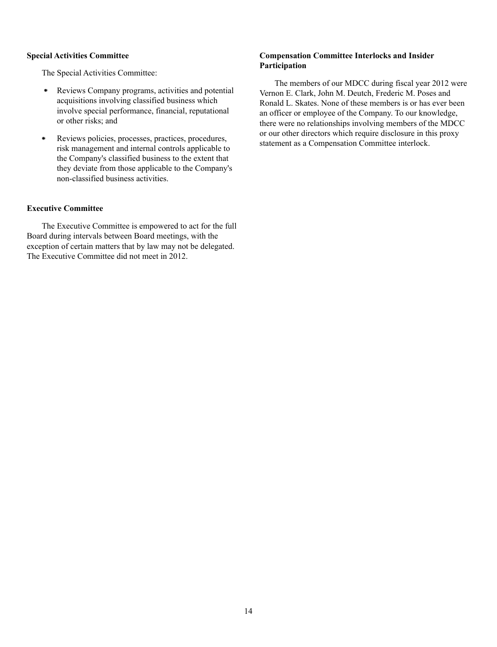### **Special Activities Committee**

The Special Activities Committee:

- Reviews Company programs, activities and potential ٠ acquisitions involving classified business which involve special performance, financial, reputational or other risks; and
- $\bullet$ Reviews policies, processes, practices, procedures, risk management and internal controls applicable to the Company's classified business to the extent that they deviate from those applicable to the Company's non-classified business activities.

# **Executive Committee**

The Executive Committee is empowered to act for the full Board during intervals between Board meetings, with the exception of certain matters that by law may not be delegated. The Executive Committee did not meet in 2012.

# **Compensation Committee Interlocks and Insider Participation**

The members of our MDCC during fiscal year 2012 were Vernon E. Clark, John M. Deutch, Frederic M. Poses and Ronald L. Skates. None of these members is or has ever been an officer or employee of the Company. To our knowledge, there were no relationships involving members of the MDCC or our other directors which require disclosure in this proxy statement as a Compensation Committee interlock.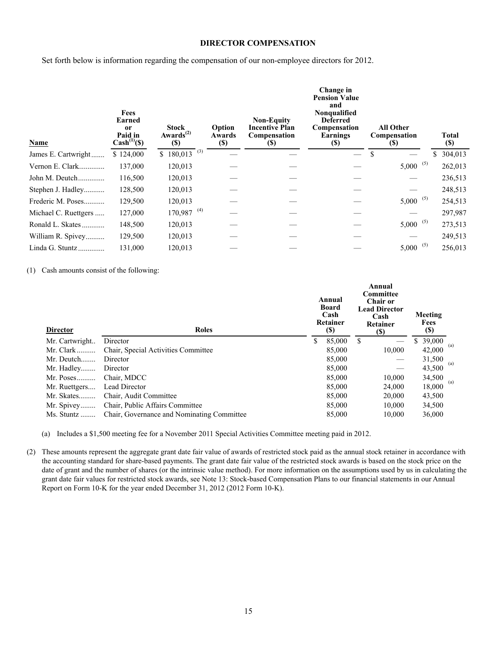# **DIRECTOR COMPENSATION**

Set forth below is information regarding the compensation of our non-employee directors for 2012.

| Name                 | <b>Fees</b><br>Earned<br>0r<br>Paid in<br>$Cash^{(1)}(\$)$ | <b>Stock</b><br>Awards $^{(2)}$<br><b>(\$)</b> | Option<br>Awards<br><b>(\$)</b> | <b>Non-Equity</b><br><b>Incentive Plan</b><br>Compensation<br>$\left( \mathbb{S}\right)$ | Change in<br><b>Pension Value</b><br>and<br>Nonqualified<br><b>Deferred</b><br>Compensation<br>Earnings<br><b>(\$)</b> | <b>All Other</b><br>Compensation<br>(S) | Total<br>$(\$)$ |
|----------------------|------------------------------------------------------------|------------------------------------------------|---------------------------------|------------------------------------------------------------------------------------------|------------------------------------------------------------------------------------------------------------------------|-----------------------------------------|-----------------|
| James E. Cartwright  | \$124,000                                                  | \$ $180,013$ <sup>(3)</sup>                    |                                 |                                                                                          |                                                                                                                        |                                         | \$.<br>304,013  |
| Vernon E. Clark      | 137,000                                                    | 120,013                                        |                                 |                                                                                          |                                                                                                                        | (5)<br>5,000                            | 262,013         |
| John M. Deutch       | 116,500                                                    | 120,013                                        |                                 |                                                                                          |                                                                                                                        |                                         | 236,513         |
| Stephen J. Hadley    | 128,500                                                    | 120,013                                        |                                 |                                                                                          |                                                                                                                        |                                         | 248,513         |
| Frederic M. Poses    | 129,500                                                    | 120,013                                        |                                 |                                                                                          |                                                                                                                        | (5)<br>5,000                            | 254,513         |
| Michael C. Ruettgers | 127,000                                                    | $170,987$ <sup>(4)</sup>                       |                                 |                                                                                          |                                                                                                                        |                                         | 297,987         |
| Ronald L. Skates     | 148,500                                                    | 120,013                                        |                                 |                                                                                          |                                                                                                                        | (5)<br>5,000                            | 273,513         |
| William R. Spivey    | 129,500                                                    | 120,013                                        |                                 |                                                                                          |                                                                                                                        |                                         | 249,513         |
| Linda G. Stuntz      | 131,000                                                    | 120,013                                        |                                 |                                                                                          |                                                                                                                        | (5)<br>5,000                            | 256,013         |

### (1) Cash amounts consist of the following:

| <b>Director</b> | Roles                                      | Annual<br><b>Board</b><br>Cash<br>Retainer<br>(S) | Annual<br><b>Committee</b><br><b>Chair or</b><br><b>Lead Director</b><br>Cash<br>Retainer<br><b>(\$)</b> | Meeting<br>Fees<br><b>(\$)</b> |     |
|-----------------|--------------------------------------------|---------------------------------------------------|----------------------------------------------------------------------------------------------------------|--------------------------------|-----|
| Mr. Cartwright  | Director                                   | \$<br>85,000                                      | \$                                                                                                       | 39,000                         | (a) |
| Mr. Clark       | Chair, Special Activities Committee        | 85,000                                            | 10.000                                                                                                   | 42,000                         |     |
| $Mr.$ Deutch    | Director                                   | 85,000                                            |                                                                                                          | 31,500                         | (a) |
| Mr. Hadley      | Director                                   | 85,000                                            |                                                                                                          | 43,500                         |     |
| $Mr. Poses$     | Chair, MDCC                                | 85,000                                            | 10,000                                                                                                   | 34,500                         | (a) |
| Mr. Ruettgers   | Lead Director                              | 85,000                                            | 24,000                                                                                                   | 18,000                         |     |
| Mr. Skates      | Chair, Audit Committee                     | 85,000                                            | 20,000                                                                                                   | 43,500                         |     |
| Mr. Spivey      | Chair, Public Affairs Committee            | 85,000                                            | 10.000                                                                                                   | 34,500                         |     |
| $Ms.$ Stuntz    | Chair, Governance and Nominating Committee | 85,000                                            | 10.000                                                                                                   | 36,000                         |     |

(a) Includes a \$1,500 meeting fee for a November 2011 Special Activities Committee meeting paid in 2012.

(2) These amounts represent the aggregate grant date fair value of awards of restricted stock paid as the annual stock retainer in accordance with the accounting standard for share-based payments. The grant date fair value of the restricted stock awards is based on the stock price on the date of grant and the number of shares (or the intrinsic value method). For more information on the assumptions used by us in calculating the grant date fair values for restricted stock awards, see Note 13: Stock-based Compensation Plans to our financial statements in our Annual Report on Form 10-K for the year ended December 31, 2012 (2012 Form 10-K).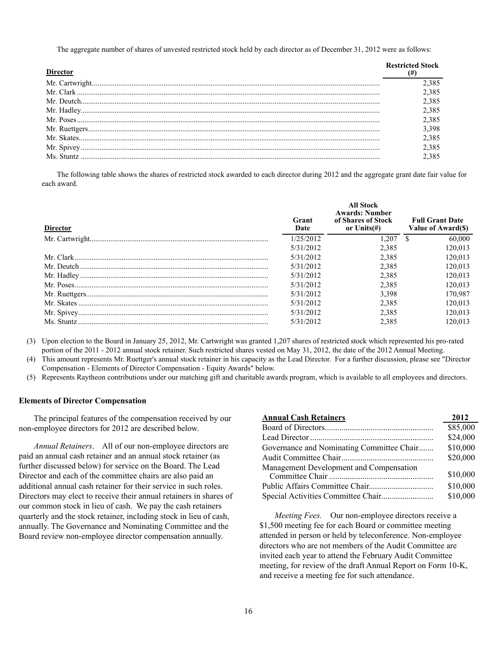The aggregate number of shares of unvested restricted stock held by each director as of December 31, 2012 were as follows:

| Director | <b>Restricted Stock</b> |
|----------|-------------------------|
|          | .385                    |
|          | .385                    |
|          | 2.385                   |
|          | 2.385                   |
|          | 2.385                   |
|          | 3.398                   |
|          | 2.385                   |
|          | 2.385                   |
|          | 2,385                   |

The following table shows the shares of restricted stock awarded to each director during 2012 and the aggregate grant date fair value for each award.

| <b>Director</b> | Grant<br>Date | <b>All Stock</b><br><b>Awards: Number</b><br>of Shares of Stock<br>or Units $(\#)$ | <b>Full Grant Date</b><br>Value of Award(\$) |
|-----------------|---------------|------------------------------------------------------------------------------------|----------------------------------------------|
|                 | 1/25/2012     | 1.207                                                                              | 60,000<br>£.                                 |
|                 | 5/31/2012     | 2,385                                                                              | 120.013                                      |
|                 | 5/31/2012     | 2.385                                                                              | 120.013                                      |
|                 | 5/31/2012     | 2,385                                                                              | 120.013                                      |
|                 | 5/31/2012     | 2.385                                                                              | 120.013                                      |
|                 | 5/31/2012     | 2,385                                                                              | 120.013                                      |
|                 | 5/31/2012     | 3.398                                                                              | 170.987                                      |
|                 | 5/31/2012     | 2.385                                                                              | 120.013                                      |
|                 | 5/31/2012     | 2,385                                                                              | 120,013                                      |
|                 | 5/31/2012     | 2.385                                                                              | 120.013                                      |

(3) Upon election to the Board in January 25, 2012, Mr. Cartwright was granted 1,207 shares of restricted stock which represented his pro-rated portion of the 2011 - 2012 annual stock retainer. Such restricted shares vested on May 31, 2012, the date of the 2012 Annual Meeting.

(4) This amount represents Mr. Ruettger's annual stock retainer in his capacity as the Lead Director. For a further discussion, please see "Director Compensation - Elements of Director Compensation - Equity Awards" below.

(5) Represents Raytheon contributions under our matching gift and charitable awards program, which is available to all employees and directors.

#### **Elements of Director Compensation**

The principal features of the compensation received by our non-employee directors for 2012 are described below.

*Annual Retainers*. All of our non-employee directors are paid an annual cash retainer and an annual stock retainer (as further discussed below) for service on the Board. The Lead Director and each of the committee chairs are also paid an additional annual cash retainer for their service in such roles. Directors may elect to receive their annual retainers in shares of our common stock in lieu of cash. We pay the cash retainers quarterly and the stock retainer, including stock in lieu of cash, annually. The Governance and Nominating Committee and the Board review non-employee director compensation annually.

| <b>Annual Cash Retainers</b>              | 2012     |
|-------------------------------------------|----------|
|                                           | \$85,000 |
|                                           | \$24,000 |
| Governance and Nominating Committee Chair | \$10,000 |
|                                           | \$20,000 |
| Management Development and Compensation   | \$10,000 |
|                                           | \$10,000 |
|                                           | \$10,000 |
|                                           |          |

*Meeting Fees.* Our non-employee directors receive a \$1,500 meeting fee for each Board or committee meeting attended in person or held by teleconference. Non-employee directors who are not members of the Audit Committee are invited each year to attend the February Audit Committee meeting, for review of the draft Annual Report on Form 10-K, and receive a meeting fee for such attendance.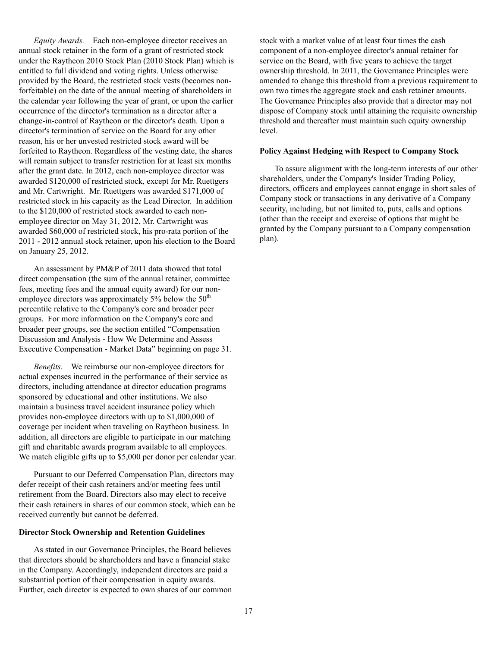*Equity Awards.* Each non-employee director receives an annual stock retainer in the form of a grant of restricted stock under the Raytheon 2010 Stock Plan (2010 Stock Plan) which is entitled to full dividend and voting rights. Unless otherwise provided by the Board, the restricted stock vests (becomes nonforfeitable) on the date of the annual meeting of shareholders in the calendar year following the year of grant, or upon the earlier occurrence of the director's termination as a director after a change-in-control of Raytheon or the director's death. Upon a director's termination of service on the Board for any other reason, his or her unvested restricted stock award will be forfeited to Raytheon. Regardless of the vesting date, the shares will remain subject to transfer restriction for at least six months after the grant date. In 2012, each non-employee director was awarded \$120,000 of restricted stock, except for Mr. Ruettgers and Mr. Cartwright. Mr. Ruettgers was awarded \$171,000 of restricted stock in his capacity as the Lead Director. In addition to the \$120,000 of restricted stock awarded to each nonemployee director on May 31, 2012, Mr. Cartwright was awarded \$60,000 of restricted stock, his pro-rata portion of the 2011 - 2012 annual stock retainer, upon his election to the Board on January 25, 2012.

An assessment by PM&P of 2011 data showed that total direct compensation (the sum of the annual retainer, committee fees, meeting fees and the annual equity award) for our nonemployee directors was approximately 5% below the  $50<sup>th</sup>$ percentile relative to the Company's core and broader peer groups. For more information on the Company's core and broader peer groups, see the section entitled "Compensation Discussion and Analysis - How We Determine and Assess Executive Compensation - Market Data" beginning on page 31.

*Benefits*. We reimburse our non-employee directors for actual expenses incurred in the performance of their service as directors, including attendance at director education programs sponsored by educational and other institutions. We also maintain a business travel accident insurance policy which provides non-employee directors with up to \$1,000,000 of coverage per incident when traveling on Raytheon business. In addition, all directors are eligible to participate in our matching gift and charitable awards program available to all employees. We match eligible gifts up to \$5,000 per donor per calendar year.

Pursuant to our Deferred Compensation Plan, directors may defer receipt of their cash retainers and/or meeting fees until retirement from the Board. Directors also may elect to receive their cash retainers in shares of our common stock, which can be received currently but cannot be deferred.

### **Director Stock Ownership and Retention Guidelines**

As stated in our Governance Principles, the Board believes that directors should be shareholders and have a financial stake in the Company. Accordingly, independent directors are paid a substantial portion of their compensation in equity awards. Further, each director is expected to own shares of our common stock with a market value of at least four times the cash component of a non-employee director's annual retainer for service on the Board, with five years to achieve the target ownership threshold. In 2011, the Governance Principles were amended to change this threshold from a previous requirement to own two times the aggregate stock and cash retainer amounts. The Governance Principles also provide that a director may not dispose of Company stock until attaining the requisite ownership threshold and thereafter must maintain such equity ownership level.

#### **Policy Against Hedging with Respect to Company Stock**

To assure alignment with the long-term interests of our other shareholders, under the Company's Insider Trading Policy, directors, officers and employees cannot engage in short sales of Company stock or transactions in any derivative of a Company security, including, but not limited to, puts, calls and options (other than the receipt and exercise of options that might be granted by the Company pursuant to a Company compensation plan).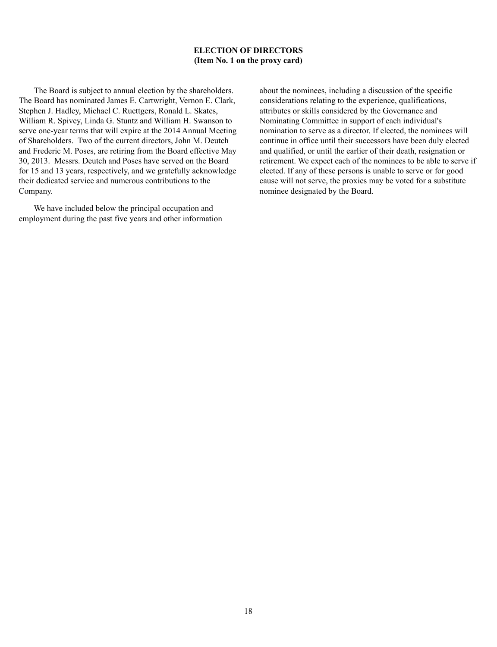# **ELECTION OF DIRECTORS (Item No. 1 on the proxy card)**

The Board is subject to annual election by the shareholders. The Board has nominated James E. Cartwright, Vernon E. Clark, Stephen J. Hadley, Michael C. Ruettgers, Ronald L. Skates, William R. Spivey, Linda G. Stuntz and William H. Swanson to serve one-year terms that will expire at the 2014 Annual Meeting of Shareholders. Two of the current directors, John M. Deutch and Frederic M. Poses, are retiring from the Board effective May 30, 2013. Messrs. Deutch and Poses have served on the Board for 15 and 13 years, respectively, and we gratefully acknowledge their dedicated service and numerous contributions to the Company.

We have included below the principal occupation and employment during the past five years and other information about the nominees, including a discussion of the specific considerations relating to the experience, qualifications, attributes or skills considered by the Governance and Nominating Committee in support of each individual's nomination to serve as a director. If elected, the nominees will continue in office until their successors have been duly elected and qualified, or until the earlier of their death, resignation or retirement. We expect each of the nominees to be able to serve if elected. If any of these persons is unable to serve or for good cause will not serve, the proxies may be voted for a substitute nominee designated by the Board.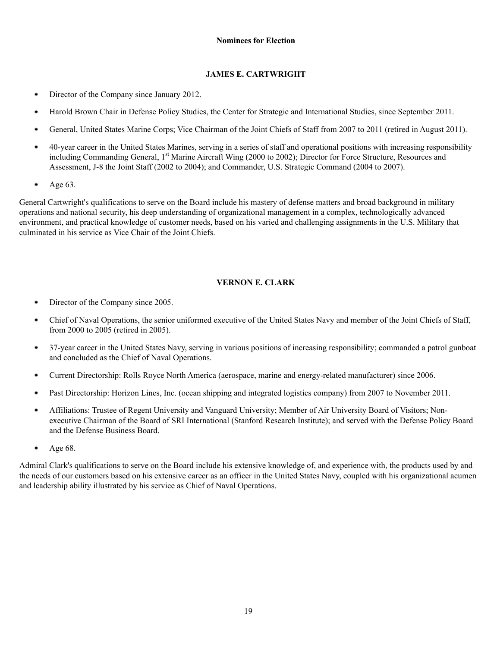### **Nominees for Election**

# **JAMES E. CARTWRIGHT**

- Director of the Company since January 2012. ٠
- Harold Brown Chair in Defense Policy Studies, the Center for Strategic and International Studies, since September 2011. ۰
- General, United States Marine Corps; Vice Chairman of the Joint Chiefs of Staff from 2007 to 2011 (retired in August 2011). ٠
- 40-year career in the United States Marines, serving in a series of staff and operational positions with increasing responsibility including Commanding General, 1<sup>st</sup> Marine Aircraft Wing (2000 to 2002); Director for Force Structure, Resources and Assessment, J-8 the Joint Staff (2002 to 2004); and Commander, U.S. Strategic Command (2004 to 2007).
- $\bullet$ Age 63.

General Cartwright's qualifications to serve on the Board include his mastery of defense matters and broad background in military operations and national security, his deep understanding of organizational management in a complex, technologically advanced environment, and practical knowledge of customer needs, based on his varied and challenging assignments in the U.S. Military that culminated in his service as Vice Chair of the Joint Chiefs.

# **VERNON E. CLARK**

- $\bullet$ Director of the Company since 2005.
- $\bullet$ Chief of Naval Operations, the senior uniformed executive of the United States Navy and member of the Joint Chiefs of Staff, from 2000 to 2005 (retired in 2005).
- 37-year career in the United States Navy, serving in various positions of increasing responsibility; commanded a patrol gunboat  $\bullet$ and concluded as the Chief of Naval Operations.
- ۰ Current Directorship: Rolls Royce North America (aerospace, marine and energy-related manufacturer) since 2006.
- Past Directorship: Horizon Lines, Inc. (ocean shipping and integrated logistics company) from 2007 to November 2011.  $\bullet$
- Affiliations: Trustee of Regent University and Vanguard University; Member of Air University Board of Visitors; Non- $\bullet$ executive Chairman of the Board of SRI International (Stanford Research Institute); and served with the Defense Policy Board and the Defense Business Board.
- ۰ Age 68.

Admiral Clark's qualifications to serve on the Board include his extensive knowledge of, and experience with, the products used by and the needs of our customers based on his extensive career as an officer in the United States Navy, coupled with his organizational acumen and leadership ability illustrated by his service as Chief of Naval Operations.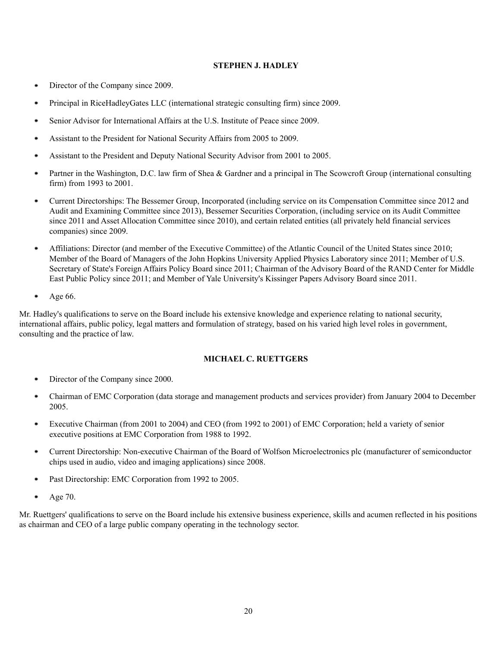# **STEPHEN J. HADLEY**

- Director of the Company since 2009. ٠
- $\bullet$ Principal in RiceHadleyGates LLC (international strategic consulting firm) since 2009.
- Senior Advisor for International Affairs at the U.S. Institute of Peace since 2009. ٠
- Assistant to the President for National Security Affairs from 2005 to 2009.
- Assistant to the President and Deputy National Security Advisor from 2001 to 2005. ٠
- Partner in the Washington, D.C. law firm of Shea & Gardner and a principal in The Scowcroft Group (international consulting  $\bullet$ firm) from 1993 to 2001.
- $\bullet$ Current Directorships: The Bessemer Group, Incorporated (including service on its Compensation Committee since 2012 and Audit and Examining Committee since 2013), Bessemer Securities Corporation, (including service on its Audit Committee since 2011 and Asset Allocation Committee since 2010), and certain related entities (all privately held financial services companies) since 2009.
- Affiliations: Director (and member of the Executive Committee) of the Atlantic Council of the United States since 2010; Member of the Board of Managers of the John Hopkins University Applied Physics Laboratory since 2011; Member of U.S. Secretary of State's Foreign Affairs Policy Board since 2011; Chairman of the Advisory Board of the RAND Center for Middle East Public Policy since 2011; and Member of Yale University's Kissinger Papers Advisory Board since 2011.
- $\bullet$ Age 66.

Mr. Hadley's qualifications to serve on the Board include his extensive knowledge and experience relating to national security, international affairs, public policy, legal matters and formulation of strategy, based on his varied high level roles in government, consulting and the practice of law.

### **MICHAEL C. RUETTGERS**

- ٠ Director of the Company since 2000.
- Chairman of EMC Corporation (data storage and management products and services provider) from January 2004 to December  $\bullet$ 2005.
- Executive Chairman (from 2001 to 2004) and CEO (from 1992 to 2001) of EMC Corporation; held a variety of senior  $\bullet$ executive positions at EMC Corporation from 1988 to 1992.
- $\bullet$ Current Directorship: Non-executive Chairman of the Board of Wolfson Microelectronics plc (manufacturer of semiconductor chips used in audio, video and imaging applications) since 2008.
- Past Directorship: EMC Corporation from 1992 to 2005. ۰
- . Age 70.

Mr. Ruettgers' qualifications to serve on the Board include his extensive business experience, skills and acumen reflected in his positions as chairman and CEO of a large public company operating in the technology sector.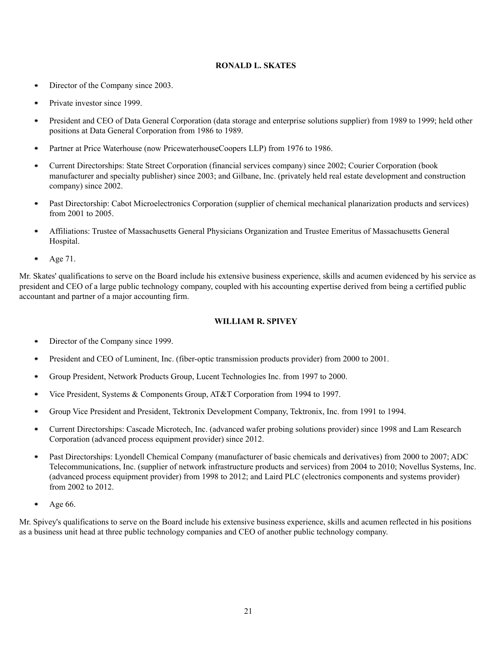# **RONALD L. SKATES**

- Director of the Company since 2003. ٠
- $\bullet$ Private investor since 1999.
- President and CEO of Data General Corporation (data storage and enterprise solutions supplier) from 1989 to 1999; held other ٠ positions at Data General Corporation from 1986 to 1989.
- Partner at Price Waterhouse (now PricewaterhouseCoopers LLP) from 1976 to 1986. ٠
- Current Directorships: State Street Corporation (financial services company) since 2002; Courier Corporation (book ٠ manufacturer and specialty publisher) since 2003; and Gilbane, Inc. (privately held real estate development and construction company) since 2002.
- $\bullet$ Past Directorship: Cabot Microelectronics Corporation (supplier of chemical mechanical planarization products and services) from 2001 to 2005.
- Affiliations: Trustee of Massachusetts General Physicians Organization and Trustee Emeritus of Massachusetts General ٠ Hospital.
- $\bullet$ Age 71.

Mr. Skates' qualifications to serve on the Board include his extensive business experience, skills and acumen evidenced by his service as president and CEO of a large public technology company, coupled with his accounting expertise derived from being a certified public accountant and partner of a major accounting firm.

# **WILLIAM R. SPIVEY**

- ۰ Director of the Company since 1999.
- President and CEO of Luminent, Inc. (fiber-optic transmission products provider) from 2000 to 2001.  $\bullet$
- $\bullet$ Group President, Network Products Group, Lucent Technologies Inc. from 1997 to 2000.
- Vice President, Systems & Components Group, AT&T Corporation from 1994 to 1997. ٠
- Group Vice President and President, Tektronix Development Company, Tektronix, Inc. from 1991 to 1994. ٠
- ۰ Current Directorships: Cascade Microtech, Inc. (advanced wafer probing solutions provider) since 1998 and Lam Research Corporation (advanced process equipment provider) since 2012.
- Past Directorships: Lyondell Chemical Company (manufacturer of basic chemicals and derivatives) from 2000 to 2007; ADC ٠ Telecommunications, Inc. (supplier of network infrastructure products and services) from 2004 to 2010; Novellus Systems, Inc. (advanced process equipment provider) from 1998 to 2012; and Laird PLC (electronics components and systems provider) from 2002 to 2012.
- ٠ Age 66.

Mr. Spivey's qualifications to serve on the Board include his extensive business experience, skills and acumen reflected in his positions as a business unit head at three public technology companies and CEO of another public technology company.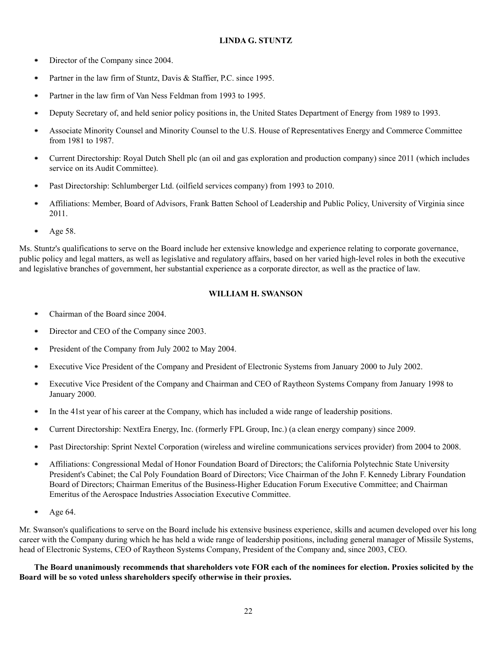# **LINDA G. STUNTZ**

- Director of the Company since 2004.  $\bullet$
- Partner in the law firm of Stuntz, Davis & Staffier, P.C. since 1995.  $\bullet$
- Partner in the law firm of Van Ness Feldman from 1993 to 1995.  $\bullet$
- Deputy Secretary of, and held senior policy positions in, the United States Department of Energy from 1989 to 1993. ٠
- Associate Minority Counsel and Minority Counsel to the U.S. House of Representatives Energy and Commerce Committee from 1981 to 1987.
- Current Directorship: Royal Dutch Shell plc (an oil and gas exploration and production company) since 2011 (which includes  $\bullet$ service on its Audit Committee).
- Past Directorship: Schlumberger Ltd. (oilfield services company) from 1993 to 2010.  $\bullet$
- $\bullet$ Affiliations: Member, Board of Advisors, Frank Batten School of Leadership and Public Policy, University of Virginia since 2011.
- $\bullet$ Age 58.

Ms. Stuntz's qualifications to serve on the Board include her extensive knowledge and experience relating to corporate governance, public policy and legal matters, as well as legislative and regulatory affairs, based on her varied high-level roles in both the executive and legislative branches of government, her substantial experience as a corporate director, as well as the practice of law.

# **WILLIAM H. SWANSON**

- Chairman of the Board since 2004. ٠
- Director and CEO of the Company since 2003. ۰
- President of the Company from July 2002 to May 2004. ٠
- Executive Vice President of the Company and President of Electronic Systems from January 2000 to July 2002. ٠
- ٠ Executive Vice President of the Company and Chairman and CEO of Raytheon Systems Company from January 1998 to January 2000.
- $\bullet$ In the 41st year of his career at the Company, which has included a wide range of leadership positions.
- Current Directorship: NextEra Energy, Inc. (formerly FPL Group, Inc.) (a clean energy company) since 2009. ۰
- Past Directorship: Sprint Nextel Corporation (wireless and wireline communications services provider) from 2004 to 2008.  $\bullet$
- Affiliations: Congressional Medal of Honor Foundation Board of Directors; the California Polytechnic State University  $\bullet$ President's Cabinet; the Cal Poly Foundation Board of Directors; Vice Chairman of the John F. Kennedy Library Foundation Board of Directors; Chairman Emeritus of the Business-Higher Education Forum Executive Committee; and Chairman Emeritus of the Aerospace Industries Association Executive Committee.
- $\bullet$ Age 64.

Mr. Swanson's qualifications to serve on the Board include his extensive business experience, skills and acumen developed over his long career with the Company during which he has held a wide range of leadership positions, including general manager of Missile Systems, head of Electronic Systems, CEO of Raytheon Systems Company, President of the Company and, since 2003, CEO.

**The Board unanimously recommends that shareholders vote FOR each of the nominees for election. Proxies solicited by the Board will be so voted unless shareholders specify otherwise in their proxies.**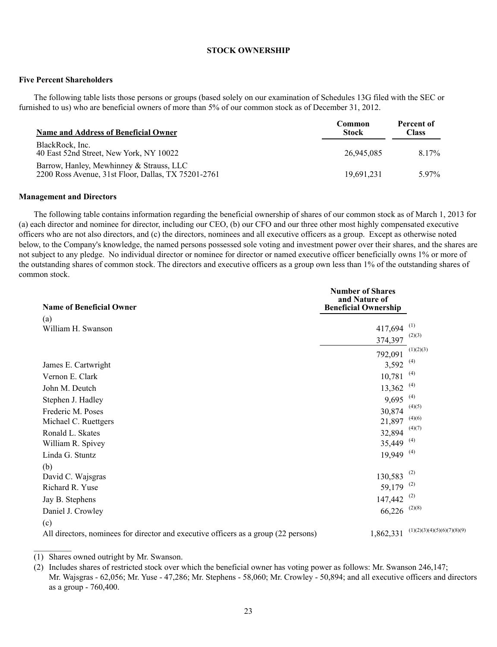#### **STOCK OWNERSHIP**

#### **Five Percent Shareholders**

The following table lists those persons or groups (based solely on our examination of Schedules 13G filed with the SEC or furnished to us) who are beneficial owners of more than 5% of our common stock as of December 31, 2012.

| <b>Name and Address of Beneficial Owner</b>                                                     | Common<br><b>Stock</b> | Percent of<br><b>Class</b> |
|-------------------------------------------------------------------------------------------------|------------------------|----------------------------|
| BlackRock, Inc.<br>40 East 52nd Street, New York, NY 10022                                      | 26.945.085             | 8.17%                      |
| Barrow, Hanley, Mewhinney & Strauss, LLC<br>2200 Ross Avenue, 31st Floor, Dallas, TX 75201-2761 | 19.691.231             | 5.97%                      |

### **Management and Directors**

The following table contains information regarding the beneficial ownership of shares of our common stock as of March 1, 2013 for (a) each director and nominee for director, including our CEO, (b) our CFO and our three other most highly compensated executive officers who are not also directors, and (c) the directors, nominees and all executive officers as a group. Except as otherwise noted below, to the Company's knowledge, the named persons possessed sole voting and investment power over their shares, and the shares are not subject to any pledge. No individual director or nominee for director or named executive officer beneficially owns 1% or more of the outstanding shares of common stock. The directors and executive officers as a group own less than 1% of the outstanding shares of common stock.

| (a)<br>William H. Swanson                                                           |           |                             |
|-------------------------------------------------------------------------------------|-----------|-----------------------------|
|                                                                                     |           | (1)                         |
|                                                                                     | 417,694   | (2)(3)                      |
|                                                                                     | 374,397   |                             |
|                                                                                     | 792,091   | (1)(2)(3)                   |
| James E. Cartwright                                                                 | 3,592     | (4)                         |
| Vernon E. Clark                                                                     | 10,781    | (4)                         |
| John M. Deutch                                                                      | 13,362    | (4)                         |
| Stephen J. Hadley                                                                   | 9,695     | (4)                         |
| Frederic M. Poses                                                                   | 30,874    | (4)(5)                      |
| Michael C. Ruettgers                                                                | 21,897    | (4)(6)                      |
| Ronald L. Skates                                                                    | 32,894    | (4)(7)                      |
| William R. Spivey                                                                   | 35,449    | (4)                         |
| Linda G. Stuntz                                                                     | 19,949    | (4)                         |
| (b)                                                                                 |           |                             |
| David C. Wajsgras                                                                   | 130,583   | (2)                         |
| Richard R. Yuse                                                                     | 59,179    | (2)                         |
| Jay B. Stephens                                                                     | 147,442   | (2)                         |
| Daniel J. Crowley                                                                   | 66,226    | (2)(8)                      |
| (c)                                                                                 |           |                             |
| All directors, nominees for director and executive officers as a group (22 persons) | 1,862,331 | (1)(2)(3)(4)(5)(6)(7)(8)(9) |

(1) Shares owned outright by Mr. Swanson.

<sup>(2)</sup> Includes shares of restricted stock over which the beneficial owner has voting power as follows: Mr. Swanson 246,147; Mr. Wajsgras - 62,056; Mr. Yuse - 47,286; Mr. Stephens - 58,060; Mr. Crowley - 50,894; and all executive officers and directors as a group - 760,400.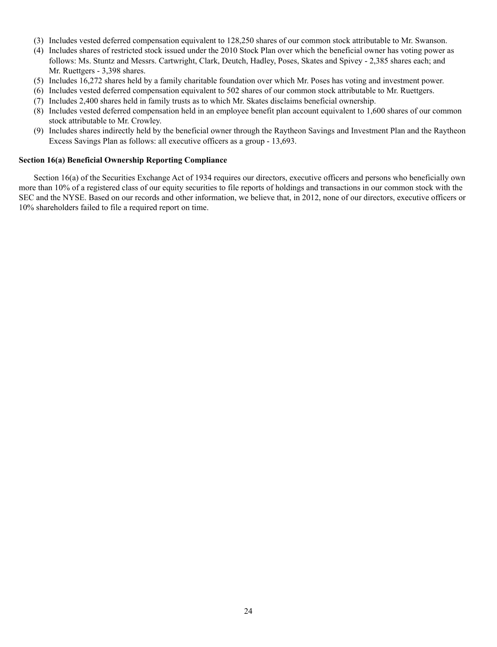- (3) Includes vested deferred compensation equivalent to 128,250 shares of our common stock attributable to Mr. Swanson.
- (4) Includes shares of restricted stock issued under the 2010 Stock Plan over which the beneficial owner has voting power as follows: Ms. Stuntz and Messrs. Cartwright, Clark, Deutch, Hadley, Poses, Skates and Spivey - 2,385 shares each; and Mr. Ruettgers - 3,398 shares.
- (5) Includes 16,272 shares held by a family charitable foundation over which Mr. Poses has voting and investment power.
- (6) Includes vested deferred compensation equivalent to 502 shares of our common stock attributable to Mr. Ruettgers.
- (7) Includes 2,400 shares held in family trusts as to which Mr. Skates disclaims beneficial ownership.
- (8) Includes vested deferred compensation held in an employee benefit plan account equivalent to 1,600 shares of our common stock attributable to Mr. Crowley.
- (9) Includes shares indirectly held by the beneficial owner through the Raytheon Savings and Investment Plan and the Raytheon Excess Savings Plan as follows: all executive officers as a group - 13,693.

### **Section 16(a) Beneficial Ownership Reporting Compliance**

Section 16(a) of the Securities Exchange Act of 1934 requires our directors, executive officers and persons who beneficially own more than 10% of a registered class of our equity securities to file reports of holdings and transactions in our common stock with the SEC and the NYSE. Based on our records and other information, we believe that, in 2012, none of our directors, executive officers or 10% shareholders failed to file a required report on time.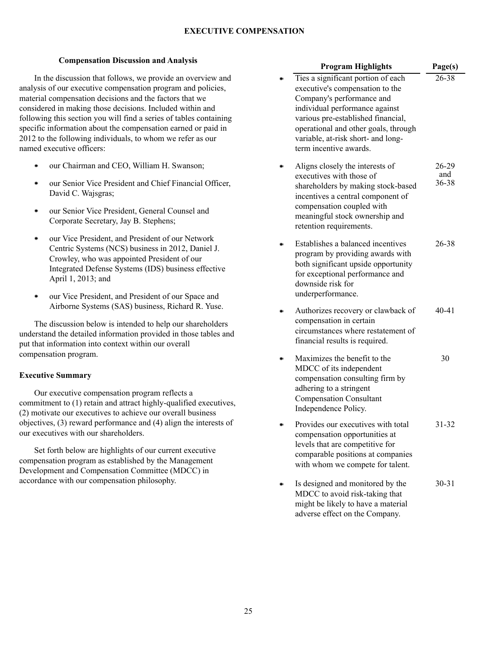# **EXECUTIVE COMPENSATION**

### **Compensation Discussion and Analysis**

In the discussion that follows, we provide an overview and analysis of our executive compensation program and policies, material compensation decisions and the factors that we considered in making those decisions. Included within and following this section you will find a series of tables containing specific information about the compensation earned or paid in 2012 to the following individuals, to whom we refer as our named executive officers:

- our Chairman and CEO, William H. Swanson;
- $\bullet$ our Senior Vice President and Chief Financial Officer, David C. Wajsgras;
- our Senior Vice President, General Counsel and ٠ Corporate Secretary, Jay B. Stephens;
- $\bullet$ our Vice President, and President of our Network Centric Systems (NCS) business in 2012, Daniel J. Crowley, who was appointed President of our Integrated Defense Systems (IDS) business effective April 1, 2013; and
- $\bullet$ our Vice President, and President of our Space and Airborne Systems (SAS) business, Richard R. Yuse.

The discussion below is intended to help our shareholders understand the detailed information provided in those tables and put that information into context within our overall compensation program.

### **Executive Summary**

Our executive compensation program reflects a commitment to (1) retain and attract highly-qualified executives, (2) motivate our executives to achieve our overall business objectives, (3) reward performance and (4) align the interests of our executives with our shareholders.

Set forth below are highlights of our current executive compensation program as established by the Management Development and Compensation Committee (MDCC) in accordance with our compensation philosophy.

| <b>Program Highlights</b>                                                                                                                                                                                                                                                          | Page(s)               |
|------------------------------------------------------------------------------------------------------------------------------------------------------------------------------------------------------------------------------------------------------------------------------------|-----------------------|
| Ties a significant portion of each<br>executive's compensation to the<br>Company's performance and<br>individual performance against<br>various pre-established financial,<br>operational and other goals, through<br>variable, at-risk short- and long-<br>term incentive awards. | 26-38                 |
| Aligns closely the interests of<br>executives with those of<br>shareholders by making stock-based<br>incentives a central component of<br>compensation coupled with<br>meaningful stock ownership and<br>retention requirements.                                                   | 26-29<br>and<br>36-38 |
| Establishes a balanced incentives<br>program by providing awards with<br>both significant upside opportunity<br>for exceptional performance and<br>downside risk for<br>underperformance.                                                                                          | 26-38                 |
| Authorizes recovery or clawback of<br>compensation in certain<br>circumstances where restatement of<br>financial results is required.                                                                                                                                              | 40-41                 |
| Maximizes the benefit to the<br>MDCC of its independent<br>compensation consulting firm by<br>adhering to a stringent<br><b>Compensation Consultant</b><br>Independence Policy.                                                                                                    | 30                    |
| Provides our executives with total<br>compensation opportunities at<br>levels that are competitive for<br>comparable positions at companies<br>with whom we compete for talent.                                                                                                    | 31-32                 |
| Is designed and monitored by the<br>MDCC to avoid risk-taking that<br>might be likely to have a material<br>adverse effect on the Company.                                                                                                                                         | $30 - 31$             |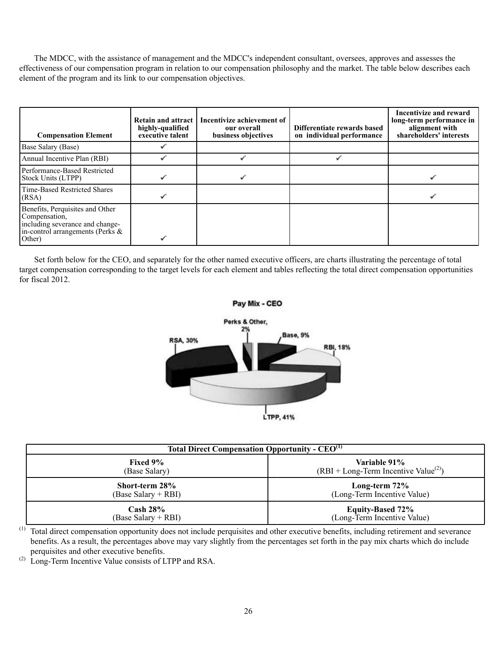The MDCC, with the assistance of management and the MDCC's independent consultant, oversees, approves and assesses the effectiveness of our compensation program in relation to our compensation philosophy and the market. The table below describes each element of the program and its link to our compensation objectives.

| <b>Compensation Element</b>                                                                                                          | Retain and attract 1<br>highly-qualified<br>executive talent | Incentivize achievement of<br>our overall<br>business objectives | Differentiate rewards based<br>on individual performance | Incentivize and reward<br>long-term performance in<br>alignment with<br>shareholders' interests |
|--------------------------------------------------------------------------------------------------------------------------------------|--------------------------------------------------------------|------------------------------------------------------------------|----------------------------------------------------------|-------------------------------------------------------------------------------------------------|
| Base Salary (Base)                                                                                                                   |                                                              |                                                                  |                                                          |                                                                                                 |
| Annual Incentive Plan (RBI)                                                                                                          |                                                              |                                                                  |                                                          |                                                                                                 |
| Performance-Based Restricted<br>Stock Units (LTPP)                                                                                   |                                                              |                                                                  |                                                          |                                                                                                 |
| Time-Based Restricted Shares<br>(RSA)                                                                                                |                                                              |                                                                  |                                                          |                                                                                                 |
| Benefits, Perquisites and Other<br>Compensation,<br>including severance and change-<br>in-control arrangements (Perks $\&$<br>Other) |                                                              |                                                                  |                                                          |                                                                                                 |

Set forth below for the CEO, and separately for the other named executive officers, are charts illustrating the percentage of total target compensation corresponding to the target levels for each element and tables reflecting the total direct compensation opportunities for fiscal 2012.



| Total Direct Compensation Opportunity - CEO <sup>(1)</sup> |                                        |  |  |
|------------------------------------------------------------|----------------------------------------|--|--|
| <b>Fixed 9%</b>                                            | Variable 91%                           |  |  |
| (Base Salary)                                              | $(RBI + Long-Term Incentive Value(2))$ |  |  |
| Short-term 28%                                             | Long-term $72\%$                       |  |  |
| (Base Salary + RBI)                                        | (Long-Term Incentive Value)            |  |  |
| $\cosh 28\%$                                               | <b>Equity-Based 72%</b>                |  |  |
| (Base Salary + RBI)                                        | (Long-Term Incentive Value)            |  |  |

(1) Total direct compensation opportunity does not include perquisites and other executive benefits, including retirement and severance benefits. As a result, the percentages above may vary slightly from the percentages set forth in the pay mix charts which do include perquisites and other executive benefits.

 $^{(2)}$  Long-Term Incentive Value consists of LTPP and RSA.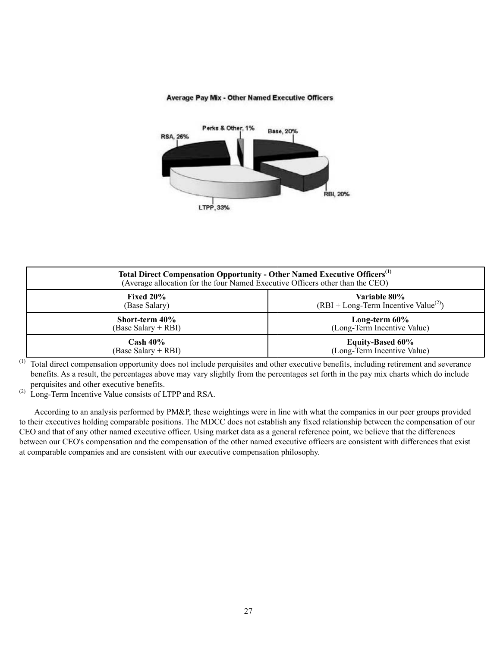

# **Average Pay Mix - Other Named Executive Officers**

| Total Direct Compensation Opportunity - Other Named Executive Officers <sup>(1)</sup><br>(Average allocation for the four Named Executive Officers other than the CEO) |                                        |  |  |  |
|------------------------------------------------------------------------------------------------------------------------------------------------------------------------|----------------------------------------|--|--|--|
| Fixed $20\%$                                                                                                                                                           | <b>Variable 80%</b>                    |  |  |  |
| (Base Salary)                                                                                                                                                          | $(RBI + Long-Term Incentive Value(2))$ |  |  |  |
| Short-term 40%                                                                                                                                                         | Long-term $60\%$                       |  |  |  |
| (Base Salary + RBI)                                                                                                                                                    | (Long-Term Incentive Value)            |  |  |  |
| $\mathrm{Cash}\ 40\%$                                                                                                                                                  | <b>Equity-Based 60%</b>                |  |  |  |
| (Base Salary + RBI)                                                                                                                                                    | (Long-Term Incentive Value)            |  |  |  |

<sup>(1)</sup> Total direct compensation opportunity does not include perquisites and other executive benefits, including retirement and severance benefits. As a result, the percentages above may vary slightly from the percentages set forth in the pay mix charts which do include perquisites and other executive benefits.

(2) Long-Term Incentive Value consists of LTPP and RSA.

According to an analysis performed by PM&P, these weightings were in line with what the companies in our peer groups provided to their executives holding comparable positions. The MDCC does not establish any fixed relationship between the compensation of our CEO and that of any other named executive officer. Using market data as a general reference point, we believe that the differences between our CEO's compensation and the compensation of the other named executive officers are consistent with differences that exist at comparable companies and are consistent with our executive compensation philosophy.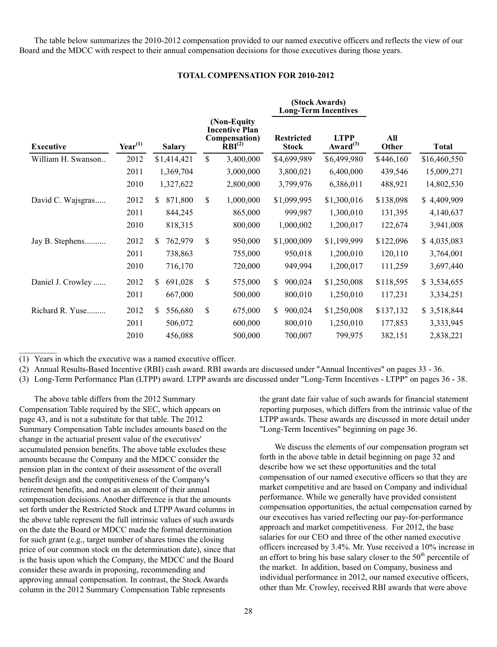The table below summarizes the 2010-2012 compensation provided to our named executive officers and reflects the view of our Board and the MDCC with respect to their annual compensation decisions for those executives during those years.

#### **TOTAL COMPENSATION FOR 2010-2012**

|                    |              |                |             |                                                                             |                                   | (Stock Awards)<br><b>Long-Term Incentives</b> |              |              |
|--------------------|--------------|----------------|-------------|-----------------------------------------------------------------------------|-----------------------------------|-----------------------------------------------|--------------|--------------|
| <b>Executive</b>   | $Year^{(1)}$ | <b>Salary</b>  |             | (Non-Equity<br><b>Incentive Plan</b><br>Compensation)<br>RBI <sup>(2)</sup> | <b>Restricted</b><br><b>Stock</b> | <b>LTPP</b><br>Award $^{(3)}$                 | All<br>Other | <b>Total</b> |
| William H. Swanson | 2012         | \$1,414,421    | $\mathbf S$ | 3,400,000                                                                   | \$4,699,989                       | \$6,499,980                                   | \$446,160    | \$16,460,550 |
|                    | 2011         | 1,369,704      |             | 3,000,000                                                                   | 3,800,021                         | 6,400,000                                     | 439,546      | 15,009,271   |
|                    | 2010         | 1,327,622      |             | 2,800,000                                                                   | 3,799,976                         | 6,386,011                                     | 488,921      | 14,802,530   |
| David C. Wajsgras  | 2012         | 871,800<br>S.  | \$          | 1,000,000                                                                   | \$1,099,995                       | \$1,300,016                                   | \$138,098    | \$4,409,909  |
|                    | 2011         | 844,245        |             | 865,000                                                                     | 999,987                           | 1,300,010                                     | 131,395      | 4,140,637    |
|                    | 2010         | 818,315        |             | 800,000                                                                     | 1,000,002                         | 1,200,017                                     | 122,674      | 3,941,008    |
| Jay B. Stephens    | 2012         | \$<br>762,979  | \$          | 950,000                                                                     | \$1,000,009                       | \$1,199,999                                   | \$122,096    | \$4,035,083  |
|                    | 2011         | 738,863        |             | 755,000                                                                     | 950,018                           | 1,200,010                                     | 120,110      | 3,764,001    |
|                    | 2010         | 716,170        |             | 720,000                                                                     | 949,994                           | 1,200,017                                     | 111,259      | 3,697,440    |
| Daniel J. Crowley  | 2012         | 691,028<br>S.  | \$          | 575,000                                                                     | 900,024<br>\$                     | \$1,250,008                                   | \$118,595    | \$3,534,655  |
|                    | 2011         | 667,000        |             | 500,000                                                                     | 800,010                           | 1,250,010                                     | 117,231      | 3,334,251    |
| Richard R. Yuse    | 2012         | \$.<br>556,680 | \$          | 675,000                                                                     | \$.<br>900,024                    | \$1,250,008                                   | \$137,132    | \$3,518,844  |
|                    | 2011         | 506,072        |             | 600,000                                                                     | 800,010                           | 1,250,010                                     | 177,853      | 3,333,945    |
|                    | 2010         | 456,088        |             | 500,000                                                                     | 700,007                           | 799,975                                       | 382,151      | 2,838,221    |

(1) Years in which the executive was a named executive officer.

 $\frac{1}{2}$ 

(2) Annual Results-Based Incentive (RBI) cash award. RBI awards are discussed under "Annual Incentives" on pages 33 - 36.

(3) Long-Term Performance Plan (LTPP) award. LTPP awards are discussed under "Long-Term Incentives - LTPP" on pages 36 - 38.

The above table differs from the 2012 Summary Compensation Table required by the SEC, which appears on page 43, and is not a substitute for that table. The 2012 Summary Compensation Table includes amounts based on the change in the actuarial present value of the executives' accumulated pension benefits. The above table excludes these amounts because the Company and the MDCC consider the pension plan in the context of their assessment of the overall benefit design and the competitiveness of the Company's retirement benefits, and not as an element of their annual compensation decisions. Another difference is that the amounts set forth under the Restricted Stock and LTPP Award columns in the above table represent the full intrinsic values of such awards on the date the Board or MDCC made the formal determination for such grant (e.g., target number of shares times the closing price of our common stock on the determination date), since that is the basis upon which the Company, the MDCC and the Board consider these awards in proposing, recommending and approving annual compensation. In contrast, the Stock Awards column in the 2012 Summary Compensation Table represents

the grant date fair value of such awards for financial statement reporting purposes, which differs from the intrinsic value of the LTPP awards. These awards are discussed in more detail under "Long-Term Incentives" beginning on page 36.

We discuss the elements of our compensation program set forth in the above table in detail beginning on page 32 and describe how we set these opportunities and the total compensation of our named executive officers so that they are market competitive and are based on Company and individual performance. While we generally have provided consistent compensation opportunities, the actual compensation earned by our executives has varied reflecting our pay-for-performance approach and market competitiveness. For 2012, the base salaries for our CEO and three of the other named executive officers increased by 3.4%. Mr. Yuse received a 10% increase in an effort to bring his base salary closer to the  $50<sup>th</sup>$  percentile of the market. In addition, based on Company, business and individual performance in 2012, our named executive officers, other than Mr. Crowley, received RBI awards that were above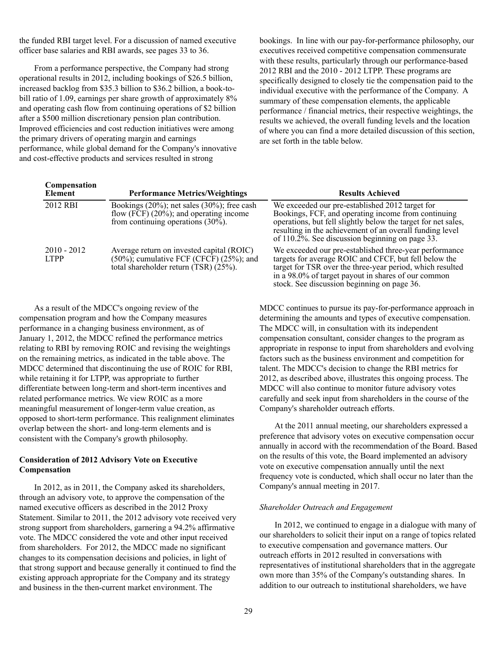the funded RBI target level. For a discussion of named executive officer base salaries and RBI awards, see pages 33 to 36.

From a performance perspective, the Company had strong operational results in 2012, including bookings of \$26.5 billion, increased backlog from \$35.3 billion to \$36.2 billion, a book-tobill ratio of 1.09, earnings per share growth of approximately 8% and operating cash flow from continuing operations of \$2 billion after a \$500 million discretionary pension plan contribution. Improved efficiencies and cost reduction initiatives were among the primary drivers of operating margin and earnings performance, while global demand for the Company's innovative and cost-effective products and services resulted in strong

bookings. In line with our pay-for-performance philosophy, our executives received competitive compensation commensurate with these results, particularly through our performance-based 2012 RBI and the 2010 - 2012 LTPP. These programs are specifically designed to closely tie the compensation paid to the individual executive with the performance of the Company. A summary of these compensation elements, the applicable performance / financial metrics, their respective weightings, the results we achieved, the overall funding levels and the location of where you can find a more detailed discussion of this section, are set forth in the table below.

| Compensation<br>Element      | <b>Performance Metrics/Weightings</b>                                                                                                    | <b>Results Achieved</b>                                                                                                                                                                                                                                                                    |
|------------------------------|------------------------------------------------------------------------------------------------------------------------------------------|--------------------------------------------------------------------------------------------------------------------------------------------------------------------------------------------------------------------------------------------------------------------------------------------|
| 2012 RBI                     | Bookings $(20\%)$ ; net sales $(30\%)$ ; free cash<br>flow (FCF) $(20\%)$ ; and operating income<br>from continuing operations $(30\%).$ | We exceeded our pre-established 2012 target for<br>Bookings, FCF, and operating income from continuing<br>operations, but fell slightly below the target for net sales,<br>resulting in the achievement of an overall funding level<br>of $110.2\%$ . See discussion beginning on page 33. |
| $2010 - 2012$<br><b>LTPP</b> | Average return on invested capital (ROIC)<br>$(50\%)$ ; cumulative FCF (CFCF) $(25\%)$ ; and<br>total shareholder return (TSR) (25%).    | We exceeded our pre-established three-year performance<br>targets for average ROIC and CFCF, but fell below the<br>target for TSR over the three-year period, which resulted<br>in a 98.0% of target payout in shares of our common<br>stock. See discussion beginning on page 36.         |

As a result of the MDCC's ongoing review of the compensation program and how the Company measures performance in a changing business environment, as of January 1, 2012, the MDCC refined the performance metrics relating to RBI by removing ROIC and revising the weightings on the remaining metrics, as indicated in the table above. The MDCC determined that discontinuing the use of ROIC for RBI, while retaining it for LTPP, was appropriate to further differentiate between long-term and short-term incentives and related performance metrics. We view ROIC as a more meaningful measurement of longer-term value creation, as opposed to short-term performance. This realignment eliminates overlap between the short- and long-term elements and is consistent with the Company's growth philosophy.

# **Consideration of 2012 Advisory Vote on Executive Compensation**

In 2012, as in 2011, the Company asked its shareholders, through an advisory vote, to approve the compensation of the named executive officers as described in the 2012 Proxy Statement. Similar to 2011, the 2012 advisory vote received very strong support from shareholders, garnering a 94.2% affirmative vote. The MDCC considered the vote and other input received from shareholders. For 2012, the MDCC made no significant changes to its compensation decisions and policies, in light of that strong support and because generally it continued to find the existing approach appropriate for the Company and its strategy and business in the then-current market environment. The

MDCC continues to pursue its pay-for-performance approach in determining the amounts and types of executive compensation. The MDCC will, in consultation with its independent compensation consultant, consider changes to the program as appropriate in response to input from shareholders and evolving factors such as the business environment and competition for talent. The MDCC's decision to change the RBI metrics for 2012, as described above, illustrates this ongoing process. The MDCC will also continue to monitor future advisory votes carefully and seek input from shareholders in the course of the Company's shareholder outreach efforts.

At the 2011 annual meeting, our shareholders expressed a preference that advisory votes on executive compensation occur annually in accord with the recommendation of the Board. Based on the results of this vote, the Board implemented an advisory vote on executive compensation annually until the next frequency vote is conducted, which shall occur no later than the Company's annual meeting in 2017.

#### *Shareholder Outreach and Engagement*

In 2012, we continued to engage in a dialogue with many of our shareholders to solicit their input on a range of topics related to executive compensation and governance matters. Our outreach efforts in 2012 resulted in conversations with representatives of institutional shareholders that in the aggregate own more than 35% of the Company's outstanding shares. In addition to our outreach to institutional shareholders, we have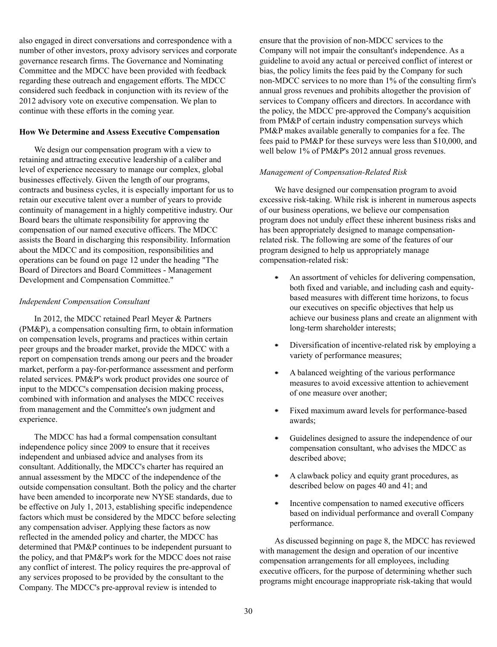also engaged in direct conversations and correspondence with a number of other investors, proxy advisory services and corporate governance research firms. The Governance and Nominating Committee and the MDCC have been provided with feedback regarding these outreach and engagement efforts. The MDCC considered such feedback in conjunction with its review of the 2012 advisory vote on executive compensation. We plan to continue with these efforts in the coming year.

# **How We Determine and Assess Executive Compensation**

We design our compensation program with a view to retaining and attracting executive leadership of a caliber and level of experience necessary to manage our complex, global businesses effectively. Given the length of our programs, contracts and business cycles, it is especially important for us to retain our executive talent over a number of years to provide continuity of management in a highly competitive industry. Our Board bears the ultimate responsibility for approving the compensation of our named executive officers. The MDCC assists the Board in discharging this responsibility. Information about the MDCC and its composition, responsibilities and operations can be found on page 12 under the heading "The Board of Directors and Board Committees - Management Development and Compensation Committee."

# *Independent Compensation Consultant*

In 2012, the MDCC retained Pearl Meyer & Partners (PM&P), a compensation consulting firm, to obtain information on compensation levels, programs and practices within certain peer groups and the broader market, provide the MDCC with a report on compensation trends among our peers and the broader market, perform a pay-for-performance assessment and perform related services. PM&P's work product provides one source of input to the MDCC's compensation decision making process, combined with information and analyses the MDCC receives from management and the Committee's own judgment and experience.

The MDCC has had a formal compensation consultant independence policy since 2009 to ensure that it receives independent and unbiased advice and analyses from its consultant. Additionally, the MDCC's charter has required an annual assessment by the MDCC of the independence of the outside compensation consultant. Both the policy and the charter have been amended to incorporate new NYSE standards, due to be effective on July 1, 2013, establishing specific independence factors which must be considered by the MDCC before selecting any compensation adviser. Applying these factors as now reflected in the amended policy and charter, the MDCC has determined that PM&P continues to be independent pursuant to the policy, and that PM&P's work for the MDCC does not raise any conflict of interest. The policy requires the pre-approval of any services proposed to be provided by the consultant to the Company. The MDCC's pre-approval review is intended to

ensure that the provision of non-MDCC services to the Company will not impair the consultant's independence. As a guideline to avoid any actual or perceived conflict of interest or bias, the policy limits the fees paid by the Company for such non-MDCC services to no more than 1% of the consulting firm's annual gross revenues and prohibits altogether the provision of services to Company officers and directors. In accordance with the policy, the MDCC pre-approved the Company's acquisition from PM&P of certain industry compensation surveys which PM&P makes available generally to companies for a fee. The fees paid to PM&P for these surveys were less than \$10,000, and well below 1% of PM&P's 2012 annual gross revenues.

# *Management of Compensation-Related Risk*

We have designed our compensation program to avoid excessive risk-taking. While risk is inherent in numerous aspects of our business operations, we believe our compensation program does not unduly effect these inherent business risks and has been appropriately designed to manage compensationrelated risk. The following are some of the features of our program designed to help us appropriately manage compensation-related risk:

- ٠ An assortment of vehicles for delivering compensation, both fixed and variable, and including cash and equitybased measures with different time horizons, to focus our executives on specific objectives that help us achieve our business plans and create an alignment with long-term shareholder interests;
- ٠ Diversification of incentive-related risk by employing a variety of performance measures;
- A balanced weighting of the various performance  $\bullet$ measures to avoid excessive attention to achievement of one measure over another;
- Fixed maximum award levels for performance-based ٠ awards;
- ٠ Guidelines designed to assure the independence of our compensation consultant, who advises the MDCC as described above;
- $\bullet$ A clawback policy and equity grant procedures, as described below on pages 40 and 41; and
- Incentive compensation to named executive officers ٠ based on individual performance and overall Company performance.

As discussed beginning on page 8, the MDCC has reviewed with management the design and operation of our incentive compensation arrangements for all employees, including executive officers, for the purpose of determining whether such programs might encourage inappropriate risk-taking that would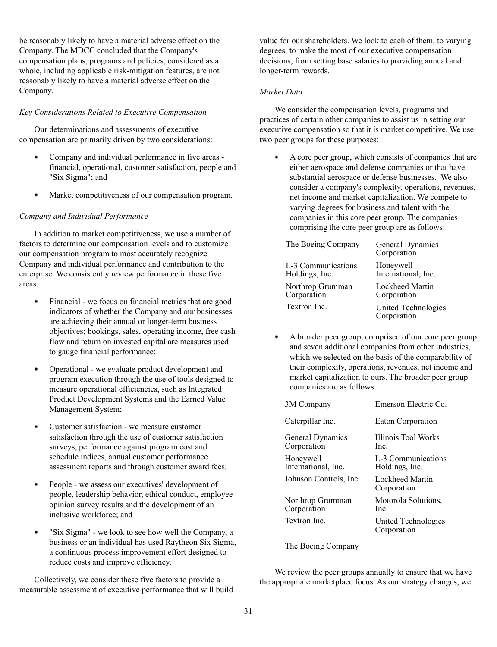be reasonably likely to have a material adverse effect on the Company. The MDCC concluded that the Company's compensation plans, programs and policies, considered as a whole, including applicable risk-mitigation features, are not reasonably likely to have a material adverse effect on the Company.

### *Key Considerations Related to Executive Compensation*

Our determinations and assessments of executive compensation are primarily driven by two considerations:

- $\bullet$ Company and individual performance in five areas financial, operational, customer satisfaction, people and "Six Sigma"; and
- Market competitiveness of our compensation program.  $\bullet$

### *Company and Individual Performance*

In addition to market competitiveness, we use a number of factors to determine our compensation levels and to customize our compensation program to most accurately recognize Company and individual performance and contribution to the enterprise. We consistently review performance in these five areas:

- Financial we focus on financial metrics that are good  $\bullet$ indicators of whether the Company and our businesses are achieving their annual or longer-term business objectives; bookings, sales, operating income, free cash flow and return on invested capital are measures used to gauge financial performance;
- Operational we evaluate product development and program execution through the use of tools designed to measure operational efficiencies, such as Integrated Product Development Systems and the Earned Value Management System;
- $\bullet$ Customer satisfaction - we measure customer satisfaction through the use of customer satisfaction surveys, performance against program cost and schedule indices, annual customer performance assessment reports and through customer award fees;
- People we assess our executives' development of  $\bullet$ people, leadership behavior, ethical conduct, employee opinion survey results and the development of an inclusive workforce; and
- $\bullet$ "Six Sigma" - we look to see how well the Company, a business or an individual has used Raytheon Six Sigma, a continuous process improvement effort designed to reduce costs and improve efficiency.

Collectively, we consider these five factors to provide a measurable assessment of executive performance that will build value for our shareholders. We look to each of them, to varying degrees, to make the most of our executive compensation decisions, from setting base salaries to providing annual and longer-term rewards.

### *Market Data*

We consider the compensation levels, programs and practices of certain other companies to assist us in setting our executive compensation so that it is market competitive. We use two peer groups for these purposes:

 $\bullet$ A core peer group, which consists of companies that are either aerospace and defense companies or that have substantial aerospace or defense businesses. We also consider a company's complexity, operations, revenues, net income and market capitalization. We compete to varying degrees for business and talent with the companies in this core peer group. The companies comprising the core peer group are as follows:

| The Boeing Company | General Dynamics<br>Corporation    |
|--------------------|------------------------------------|
| L-3 Communications | Honeywell                          |
| Holdings, Inc.     | International, Inc.                |
| Northrop Grumman   | Lockheed Martin                    |
| Corporation        | Corporation                        |
| Textron Inc.       | United Technologies<br>Corporation |

A broader peer group, comprised of our core peer group ٠ and seven additional companies from other industries, which we selected on the basis of the comparability of their complexity, operations, revenues, net income and market capitalization to ours. The broader peer group companies are as follows:

| 3M Company                       | Emerson Electric Co.                 |
|----------------------------------|--------------------------------------|
| Caterpillar Inc.                 | <b>Eaton Corporation</b>             |
| General Dynamics<br>Corporation  | Illinois Tool Works<br>Inc.          |
| Honeywell<br>International, Inc. | L-3 Communications<br>Holdings, Inc. |
| Johnson Controls, Inc.           | Lockheed Martin<br>Corporation       |
| Northrop Grumman<br>Corporation  | Motorola Solutions,<br>Inc.          |
| Textron Inc                      | United Technologies<br>Corporation   |

The Boeing Company

We review the peer groups annually to ensure that we have the appropriate marketplace focus. As our strategy changes, we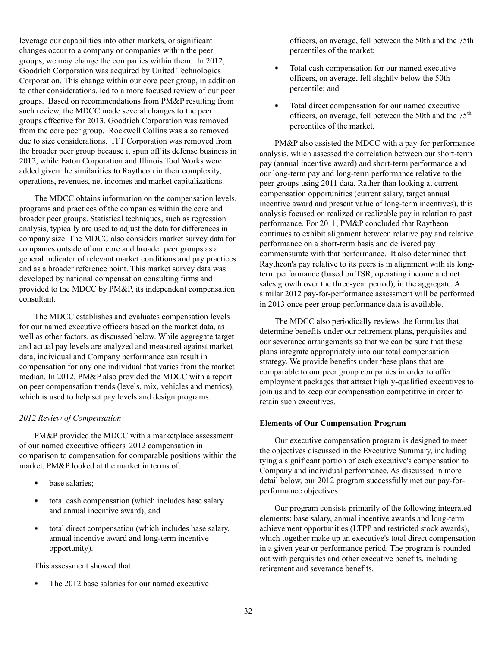leverage our capabilities into other markets, or significant changes occur to a company or companies within the peer groups, we may change the companies within them. In 2012, Goodrich Corporation was acquired by United Technologies Corporation. This change within our core peer group, in addition to other considerations, led to a more focused review of our peer groups. Based on recommendations from PM&P resulting from such review, the MDCC made several changes to the peer groups effective for 2013. Goodrich Corporation was removed from the core peer group. Rockwell Collins was also removed due to size considerations. ITT Corporation was removed from the broader peer group because it spun off its defense business in 2012, while Eaton Corporation and Illinois Tool Works were added given the similarities to Raytheon in their complexity, operations, revenues, net incomes and market capitalizations.

The MDCC obtains information on the compensation levels, programs and practices of the companies within the core and broader peer groups. Statistical techniques, such as regression analysis, typically are used to adjust the data for differences in company size. The MDCC also considers market survey data for companies outside of our core and broader peer groups as a general indicator of relevant market conditions and pay practices and as a broader reference point. This market survey data was developed by national compensation consulting firms and provided to the MDCC by PM&P, its independent compensation consultant.

The MDCC establishes and evaluates compensation levels for our named executive officers based on the market data, as well as other factors, as discussed below. While aggregate target and actual pay levels are analyzed and measured against market data, individual and Company performance can result in compensation for any one individual that varies from the market median. In 2012, PM&P also provided the MDCC with a report on peer compensation trends (levels, mix, vehicles and metrics), which is used to help set pay levels and design programs.

### *2012 Review of Compensation*

PM&P provided the MDCC with a marketplace assessment of our named executive officers' 2012 compensation in comparison to compensation for comparable positions within the market. PM&P looked at the market in terms of:

- base salaries;
- . total cash compensation (which includes base salary and annual incentive award); and
- total direct compensation (which includes base salary,  $\bullet$ annual incentive award and long-term incentive opportunity).

This assessment showed that:

The 2012 base salaries for our named executive ٠

officers, on average, fell between the 50th and the 75th percentiles of the market;

- ٠ Total cash compensation for our named executive officers, on average, fell slightly below the 50th percentile; and
- $\bullet$ Total direct compensation for our named executive officers, on average, fell between the 50th and the 75<sup>th</sup> percentiles of the market.

PM&P also assisted the MDCC with a pay-for-performance analysis, which assessed the correlation between our short-term pay (annual incentive award) and short-term performance and our long-term pay and long-term performance relative to the peer groups using 2011 data. Rather than looking at current compensation opportunities (current salary, target annual incentive award and present value of long-term incentives), this analysis focused on realized or realizable pay in relation to past performance. For 2011, PM&P concluded that Raytheon continues to exhibit alignment between relative pay and relative performance on a short-term basis and delivered pay commensurate with that performance. It also determined that Raytheon's pay relative to its peers is in alignment with its longterm performance (based on TSR, operating income and net sales growth over the three-year period), in the aggregate. A similar 2012 pay-for-performance assessment will be performed in 2013 once peer group performance data is available.

The MDCC also periodically reviews the formulas that determine benefits under our retirement plans, perquisites and our severance arrangements so that we can be sure that these plans integrate appropriately into our total compensation strategy. We provide benefits under these plans that are comparable to our peer group companies in order to offer employment packages that attract highly-qualified executives to join us and to keep our compensation competitive in order to retain such executives.

### **Elements of Our Compensation Program**

Our executive compensation program is designed to meet the objectives discussed in the Executive Summary, including tying a significant portion of each executive's compensation to Company and individual performance. As discussed in more detail below, our 2012 program successfully met our pay-forperformance objectives.

Our program consists primarily of the following integrated elements: base salary, annual incentive awards and long-term achievement opportunities (LTPP and restricted stock awards), which together make up an executive's total direct compensation in a given year or performance period. The program is rounded out with perquisites and other executive benefits, including retirement and severance benefits.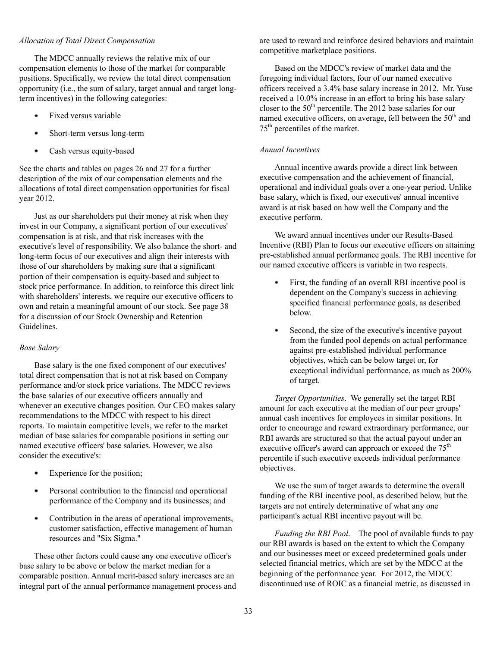#### *Allocation of Total Direct Compensation*

The MDCC annually reviews the relative mix of our compensation elements to those of the market for comparable positions. Specifically, we review the total direct compensation opportunity (i.e., the sum of salary, target annual and target longterm incentives) in the following categories:

- Fixed versus variable
- Short-term versus long-term
- $\bullet$ Cash versus equity-based

See the charts and tables on pages 26 and 27 for a further description of the mix of our compensation elements and the allocations of total direct compensation opportunities for fiscal year 2012.

Just as our shareholders put their money at risk when they invest in our Company, a significant portion of our executives' compensation is at risk, and that risk increases with the executive's level of responsibility. We also balance the short- and long-term focus of our executives and align their interests with those of our shareholders by making sure that a significant portion of their compensation is equity-based and subject to stock price performance. In addition, to reinforce this direct link with shareholders' interests, we require our executive officers to own and retain a meaningful amount of our stock. See page 38 for a discussion of our Stock Ownership and Retention Guidelines.

## *Base Salary*

Base salary is the one fixed component of our executives' total direct compensation that is not at risk based on Company performance and/or stock price variations. The MDCC reviews the base salaries of our executive officers annually and whenever an executive changes position. Our CEO makes salary recommendations to the MDCC with respect to his direct reports. To maintain competitive levels, we refer to the market median of base salaries for comparable positions in setting our named executive officers' base salaries. However, we also consider the executive's:

- $\bullet$ Experience for the position;
- Personal contribution to the financial and operational  $\bullet$ performance of the Company and its businesses; and
- Contribution in the areas of operational improvements,  $\bullet$ customer satisfaction, effective management of human resources and "Six Sigma."

These other factors could cause any one executive officer's base salary to be above or below the market median for a comparable position. Annual merit-based salary increases are an integral part of the annual performance management process and are used to reward and reinforce desired behaviors and maintain competitive marketplace positions.

Based on the MDCC's review of market data and the foregoing individual factors, four of our named executive officers received a 3.4% base salary increase in 2012. Mr. Yuse received a 10.0% increase in an effort to bring his base salary closer to the 50<sup>th</sup> percentile. The 2012 base salaries for our named executive officers, on average, fell between the  $50<sup>th</sup>$  and 75th percentiles of the market.

# *Annual Incentives*

Annual incentive awards provide a direct link between executive compensation and the achievement of financial, operational and individual goals over a one-year period. Unlike base salary, which is fixed, our executives' annual incentive award is at risk based on how well the Company and the executive perform.

We award annual incentives under our Results-Based Incentive (RBI) Plan to focus our executive officers on attaining pre-established annual performance goals. The RBI incentive for our named executive officers is variable in two respects.

- ٠ First, the funding of an overall RBI incentive pool is dependent on the Company's success in achieving specified financial performance goals, as described below.
- ٠ Second, the size of the executive's incentive payout from the funded pool depends on actual performance against pre-established individual performance objectives, which can be below target or, for exceptional individual performance, as much as 200% of target.

*Target Opportunities*. We generally set the target RBI amount for each executive at the median of our peer groups' annual cash incentives for employees in similar positions. In order to encourage and reward extraordinary performance, our RBI awards are structured so that the actual payout under an executive officer's award can approach or exceed the  $75<sup>th</sup>$ percentile if such executive exceeds individual performance objectives.

We use the sum of target awards to determine the overall funding of the RBI incentive pool, as described below, but the targets are not entirely determinative of what any one participant's actual RBI incentive payout will be.

*Funding the RBI Pool*. The pool of available funds to pay our RBI awards is based on the extent to which the Company and our businesses meet or exceed predetermined goals under selected financial metrics, which are set by the MDCC at the beginning of the performance year. For 2012, the MDCC discontinued use of ROIC as a financial metric, as discussed in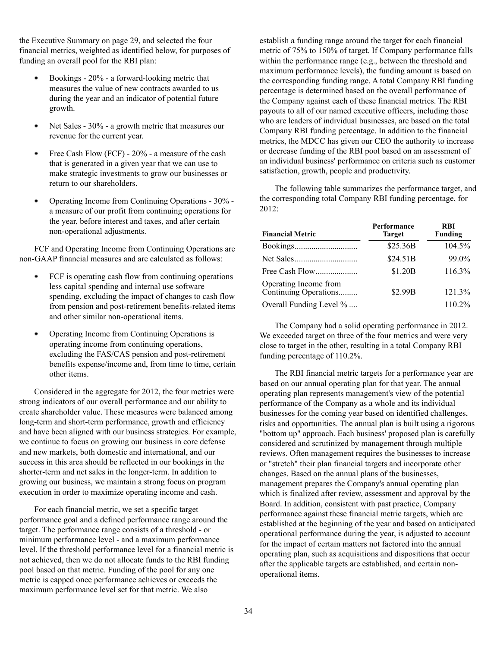the Executive Summary on page 29, and selected the four financial metrics, weighted as identified below, for purposes of funding an overall pool for the RBI plan:

- Bookings 20% a forward-looking metric that measures the value of new contracts awarded to us during the year and an indicator of potential future growth.
- Net Sales 30% a growth metric that measures our ٠ revenue for the current year.
- Free Cash Flow (FCF) 20% a measure of the cash that is generated in a given year that we can use to make strategic investments to grow our businesses or return to our shareholders.
- Operating Income from Continuing Operations 30% a measure of our profit from continuing operations for the year, before interest and taxes, and after certain non-operational adjustments.

FCF and Operating Income from Continuing Operations are non-GAAP financial measures and are calculated as follows:

- ۰ FCF is operating cash flow from continuing operations less capital spending and internal use software spending, excluding the impact of changes to cash flow from pension and post-retirement benefits-related items and other similar non-operational items.
- ٠ Operating Income from Continuing Operations is operating income from continuing operations, excluding the FAS/CAS pension and post-retirement benefits expense/income and, from time to time, certain other items.

Considered in the aggregate for 2012, the four metrics were strong indicators of our overall performance and our ability to create shareholder value. These measures were balanced among long-term and short-term performance, growth and efficiency and have been aligned with our business strategies. For example, we continue to focus on growing our business in core defense and new markets, both domestic and international, and our success in this area should be reflected in our bookings in the shorter-term and net sales in the longer-term. In addition to growing our business, we maintain a strong focus on program execution in order to maximize operating income and cash.

For each financial metric, we set a specific target performance goal and a defined performance range around the target. The performance range consists of a threshold - or minimum performance level - and a maximum performance level. If the threshold performance level for a financial metric is not achieved, then we do not allocate funds to the RBI funding pool based on that metric. Funding of the pool for any one metric is capped once performance achieves or exceeds the maximum performance level set for that metric. We also

establish a funding range around the target for each financial metric of 75% to 150% of target. If Company performance falls within the performance range (e.g., between the threshold and maximum performance levels), the funding amount is based on the corresponding funding range. A total Company RBI funding percentage is determined based on the overall performance of the Company against each of these financial metrics. The RBI payouts to all of our named executive officers, including those who are leaders of individual businesses, are based on the total Company RBI funding percentage. In addition to the financial metrics, the MDCC has given our CEO the authority to increase or decrease funding of the RBI pool based on an assessment of an individual business' performance on criteria such as customer satisfaction, growth, people and productivity.

The following table summarizes the performance target, and the corresponding total Company RBI funding percentage, for 2012:

| <b>Financial Metric</b>                        | Performance<br><b>Target</b> | <b>RBI</b><br><b>Funding</b> |
|------------------------------------------------|------------------------------|------------------------------|
|                                                | \$25.36B                     | 104.5%                       |
|                                                | \$24.51B                     | 99.0%                        |
|                                                | \$1.20B                      | 116.3%                       |
| Operating Income from<br>Continuing Operations | \$2.99B                      | 121.3%                       |
| Overall Funding Level %                        |                              | 110.2%                       |

The Company had a solid operating performance in 2012. We exceeded target on three of the four metrics and were very close to target in the other, resulting in a total Company RBI funding percentage of 110.2%.

The RBI financial metric targets for a performance year are based on our annual operating plan for that year. The annual operating plan represents management's view of the potential performance of the Company as a whole and its individual businesses for the coming year based on identified challenges, risks and opportunities. The annual plan is built using a rigorous "bottom up" approach. Each business' proposed plan is carefully considered and scrutinized by management through multiple reviews. Often management requires the businesses to increase or "stretch" their plan financial targets and incorporate other changes. Based on the annual plans of the businesses, management prepares the Company's annual operating plan which is finalized after review, assessment and approval by the Board. In addition, consistent with past practice, Company performance against these financial metric targets, which are established at the beginning of the year and based on anticipated operational performance during the year, is adjusted to account for the impact of certain matters not factored into the annual operating plan, such as acquisitions and dispositions that occur after the applicable targets are established, and certain nonoperational items.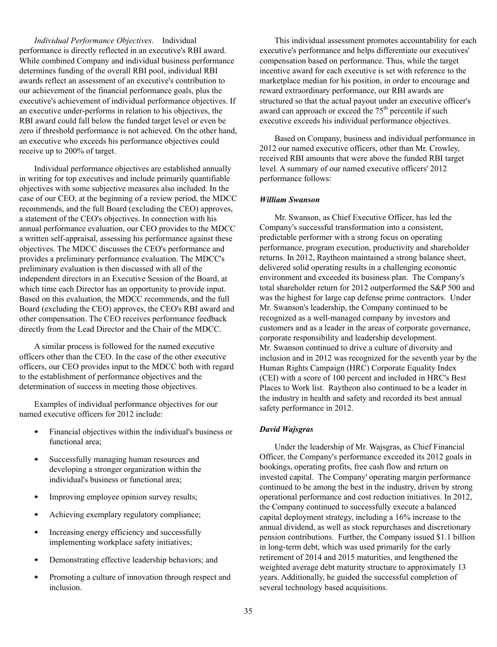*Individual Performance Objectives*. Individual performance is directly reflected in an executive's RBI award. While combined Company and individual business performance determines funding of the overall RBI pool, individual RBI awards reflect an assessment of an executive's contribution to our achievement of the financial performance goals, plus the executive's achievement of individual performance objectives. If an executive under-performs in relation to his objectives, the RBI award could fall below the funded target level or even be zero if threshold performance is not achieved. On the other hand, an executive who exceeds his performance objectives could receive up to 200% of target.

Individual performance objectives are established annually in writing for top executives and include primarily quantifiable objectives with some subjective measures also included. In the case of our CEO, at the beginning of a review period, the MDCC recommends, and the full Board (excluding the CEO) approves, a statement of the CEO's objectives. In connection with his annual performance evaluation, our CEO provides to the MDCC a written self-appraisal, assessing his performance against these objectives. The MDCC discusses the CEO's performance and provides a preliminary performance evaluation. The MDCC's preliminary evaluation is then discussed with all of the independent directors in an Executive Session of the Board, at which time each Director has an opportunity to provide input. Based on this evaluation, the MDCC recommends, and the full Board (excluding the CEO) approves, the CEO's RBI award and other compensation. The CEO receives performance feedback directly from the Lead Director and the Chair of the MDCC.

A similar process is followed for the named executive officers other than the CEO. In the case of the other executive officers, our CEO provides input to the MDCC both with regard to the establishment of performance objectives and the determination of success in meeting those objectives.

Examples of individual performance objectives for our named executive officers for 2012 include:

- $\bullet$ Financial objectives within the individual's business or functional area;
- $\bullet$ Successfully managing human resources and developing a stronger organization within the individual's business or functional area;
- Improving employee opinion survey results;  $\bullet$
- Achieving exemplary regulatory compliance; ٠
- Increasing energy efficiency and successfully ۰ implementing workplace safety initiatives;
- Demonstrating effective leadership behaviors; and
- Promoting a culture of innovation through respect and inclusion.

This individual assessment promotes accountability for each executive's performance and helps differentiate our executives' compensation based on performance. Thus, while the target incentive award for each executive is set with reference to the marketplace median for his position, in order to encourage and reward extraordinary performance, our RBI awards are structured so that the actual payout under an executive officer's award can approach or exceed the  $75<sup>th</sup>$  percentile if such executive exceeds his individual performance objectives.

Based on Company, business and individual performance in 2012 our named executive officers, other than Mr. Crowley, received RBI amounts that were above the funded RBI target level. A summary of our named executive officers' 2012 performance follows:

#### *William Swanson*

Mr. Swanson, as Chief Executive Officer, has led the Company's successful transformation into a consistent, predictable performer with a strong focus on operating performance, program execution, productivity and shareholder returns. In 2012, Raytheon maintained a strong balance sheet, delivered solid operating results in a challenging economic environment and exceeded its business plan. The Company's total shareholder return for 2012 outperformed the S&P 500 and was the highest for large cap defense prime contractors. Under Mr. Swanson's leadership, the Company continued to be recognized as a well-managed company by investors and customers and as a leader in the areas of corporate governance, corporate responsibility and leadership development. Mr. Swanson continued to drive a culture of diversity and inclusion and in 2012 was recognized for the seventh year by the Human Rights Campaign (HRC) Corporate Equality Index (CEI) with a score of 100 percent and included in HRC's Best Places to Work list. Raytheon also continued to be a leader in the industry in health and safety and recorded its best annual safety performance in 2012.

## *David Wajsgras*

Under the leadership of Mr. Wajsgras, as Chief Financial Officer, the Company's performance exceeded its 2012 goals in bookings, operating profits, free cash flow and return on invested capital. The Company' operating margin performance continued to be among the best in the industry, driven by strong operational performance and cost reduction initiatives. In 2012, the Company continued to successfully execute a balanced capital deployment strategy, including a 16% increase to the annual dividend, as well as stock repurchases and discretionary pension contributions. Further, the Company issued \$1.1 billion in long-term debt, which was used primarily for the early retirement of 2014 and 2015 maturities, and lengthened the weighted average debt maturity structure to approximately 13 years. Additionally, he guided the successful completion of several technology based acquisitions.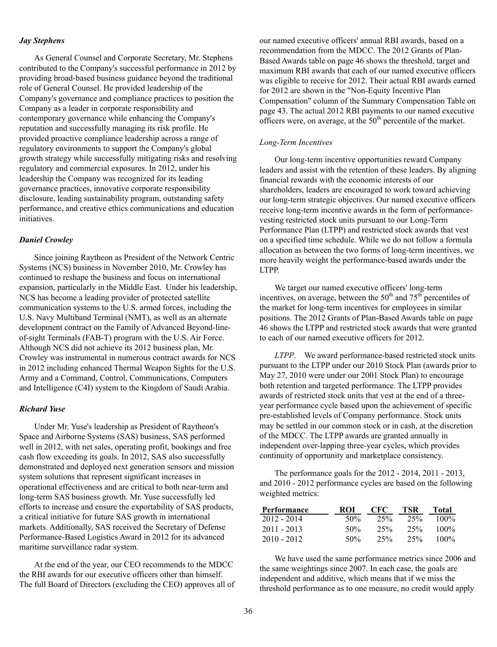#### *Jay Stephens*

As General Counsel and Corporate Secretary, Mr. Stephens contributed to the Company's successful performance in 2012 by providing broad-based business guidance beyond the traditional role of General Counsel. He provided leadership of the Company's governance and compliance practices to position the Company as a leader in corporate responsibility and contemporary governance while enhancing the Company's reputation and successfully managing its risk profile. He provided proactive compliance leadership across a range of regulatory environments to support the Company's global growth strategy while successfully mitigating risks and resolving regulatory and commercial exposures. In 2012, under his leadership the Company was recognized for its leading governance practices, innovative corporate responsibility disclosure, leading sustainability program, outstanding safety performance, and creative ethics communications and education initiatives.

# *Daniel Crowley*

Since joining Raytheon as President of the Network Centric Systems (NCS) business in November 2010, Mr. Crowley has continued to reshape the business and focus on international expansion, particularly in the Middle East. Under his leadership, NCS has become a leading provider of protected satellite communication systems to the U.S. armed forces, including the U.S. Navy Multiband Terminal (NMT), as well as an alternate development contract on the Family of Advanced Beyond-lineof-sight Terminals (FAB-T) program with the U.S. Air Force. Although NCS did not achieve its 2012 business plan, Mr. Crowley was instrumental in numerous contract awards for NCS in 2012 including enhanced Thermal Weapon Sights for the U.S. Army and a Command, Control, Communications, Computers and Intelligence (C4I) system to the Kingdom of Saudi Arabia.

## *Richard Yuse*

Under Mr. Yuse's leadership as President of Raytheon's Space and Airborne Systems (SAS) business, SAS performed well in 2012, with net sales, operating profit, bookings and free cash flow exceeding its goals. In 2012, SAS also successfully demonstrated and deployed next generation sensors and mission system solutions that represent significant increases in operational effectiveness and are critical to both near-term and long-term SAS business growth. Mr. Yuse successfully led efforts to increase and ensure the exportability of SAS products, a critical initiative for future SAS growth in international markets. Additionally, SAS received the Secretary of Defense Performance-Based Logistics Award in 2012 for its advanced maritime surveillance radar system.

At the end of the year, our CEO recommends to the MDCC the RBI awards for our executive officers other than himself. The full Board of Directors (excluding the CEO) approves all of

our named executive officers' annual RBI awards, based on a recommendation from the MDCC. The 2012 Grants of Plan-Based Awards table on page 46 shows the threshold, target and maximum RBI awards that each of our named executive officers was eligible to receive for 2012. Their actual RBI awards earned for 2012 are shown in the "Non-Equity Incentive Plan Compensation" column of the Summary Compensation Table on page 43. The actual 2012 RBI payments to our named executive officers were, on average, at the  $50<sup>th</sup>$  percentile of the market.

#### *Long-Term Incentives*

Our long-term incentive opportunities reward Company leaders and assist with the retention of these leaders. By aligning financial rewards with the economic interests of our shareholders, leaders are encouraged to work toward achieving our long-term strategic objectives. Our named executive officers receive long-term incentive awards in the form of performancevesting restricted stock units pursuant to our Long-Term Performance Plan (LTPP) and restricted stock awards that vest on a specified time schedule. While we do not follow a formula allocation as between the two forms of long-term incentives, we more heavily weight the performance-based awards under the LTPP.

We target our named executive officers' long-term incentives, on average, between the  $50<sup>th</sup>$  and  $75<sup>th</sup>$  percentiles of the market for long-term incentives for employees in similar positions. The 2012 Grants of Plan-Based Awards table on page 46 shows the LTPP and restricted stock awards that were granted to each of our named executive officers for 2012.

*LTPP*. We award performance-based restricted stock units pursuant to the LTPP under our 2010 Stock Plan (awards prior to May 27, 2010 were under our 2001 Stock Plan) to encourage both retention and targeted performance. The LTPP provides awards of restricted stock units that vest at the end of a threeyear performance cycle based upon the achievement of specific pre-established levels of Company performance. Stock units may be settled in our common stock or in cash, at the discretion of the MDCC. The LTPP awards are granted annually in independent over-lapping three-year cycles, which provides continuity of opportunity and marketplace consistency.

The performance goals for the 2012 - 2014, 2011 - 2013, and 2010 - 2012 performance cycles are based on the following weighted metrics:

| Performance   | ROI | <b>CFC</b> | <b>TSR</b> | Total   |
|---------------|-----|------------|------------|---------|
| 2012 - 2014   | 50% | 25%        | 25%        | $100\%$ |
| $2011 - 2013$ | 50% | 25%        | 25%        | $100\%$ |
| $2010 - 2012$ | 50% | 25%        | 25%        | $100\%$ |

We have used the same performance metrics since 2006 and the same weightings since 2007. In each case, the goals are independent and additive, which means that if we miss the threshold performance as to one measure, no credit would apply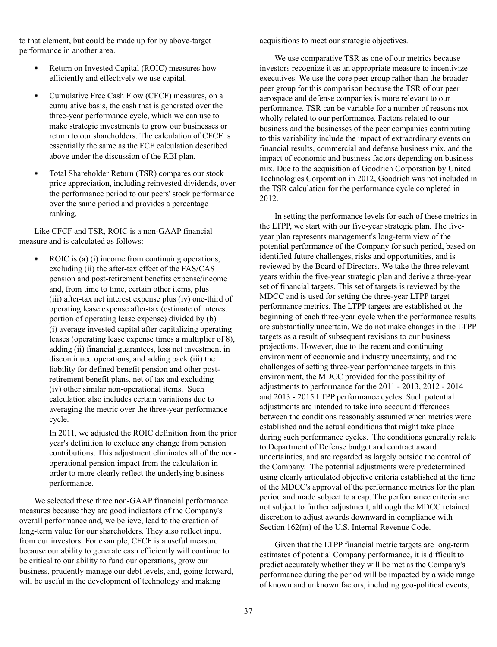to that element, but could be made up for by above-target performance in another area.

- Return on Invested Capital (ROIC) measures how efficiently and effectively we use capital.
- Cumulative Free Cash Flow (CFCF) measures, on a cumulative basis, the cash that is generated over the three-year performance cycle, which we can use to make strategic investments to grow our businesses or return to our shareholders. The calculation of CFCF is essentially the same as the FCF calculation described above under the discussion of the RBI plan.
- Total Shareholder Return (TSR) compares our stock price appreciation, including reinvested dividends, over the performance period to our peers' stock performance over the same period and provides a percentage ranking.

Like CFCF and TSR, ROIC is a non-GAAP financial measure and is calculated as follows:

ROIC is (a) (i) income from continuing operations. excluding (ii) the after-tax effect of the FAS/CAS pension and post-retirement benefits expense/income and, from time to time, certain other items, plus (iii) after-tax net interest expense plus (iv) one-third of operating lease expense after-tax (estimate of interest portion of operating lease expense) divided by (b) (i) average invested capital after capitalizing operating leases (operating lease expense times a multiplier of 8), adding (ii) financial guarantees, less net investment in discontinued operations, and adding back (iii) the liability for defined benefit pension and other postretirement benefit plans, net of tax and excluding (iv) other similar non-operational items. Such calculation also includes certain variations due to averaging the metric over the three-year performance cycle.

In 2011, we adjusted the ROIC definition from the prior year's definition to exclude any change from pension contributions. This adjustment eliminates all of the nonoperational pension impact from the calculation in order to more clearly reflect the underlying business performance.

We selected these three non-GAAP financial performance measures because they are good indicators of the Company's overall performance and, we believe, lead to the creation of long-term value for our shareholders. They also reflect input from our investors. For example, CFCF is a useful measure because our ability to generate cash efficiently will continue to be critical to our ability to fund our operations, grow our business, prudently manage our debt levels, and, going forward, will be useful in the development of technology and making

acquisitions to meet our strategic objectives.

We use comparative TSR as one of our metrics because investors recognize it as an appropriate measure to incentivize executives. We use the core peer group rather than the broader peer group for this comparison because the TSR of our peer aerospace and defense companies is more relevant to our performance. TSR can be variable for a number of reasons not wholly related to our performance. Factors related to our business and the businesses of the peer companies contributing to this variability include the impact of extraordinary events on financial results, commercial and defense business mix, and the impact of economic and business factors depending on business mix. Due to the acquisition of Goodrich Corporation by United Technologies Corporation in 2012, Goodrich was not included in the TSR calculation for the performance cycle completed in 2012.

In setting the performance levels for each of these metrics in the LTPP, we start with our five-year strategic plan. The fiveyear plan represents management's long-term view of the potential performance of the Company for such period, based on identified future challenges, risks and opportunities, and is reviewed by the Board of Directors. We take the three relevant years within the five-year strategic plan and derive a three-year set of financial targets. This set of targets is reviewed by the MDCC and is used for setting the three-year LTPP target performance metrics. The LTPP targets are established at the beginning of each three-year cycle when the performance results are substantially uncertain. We do not make changes in the LTPP targets as a result of subsequent revisions to our business projections. However, due to the recent and continuing environment of economic and industry uncertainty, and the challenges of setting three-year performance targets in this environment, the MDCC provided for the possibility of adjustments to performance for the 2011 - 2013, 2012 - 2014 and 2013 - 2015 LTPP performance cycles. Such potential adjustments are intended to take into account differences between the conditions reasonably assumed when metrics were established and the actual conditions that might take place during such performance cycles. The conditions generally relate to Department of Defense budget and contract award uncertainties, and are regarded as largely outside the control of the Company. The potential adjustments were predetermined using clearly articulated objective criteria established at the time of the MDCC's approval of the performance metrics for the plan period and made subject to a cap. The performance criteria are not subject to further adjustment, although the MDCC retained discretion to adjust awards downward in compliance with Section 162(m) of the U.S. Internal Revenue Code.

Given that the LTPP financial metric targets are long-term estimates of potential Company performance, it is difficult to predict accurately whether they will be met as the Company's performance during the period will be impacted by a wide range of known and unknown factors, including geo-political events,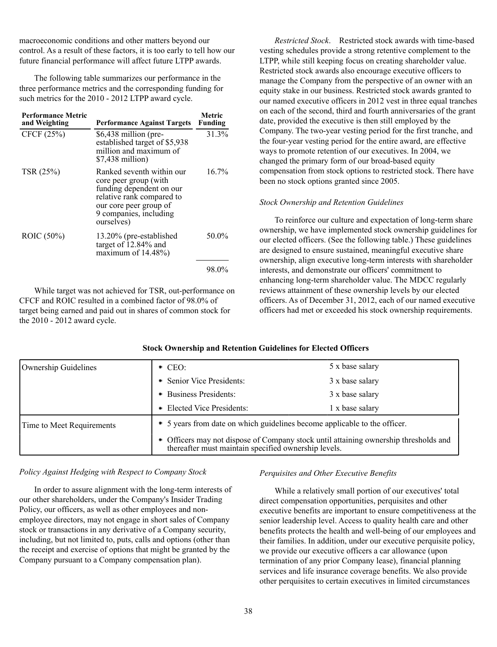macroeconomic conditions and other matters beyond our control. As a result of these factors, it is too early to tell how our future financial performance will affect future LTPP awards.

The following table summarizes our performance in the three performance metrics and the corresponding funding for such metrics for the 2010 - 2012 LTPP award cycle.

| <b>Performance Metric</b><br>and Weighting | <b>Performance Against Targets</b>                                                                                                                                            | Metric<br><b>Funding</b> |
|--------------------------------------------|-------------------------------------------------------------------------------------------------------------------------------------------------------------------------------|--------------------------|
| CFCF (25%)                                 | $$6,438$ million (pre-<br>established target of \$5,938<br>million and maximum of<br>\$7,438 million)                                                                         | 31.3%                    |
| TSR (25%)                                  | Ranked seventh within our<br>core peer group (with<br>funding dependent on our<br>relative rank compared to<br>our core peer group of<br>9 companies, including<br>ourselves) | $16.7\%$                 |
| ROIC (50%)                                 | 13.20% (pre-established<br>target of 12.84% and<br>maximum of 14.48%)                                                                                                         | 50.0%                    |
|                                            |                                                                                                                                                                               | 98.0%                    |

While target was not achieved for TSR, out-performance on CFCF and ROIC resulted in a combined factor of 98.0% of target being earned and paid out in shares of common stock for the 2010 - 2012 award cycle.

*Restricted Stock*. Restricted stock awards with time-based vesting schedules provide a strong retentive complement to the LTPP, while still keeping focus on creating shareholder value. Restricted stock awards also encourage executive officers to manage the Company from the perspective of an owner with an equity stake in our business. Restricted stock awards granted to our named executive officers in 2012 vest in three equal tranches on each of the second, third and fourth anniversaries of the grant date, provided the executive is then still employed by the Company. The two-year vesting period for the first tranche, and the four-year vesting period for the entire award, are effective ways to promote retention of our executives. In 2004, we changed the primary form of our broad-based equity compensation from stock options to restricted stock. There have been no stock options granted since 2005.

#### *Stock Ownership and Retention Guidelines*

To reinforce our culture and expectation of long-term share ownership, we have implemented stock ownership guidelines for our elected officers. (See the following table.) These guidelines are designed to ensure sustained, meaningful executive share ownership, align executive long-term interests with shareholder interests, and demonstrate our officers' commitment to enhancing long-term shareholder value. The MDCC regularly reviews attainment of these ownership levels by our elected officers. As of December 31, 2012, each of our named executive officers had met or exceeded his stock ownership requirements.

| Ownership Guidelines      | $\bullet$ CEO:                                                                                                                            | 5 x base salary |  |  |  |  |  |
|---------------------------|-------------------------------------------------------------------------------------------------------------------------------------------|-----------------|--|--|--|--|--|
|                           | • Senior Vice Presidents:                                                                                                                 | 3 x base salary |  |  |  |  |  |
|                           | • Business Presidents:                                                                                                                    | 3 x base salary |  |  |  |  |  |
|                           | • Elected Vice Presidents:                                                                                                                | 1 x base salary |  |  |  |  |  |
| Time to Meet Requirements | • 5 years from date on which guidelines become applicable to the officer.                                                                 |                 |  |  |  |  |  |
|                           | • Officers may not dispose of Company stock until attaining ownership thresholds and thereafter must maintain specified ownership levels. |                 |  |  |  |  |  |

**Stock Ownership and Retention Guidelines for Elected Officers**

## *Policy Against Hedging with Respect to Company Stock*

In order to assure alignment with the long-term interests of our other shareholders, under the Company's Insider Trading Policy, our officers, as well as other employees and nonemployee directors, may not engage in short sales of Company stock or transactions in any derivative of a Company security, including, but not limited to, puts, calls and options (other than the receipt and exercise of options that might be granted by the Company pursuant to a Company compensation plan).

## *Perquisites and Other Executive Benefits*

While a relatively small portion of our executives' total direct compensation opportunities, perquisites and other executive benefits are important to ensure competitiveness at the senior leadership level. Access to quality health care and other benefits protects the health and well-being of our employees and their families. In addition, under our executive perquisite policy, we provide our executive officers a car allowance (upon termination of any prior Company lease), financial planning services and life insurance coverage benefits. We also provide other perquisites to certain executives in limited circumstances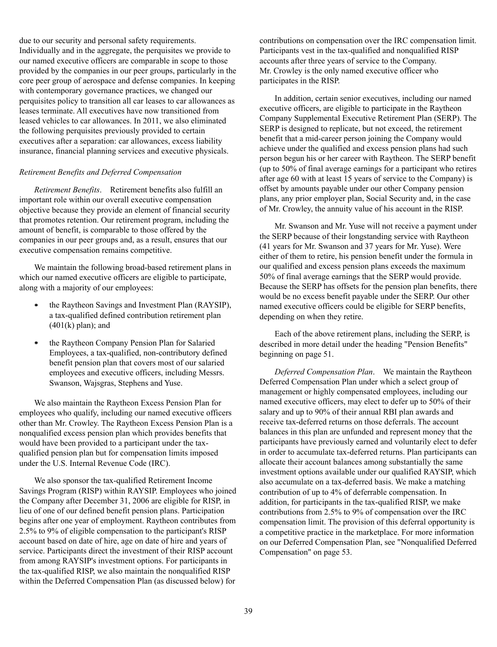due to our security and personal safety requirements. Individually and in the aggregate, the perquisites we provide to our named executive officers are comparable in scope to those provided by the companies in our peer groups, particularly in the core peer group of aerospace and defense companies. In keeping with contemporary governance practices, we changed our perquisites policy to transition all car leases to car allowances as leases terminate. All executives have now transitioned from leased vehicles to car allowances. In 2011, we also eliminated the following perquisites previously provided to certain executives after a separation: car allowances, excess liability insurance, financial planning services and executive physicals.

#### *Retirement Benefits and Deferred Compensation*

*Retirement Benefits*. Retirement benefits also fulfill an important role within our overall executive compensation objective because they provide an element of financial security that promotes retention. Our retirement program, including the amount of benefit, is comparable to those offered by the companies in our peer groups and, as a result, ensures that our executive compensation remains competitive.

We maintain the following broad-based retirement plans in which our named executive officers are eligible to participate, along with a majority of our employees:

- the Raytheon Savings and Investment Plan (RAYSIP), a tax-qualified defined contribution retirement plan  $(401(k)$  plan); and
- the Raytheon Company Pension Plan for Salaried  $\bullet$ Employees, a tax-qualified, non-contributory defined benefit pension plan that covers most of our salaried employees and executive officers, including Messrs. Swanson, Wajsgras, Stephens and Yuse.

We also maintain the Raytheon Excess Pension Plan for employees who qualify, including our named executive officers other than Mr. Crowley. The Raytheon Excess Pension Plan is a nonqualified excess pension plan which provides benefits that would have been provided to a participant under the taxqualified pension plan but for compensation limits imposed under the U.S. Internal Revenue Code (IRC).

We also sponsor the tax-qualified Retirement Income Savings Program (RISP) within RAYSIP. Employees who joined the Company after December 31, 2006 are eligible for RISP, in lieu of one of our defined benefit pension plans. Participation begins after one year of employment. Raytheon contributes from 2.5% to 9% of eligible compensation to the participant's RISP account based on date of hire, age on date of hire and years of service. Participants direct the investment of their RISP account from among RAYSIP's investment options. For participants in the tax-qualified RISP, we also maintain the nonqualified RISP within the Deferred Compensation Plan (as discussed below) for

contributions on compensation over the IRC compensation limit. Participants vest in the tax-qualified and nonqualified RISP accounts after three years of service to the Company. Mr. Crowley is the only named executive officer who participates in the RISP.

In addition, certain senior executives, including our named executive officers, are eligible to participate in the Raytheon Company Supplemental Executive Retirement Plan (SERP). The SERP is designed to replicate, but not exceed, the retirement benefit that a mid-career person joining the Company would achieve under the qualified and excess pension plans had such person begun his or her career with Raytheon. The SERP benefit (up to 50% of final average earnings for a participant who retires after age 60 with at least 15 years of service to the Company) is offset by amounts payable under our other Company pension plans, any prior employer plan, Social Security and, in the case of Mr. Crowley, the annuity value of his account in the RISP.

Mr. Swanson and Mr. Yuse will not receive a payment under the SERP because of their longstanding service with Raytheon (41 years for Mr. Swanson and 37 years for Mr. Yuse). Were either of them to retire, his pension benefit under the formula in our qualified and excess pension plans exceeds the maximum 50% of final average earnings that the SERP would provide. Because the SERP has offsets for the pension plan benefits, there would be no excess benefit payable under the SERP. Our other named executive officers could be eligible for SERP benefits, depending on when they retire.

Each of the above retirement plans, including the SERP, is described in more detail under the heading "Pension Benefits" beginning on page 51.

*Deferred Compensation Plan*. We maintain the Raytheon Deferred Compensation Plan under which a select group of management or highly compensated employees, including our named executive officers, may elect to defer up to 50% of their salary and up to 90% of their annual RBI plan awards and receive tax-deferred returns on those deferrals. The account balances in this plan are unfunded and represent money that the participants have previously earned and voluntarily elect to defer in order to accumulate tax-deferred returns. Plan participants can allocate their account balances among substantially the same investment options available under our qualified RAYSIP, which also accumulate on a tax-deferred basis. We make a matching contribution of up to 4% of deferrable compensation. In addition, for participants in the tax-qualified RISP, we make contributions from 2.5% to 9% of compensation over the IRC compensation limit. The provision of this deferral opportunity is a competitive practice in the marketplace. For more information on our Deferred Compensation Plan, see "Nonqualified Deferred Compensation" on page 53.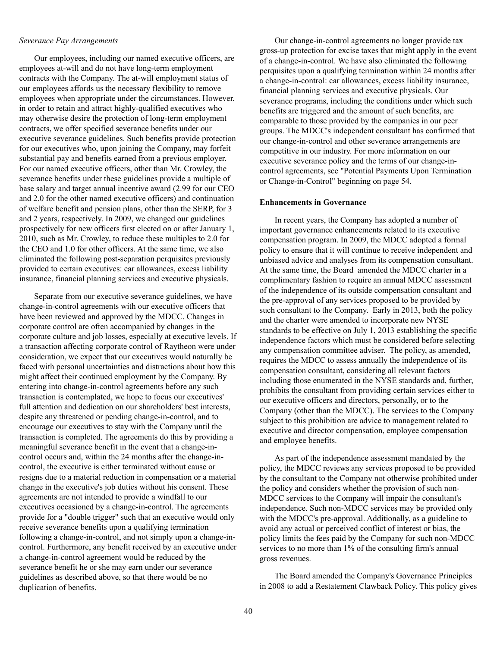#### *Severance Pay Arrangements*

Our employees, including our named executive officers, are employees at-will and do not have long-term employment contracts with the Company. The at-will employment status of our employees affords us the necessary flexibility to remove employees when appropriate under the circumstances. However, in order to retain and attract highly-qualified executives who may otherwise desire the protection of long-term employment contracts, we offer specified severance benefits under our executive severance guidelines. Such benefits provide protection for our executives who, upon joining the Company, may forfeit substantial pay and benefits earned from a previous employer. For our named executive officers, other than Mr. Crowley, the severance benefits under these guidelines provide a multiple of base salary and target annual incentive award (2.99 for our CEO and 2.0 for the other named executive officers) and continuation of welfare benefit and pension plans, other than the SERP, for 3 and 2 years, respectively. In 2009, we changed our guidelines prospectively for new officers first elected on or after January 1, 2010, such as Mr. Crowley, to reduce these multiples to 2.0 for the CEO and 1.0 for other officers. At the same time, we also eliminated the following post-separation perquisites previously provided to certain executives: car allowances, excess liability insurance, financial planning services and executive physicals.

Separate from our executive severance guidelines, we have change-in-control agreements with our executive officers that have been reviewed and approved by the MDCC. Changes in corporate control are often accompanied by changes in the corporate culture and job losses, especially at executive levels. If a transaction affecting corporate control of Raytheon were under consideration, we expect that our executives would naturally be faced with personal uncertainties and distractions about how this might affect their continued employment by the Company. By entering into change-in-control agreements before any such transaction is contemplated, we hope to focus our executives' full attention and dedication on our shareholders' best interests, despite any threatened or pending change-in-control, and to encourage our executives to stay with the Company until the transaction is completed. The agreements do this by providing a meaningful severance benefit in the event that a change-incontrol occurs and, within the 24 months after the change-incontrol, the executive is either terminated without cause or resigns due to a material reduction in compensation or a material change in the executive's job duties without his consent. These agreements are not intended to provide a windfall to our executives occasioned by a change-in-control. The agreements provide for a "double trigger" such that an executive would only receive severance benefits upon a qualifying termination following a change-in-control, and not simply upon a change-incontrol. Furthermore, any benefit received by an executive under a change-in-control agreement would be reduced by the severance benefit he or she may earn under our severance guidelines as described above, so that there would be no duplication of benefits.

Our change-in-control agreements no longer provide tax gross-up protection for excise taxes that might apply in the event of a change-in-control. We have also eliminated the following perquisites upon a qualifying termination within 24 months after a change-in-control: car allowances, excess liability insurance, financial planning services and executive physicals. Our severance programs, including the conditions under which such benefits are triggered and the amount of such benefits, are comparable to those provided by the companies in our peer groups. The MDCC's independent consultant has confirmed that our change-in-control and other severance arrangements are competitive in our industry. For more information on our executive severance policy and the terms of our change-incontrol agreements, see "Potential Payments Upon Termination or Change-in-Control" beginning on page 54.

#### **Enhancements in Governance**

In recent years, the Company has adopted a number of important governance enhancements related to its executive compensation program. In 2009, the MDCC adopted a formal policy to ensure that it will continue to receive independent and unbiased advice and analyses from its compensation consultant. At the same time, the Board amended the MDCC charter in a complimentary fashion to require an annual MDCC assessment of the independence of its outside compensation consultant and the pre-approval of any services proposed to be provided by such consultant to the Company. Early in 2013, both the policy and the charter were amended to incorporate new NYSE standards to be effective on July 1, 2013 establishing the specific independence factors which must be considered before selecting any compensation committee adviser. The policy, as amended, requires the MDCC to assess annually the independence of its compensation consultant, considering all relevant factors including those enumerated in the NYSE standards and, further, prohibits the consultant from providing certain services either to our executive officers and directors, personally, or to the Company (other than the MDCC). The services to the Company subject to this prohibition are advice to management related to executive and director compensation, employee compensation and employee benefits.

As part of the independence assessment mandated by the policy, the MDCC reviews any services proposed to be provided by the consultant to the Company not otherwise prohibited under the policy and considers whether the provision of such non-MDCC services to the Company will impair the consultant's independence. Such non-MDCC services may be provided only with the MDCC's pre-approval. Additionally, as a guideline to avoid any actual or perceived conflict of interest or bias, the policy limits the fees paid by the Company for such non-MDCC services to no more than 1% of the consulting firm's annual gross revenues.

The Board amended the Company's Governance Principles in 2008 to add a Restatement Clawback Policy. This policy gives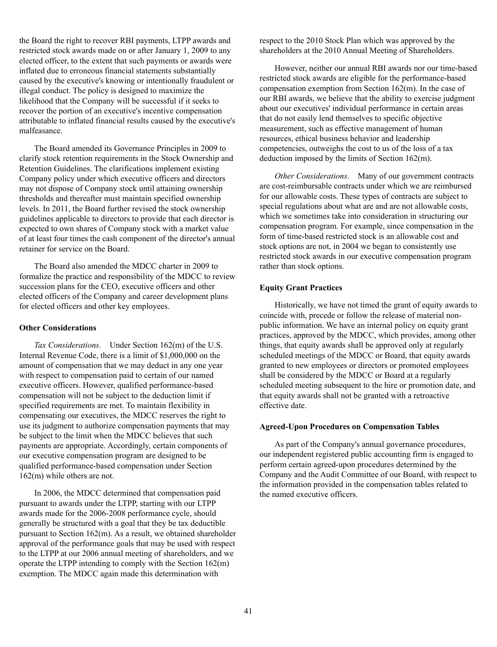the Board the right to recover RBI payments, LTPP awards and restricted stock awards made on or after January 1, 2009 to any elected officer, to the extent that such payments or awards were inflated due to erroneous financial statements substantially caused by the executive's knowing or intentionally fraudulent or illegal conduct. The policy is designed to maximize the likelihood that the Company will be successful if it seeks to recover the portion of an executive's incentive compensation attributable to inflated financial results caused by the executive's malfeasance.

The Board amended its Governance Principles in 2009 to clarify stock retention requirements in the Stock Ownership and Retention Guidelines. The clarifications implement existing Company policy under which executive officers and directors may not dispose of Company stock until attaining ownership thresholds and thereafter must maintain specified ownership levels. In 2011, the Board further revised the stock ownership guidelines applicable to directors to provide that each director is expected to own shares of Company stock with a market value of at least four times the cash component of the director's annual retainer for service on the Board.

The Board also amended the MDCC charter in 2009 to formalize the practice and responsibility of the MDCC to review succession plans for the CEO, executive officers and other elected officers of the Company and career development plans for elected officers and other key employees.

#### **Other Considerations**

*Tax Considerations.* Under Section 162(m) of the U.S. Internal Revenue Code, there is a limit of \$1,000,000 on the amount of compensation that we may deduct in any one year with respect to compensation paid to certain of our named executive officers. However, qualified performance-based compensation will not be subject to the deduction limit if specified requirements are met. To maintain flexibility in compensating our executives, the MDCC reserves the right to use its judgment to authorize compensation payments that may be subject to the limit when the MDCC believes that such payments are appropriate. Accordingly, certain components of our executive compensation program are designed to be qualified performance-based compensation under Section 162(m) while others are not.

In 2006, the MDCC determined that compensation paid pursuant to awards under the LTPP, starting with our LTPP awards made for the 2006-2008 performance cycle, should generally be structured with a goal that they be tax deductible pursuant to Section 162(m). As a result, we obtained shareholder approval of the performance goals that may be used with respect to the LTPP at our 2006 annual meeting of shareholders, and we operate the LTPP intending to comply with the Section 162(m) exemption. The MDCC again made this determination with

respect to the 2010 Stock Plan which was approved by the shareholders at the 2010 Annual Meeting of Shareholders.

However, neither our annual RBI awards nor our time-based restricted stock awards are eligible for the performance-based compensation exemption from Section 162(m). In the case of our RBI awards, we believe that the ability to exercise judgment about our executives' individual performance in certain areas that do not easily lend themselves to specific objective measurement, such as effective management of human resources, ethical business behavior and leadership competencies, outweighs the cost to us of the loss of a tax deduction imposed by the limits of Section 162(m).

*Other Considerations*. Many of our government contracts are cost-reimbursable contracts under which we are reimbursed for our allowable costs. These types of contracts are subject to special regulations about what are and are not allowable costs, which we sometimes take into consideration in structuring our compensation program. For example, since compensation in the form of time-based restricted stock is an allowable cost and stock options are not, in 2004 we began to consistently use restricted stock awards in our executive compensation program rather than stock options.

## **Equity Grant Practices**

Historically, we have not timed the grant of equity awards to coincide with, precede or follow the release of material nonpublic information. We have an internal policy on equity grant practices, approved by the MDCC, which provides, among other things, that equity awards shall be approved only at regularly scheduled meetings of the MDCC or Board, that equity awards granted to new employees or directors or promoted employees shall be considered by the MDCC or Board at a regularly scheduled meeting subsequent to the hire or promotion date, and that equity awards shall not be granted with a retroactive effective date.

#### **Agreed-Upon Procedures on Compensation Tables**

As part of the Company's annual governance procedures, our independent registered public accounting firm is engaged to perform certain agreed-upon procedures determined by the Company and the Audit Committee of our Board, with respect to the information provided in the compensation tables related to the named executive officers.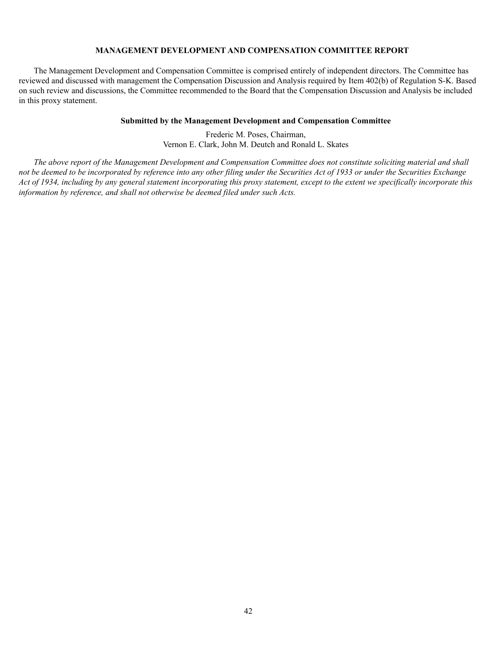# **MANAGEMENT DEVELOPMENT AND COMPENSATION COMMITTEE REPORT**

The Management Development and Compensation Committee is comprised entirely of independent directors. The Committee has reviewed and discussed with management the Compensation Discussion and Analysis required by Item 402(b) of Regulation S-K. Based on such review and discussions, the Committee recommended to the Board that the Compensation Discussion and Analysis be included in this proxy statement.

#### **Submitted by the Management Development and Compensation Committee**

Frederic M. Poses, Chairman, Vernon E. Clark, John M. Deutch and Ronald L. Skates

*The above report of the Management Development and Compensation Committee does not constitute soliciting material and shall not be deemed to be incorporated by reference into any other filing under the Securities Act of 1933 or under the Securities Exchange Act of 1934, including by any general statement incorporating this proxy statement, except to the extent we specifically incorporate this information by reference, and shall not otherwise be deemed filed under such Acts.*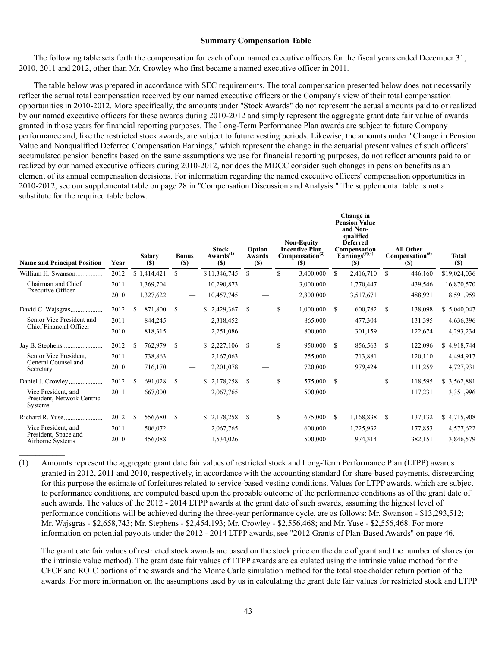#### **Summary Compensation Table**

The following table sets forth the compensation for each of our named executive officers for the fiscal years ended December 31, 2010, 2011 and 2012, other than Mr. Crowley who first became a named executive officer in 2011.

The table below was prepared in accordance with SEC requirements. The total compensation presented below does not necessarily reflect the actual total compensation received by our named executive officers or the Company's view of their total compensation opportunities in 2010-2012. More specifically, the amounts under "Stock Awards" do not represent the actual amounts paid to or realized by our named executive officers for these awards during 2010-2012 and simply represent the aggregate grant date fair value of awards granted in those years for financial reporting purposes. The Long-Term Performance Plan awards are subject to future Company performance and, like the restricted stock awards, are subject to future vesting periods. Likewise, the amounts under "Change in Pension Value and Nonqualified Deferred Compensation Earnings," which represent the change in the actuarial present values of such officers' accumulated pension benefits based on the same assumptions we use for financial reporting purposes, do not reflect amounts paid to or realized by our named executive officers during 2010-2012, nor does the MDCC consider such changes in pension benefits as an element of its annual compensation decisions. For information regarding the named executive officers' compensation opportunities in 2010-2012, see our supplemental table on page 28 in "Compensation Discussion and Analysis." The supplemental table is not a substitute for the required table below.

|                                                                     |      |     |                      |               |                               |    |                                              |               |                                        |               |                                                                                         |               | Change in<br><b>Pension Value</b><br>and Non-<br>qualified         |               |                                                                |                     |
|---------------------------------------------------------------------|------|-----|----------------------|---------------|-------------------------------|----|----------------------------------------------|---------------|----------------------------------------|---------------|-----------------------------------------------------------------------------------------|---------------|--------------------------------------------------------------------|---------------|----------------------------------------------------------------|---------------------|
| <b>Name and Principal Position</b>                                  | Year |     | <b>Salary</b><br>(S) |               | <b>Bonus</b><br>(S)           |    | <b>Stock</b><br>$Awards^{(1)}$<br><b>(S)</b> |               | Option<br><b>Awards</b><br><b>(\$)</b> |               | <b>Non-Equity</b><br><b>Incentive Plan</b><br>Compensation <sup>(2)</sup><br><b>(S)</b> |               | <b>Deferred</b><br>Compensation<br>Earnings $(3)(4)$<br><b>(S)</b> |               | <b>All Other</b><br>Compensation <sup>(5)</sup><br><b>(\$)</b> | <b>Total</b><br>(S) |
| William H. Swanson                                                  | 2012 |     | \$1,414,421          | $\mathbb{S}$  |                               |    | \$11,346,745                                 | $\mathbf S$   |                                        | \$.           | 3,400,000                                                                               | $\mathcal{S}$ | 2,416,710                                                          | \$.           | 446,160                                                        | \$19,024,036        |
| Chairman and Chief<br><b>Executive Officer</b>                      | 2011 |     | 1,369,704            |               | $\overbrace{\phantom{12333}}$ |    | 10,290,873                                   |               |                                        |               | 3,000,000                                                                               |               | 1,770,447                                                          |               | 439,546                                                        | 16,870,570          |
|                                                                     | 2010 |     | 1,327,622            |               | $\overbrace{\phantom{12333}}$ |    | 10,457,745                                   |               |                                        |               | 2,800,000                                                                               |               | 3,517,671                                                          |               | 488,921                                                        | 18,591,959          |
|                                                                     | 2012 | \$  | 871,800              | <sup>\$</sup> |                               |    | \$2,429,367                                  | S             | $\overline{\phantom{0}}$               | S             | 1,000,000                                                                               | -8            | 600,782                                                            | <sup>\$</sup> | 138,098                                                        | \$5,040,047         |
| Senior Vice President and                                           | 2011 |     | 844,245              |               | $\overbrace{\phantom{aaaaa}}$ |    | 2,318,452                                    |               |                                        |               | 865,000                                                                                 |               | 477,304                                                            |               | 131,395                                                        | 4,636,396           |
| Chief Financial Officer                                             | 2010 |     | 818,315              |               | $\qquad \qquad -$             |    | 2,251,086                                    |               |                                        |               | 800,000                                                                                 |               | 301,159                                                            |               | 122,674                                                        | 4,293,234           |
|                                                                     | 2012 | \$. | 762,979              | <sup>\$</sup> | $\overline{\phantom{0}}$      | S. | 2,227,106                                    | -S            | $\qquad \qquad$                        | <sup>\$</sup> | 950,000                                                                                 | - \$          | 856,563                                                            | <sup>\$</sup> | 122,096                                                        | \$4,918,744         |
| Senior Vice President,                                              | 2011 |     | 738,863              |               | $\overline{\phantom{0}}$      |    | 2,167,063                                    |               |                                        |               | 755,000                                                                                 |               | 713,881                                                            |               | 120,110                                                        | 4,494,917           |
| General Counsel and<br>Secretary                                    | 2010 |     | 716,170              |               | $\overbrace{\phantom{12333}}$ |    | 2,201,078                                    |               |                                        |               | 720,000                                                                                 |               | 979,424                                                            |               | 111,259                                                        | 4,727,931           |
| Daniel J. Crowley                                                   | 2012 | \$. | 691,028              | <sup>S</sup>  | $\overline{\phantom{0}}$      | \$ | 2,178,258                                    | <sup>\$</sup> | $\qquad \qquad -$                      | <sup>\$</sup> | 575,000                                                                                 | - \$          |                                                                    | \$            | 118,595                                                        | \$3,562,881         |
| Vice President, and<br>President, Network Centric<br><b>Systems</b> | 2011 |     | 667,000              |               | $\overline{\phantom{0}}$      |    | 2,067,765                                    |               |                                        |               | 500,000                                                                                 |               |                                                                    |               | 117,231                                                        | 3,351,996           |
|                                                                     | 2012 | -S  | 556,680              | <sup>\$</sup> | $\overline{\phantom{0}}$      | S. | 2,178,258                                    | <sup>S</sup>  | $\overline{\phantom{0}}$               | -S            | 675,000                                                                                 | -S            | 1,168,838                                                          | <sup>\$</sup> | 137,132                                                        | \$4,715,908         |
| Vice President, and                                                 | 2011 |     | 506,072              |               | $\overline{\phantom{0}}$      |    | 2,067,765                                    |               |                                        |               | 600,000                                                                                 |               | 1,225,932                                                          |               | 177,853                                                        | 4,577,622           |
| President, Space and<br>Airborne Systems                            | 2010 |     | 456,088              |               | $\overbrace{\phantom{12333}}$ |    | 1,534,026                                    |               |                                        |               | 500,000                                                                                 |               | 974,314                                                            |               | 382,151                                                        | 3,846,579           |

(1) Amounts represent the aggregate grant date fair values of restricted stock and Long-Term Performance Plan (LTPP) awards granted in 2012, 2011 and 2010, respectively, in accordance with the accounting standard for share-based payments, disregarding for this purpose the estimate of forfeitures related to service-based vesting conditions. Values for LTPP awards, which are subject to performance conditions, are computed based upon the probable outcome of the performance conditions as of the grant date of such awards. The values of the 2012 - 2014 LTPP awards at the grant date of such awards, assuming the highest level of performance conditions will be achieved during the three-year performance cycle, are as follows: Mr. Swanson - \$13,293,512; Mr. Wajsgras - \$2,658,743; Mr. Stephens - \$2,454,193; Mr. Crowley - \$2,556,468; and Mr. Yuse - \$2,556,468. For more information on potential payouts under the 2012 - 2014 LTPP awards, see "2012 Grants of Plan-Based Awards" on page 46.

 $\frac{1}{2}$ 

The grant date fair values of restricted stock awards are based on the stock price on the date of grant and the number of shares (or the intrinsic value method). The grant date fair values of LTPP awards are calculated using the intrinsic value method for the CFCF and ROIC portions of the awards and the Monte Carlo simulation method for the total stockholder return portion of the awards. For more information on the assumptions used by us in calculating the grant date fair values for restricted stock and LTPP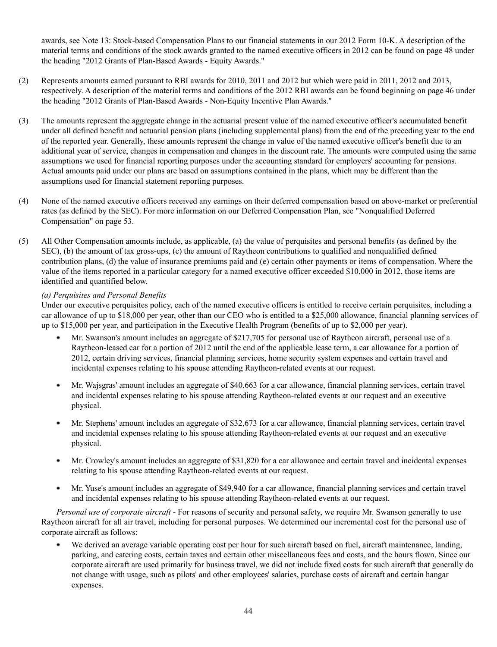awards, see Note 13: Stock-based Compensation Plans to our financial statements in our 2012 Form 10-K. A description of the material terms and conditions of the stock awards granted to the named executive officers in 2012 can be found on page 48 under the heading "2012 Grants of Plan-Based Awards - Equity Awards."

- (2) Represents amounts earned pursuant to RBI awards for 2010, 2011 and 2012 but which were paid in 2011, 2012 and 2013, respectively. A description of the material terms and conditions of the 2012 RBI awards can be found beginning on page 46 under the heading "2012 Grants of Plan-Based Awards - Non-Equity Incentive Plan Awards."
- (3) The amounts represent the aggregate change in the actuarial present value of the named executive officer's accumulated benefit under all defined benefit and actuarial pension plans (including supplemental plans) from the end of the preceding year to the end of the reported year. Generally, these amounts represent the change in value of the named executive officer's benefit due to an additional year of service, changes in compensation and changes in the discount rate. The amounts were computed using the same assumptions we used for financial reporting purposes under the accounting standard for employers' accounting for pensions. Actual amounts paid under our plans are based on assumptions contained in the plans, which may be different than the assumptions used for financial statement reporting purposes.
- (4) None of the named executive officers received any earnings on their deferred compensation based on above-market or preferential rates (as defined by the SEC). For more information on our Deferred Compensation Plan, see "Nonqualified Deferred Compensation" on page 53.
- (5) All Other Compensation amounts include, as applicable, (a) the value of perquisites and personal benefits (as defined by the SEC), (b) the amount of tax gross-ups, (c) the amount of Raytheon contributions to qualified and nonqualified defined contribution plans, (d) the value of insurance premiums paid and (e) certain other payments or items of compensation. Where the value of the items reported in a particular category for a named executive officer exceeded \$10,000 in 2012, those items are identified and quantified below.

# *(a) Perquisites and Personal Benefits*

Under our executive perquisites policy, each of the named executive officers is entitled to receive certain perquisites, including a car allowance of up to \$18,000 per year, other than our CEO who is entitled to a \$25,000 allowance, financial planning services of up to \$15,000 per year, and participation in the Executive Health Program (benefits of up to \$2,000 per year).

- Mr. Swanson's amount includes an aggregate of \$217,705 for personal use of Raytheon aircraft, personal use of a Raytheon-leased car for a portion of 2012 until the end of the applicable lease term, a car allowance for a portion of 2012, certain driving services, financial planning services, home security system expenses and certain travel and incidental expenses relating to his spouse attending Raytheon-related events at our request.
- Mr. Wajsgras' amount includes an aggregate of \$40,663 for a car allowance, financial planning services, certain travel ٠ and incidental expenses relating to his spouse attending Raytheon-related events at our request and an executive physical.
- Mr. Stephens' amount includes an aggregate of \$32,673 for a car allowance, financial planning services, certain travel and incidental expenses relating to his spouse attending Raytheon-related events at our request and an executive physical.
- Mr. Crowley's amount includes an aggregate of \$31,820 for a car allowance and certain travel and incidental expenses relating to his spouse attending Raytheon-related events at our request.
- Mr. Yuse's amount includes an aggregate of \$49,940 for a car allowance, financial planning services and certain travel ٠ and incidental expenses relating to his spouse attending Raytheon-related events at our request.

*Personal use of corporate aircraft* - For reasons of security and personal safety, we require Mr. Swanson generally to use Raytheon aircraft for all air travel, including for personal purposes. We determined our incremental cost for the personal use of corporate aircraft as follows:

We derived an average variable operating cost per hour for such aircraft based on fuel, aircraft maintenance, landing, parking, and catering costs, certain taxes and certain other miscellaneous fees and costs, and the hours flown. Since our corporate aircraft are used primarily for business travel, we did not include fixed costs for such aircraft that generally do not change with usage, such as pilots' and other employees' salaries, purchase costs of aircraft and certain hangar expenses.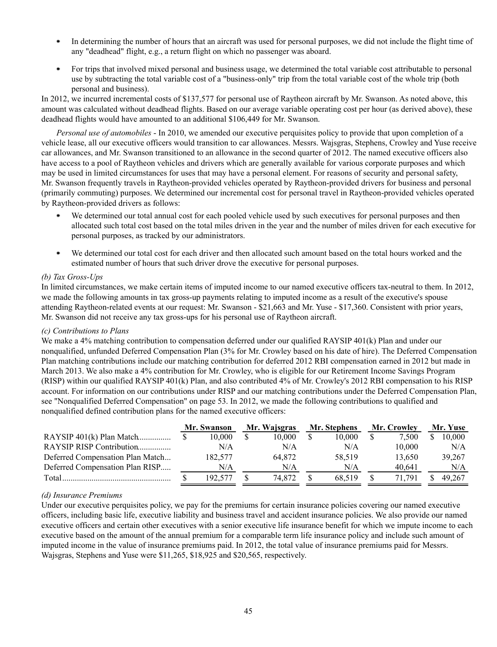- In determining the number of hours that an aircraft was used for personal purposes, we did not include the flight time of any "deadhead" flight, e.g., a return flight on which no passenger was aboard.
- $\bullet$ For trips that involved mixed personal and business usage, we determined the total variable cost attributable to personal use by subtracting the total variable cost of a "business-only" trip from the total variable cost of the whole trip (both personal and business).

In 2012, we incurred incremental costs of \$137,577 for personal use of Raytheon aircraft by Mr. Swanson. As noted above, this amount was calculated without deadhead flights. Based on our average variable operating cost per hour (as derived above), these deadhead flights would have amounted to an additional \$106,449 for Mr. Swanson.

*Personal use of automobiles* - In 2010, we amended our executive perquisites policy to provide that upon completion of a vehicle lease, all our executive officers would transition to car allowances. Messrs. Wajsgras, Stephens, Crowley and Yuse receive car allowances, and Mr. Swanson transitioned to an allowance in the second quarter of 2012. The named executive officers also have access to a pool of Raytheon vehicles and drivers which are generally available for various corporate purposes and which may be used in limited circumstances for uses that may have a personal element. For reasons of security and personal safety, Mr. Swanson frequently travels in Raytheon-provided vehicles operated by Raytheon-provided drivers for business and personal (primarily commuting) purposes. We determined our incremental cost for personal travel in Raytheon-provided vehicles operated by Raytheon-provided drivers as follows:

- We determined our total annual cost for each pooled vehicle used by such executives for personal purposes and then allocated such total cost based on the total miles driven in the year and the number of miles driven for each executive for personal purposes, as tracked by our administrators.
- We determined our total cost for each driver and then allocated such amount based on the total hours worked and the . estimated number of hours that such driver drove the executive for personal purposes.

# *(b) Tax Gross-Ups*

In limited circumstances, we make certain items of imputed income to our named executive officers tax-neutral to them. In 2012, we made the following amounts in tax gross-up payments relating to imputed income as a result of the executive's spouse attending Raytheon-related events at our request: Mr. Swanson - \$21,663 and Mr. Yuse - \$17,360. Consistent with prior years, Mr. Swanson did not receive any tax gross-ups for his personal use of Raytheon aircraft.

## *(c) Contributions to Plans*

We make a 4% matching contribution to compensation deferred under our qualified RAYSIP 401(k) Plan and under our nonqualified, unfunded Deferred Compensation Plan (3% for Mr. Crowley based on his date of hire). The Deferred Compensation Plan matching contributions include our matching contribution for deferred 2012 RBI compensation earned in 2012 but made in March 2013. We also make a 4% contribution for Mr. Crowley, who is eligible for our Retirement Income Savings Program (RISP) within our qualified RAYSIP 401(k) Plan, and also contributed 4% of Mr. Crowley's 2012 RBI compensation to his RISP account. For information on our contributions under RISP and our matching contributions under the Deferred Compensation Plan, see "Nonqualified Deferred Compensation" on page 53. In 2012, we made the following contributions to qualified and nonqualified defined contribution plans for the named executive officers:

|                                  | Mr. Swanson | Mr. Wajsgras | Mr. Stephens | Mr. Crowley | Mr. Yuse |
|----------------------------------|-------------|--------------|--------------|-------------|----------|
| RAYSIP 401(k) Plan Match         | 10.000      | 10.000       | 10.000       | 7,500       | 10.000   |
| RAYSIP RISP Contribution         | N/A         | N/A          | N/A          | 10.000      | N/A      |
| Deferred Compensation Plan Match | 182.577     | 64.872       | 58.519       | 13,650      | 39,267   |
| Deferred Compensation Plan RISP  | N/A         | N/A          | N/A          | 40.641      | N/A      |
| Total                            | 192,577     | 74.872       | 68.519       | 71.791      | 49.267   |

## *(d) Insurance Premiums*

Under our executive perquisites policy, we pay for the premiums for certain insurance policies covering our named executive officers, including basic life, executive liability and business travel and accident insurance policies. We also provide our named executive officers and certain other executives with a senior executive life insurance benefit for which we impute income to each executive based on the amount of the annual premium for a comparable term life insurance policy and include such amount of imputed income in the value of insurance premiums paid. In 2012, the total value of insurance premiums paid for Messrs. Wajsgras, Stephens and Yuse were \$11,265, \$18,925 and \$20,565, respectively.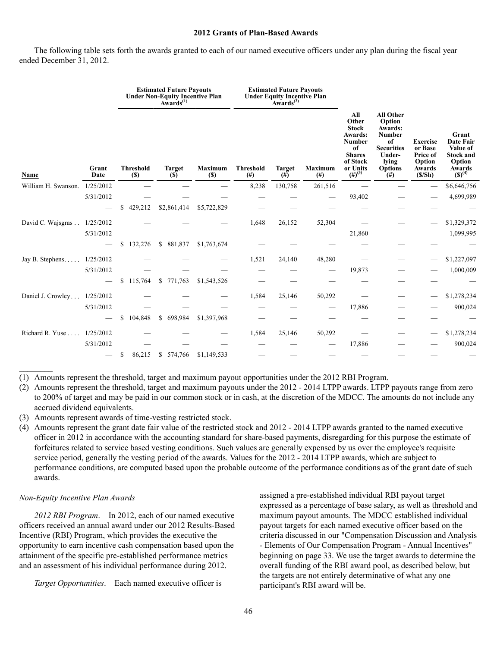#### **2012 Grants of Plan-Based Awards**

The following table sets forth the awards granted to each of our named executive officers under any plan during the fiscal year ended December 31, 2012.

|                             |               |                            | <b>Estimated Future Payouts</b><br>Under Non-Equity Incentive Plan<br>Awards <sup>(1)</sup> |                       |                         | <b>Estimated Future Payouts</b><br>Under Equity Incentive Plan<br>Awards <sup>(2)</sup> |                             |                                                                                                                         |                                                                                                                                  |                                                                      |                                                                                              |  |
|-----------------------------|---------------|----------------------------|---------------------------------------------------------------------------------------------|-----------------------|-------------------------|-----------------------------------------------------------------------------------------|-----------------------------|-------------------------------------------------------------------------------------------------------------------------|----------------------------------------------------------------------------------------------------------------------------------|----------------------------------------------------------------------|----------------------------------------------------------------------------------------------|--|
| Name                        | Grant<br>Date | <b>Threshold</b><br>$(\$)$ | <b>Target</b><br>(S)                                                                        | <b>Maximum</b><br>(S) | <b>Threshold</b><br>(#) | <b>Target</b><br>$^{(#)}$                                                               | <b>Maximum</b><br>$($ # $)$ | All<br>Other<br><b>Stock</b><br><b>Awards:</b><br>Number<br>of<br><b>Shares</b><br>of Stock<br>or Units<br>$(\#)^{(3)}$ | <b>All Other</b><br>Option<br><b>Awards:</b><br>Number<br>of<br><b>Securities</b><br>Under-<br>lying<br><b>Options</b><br>$(\#)$ | <b>Exercise</b><br>or Base<br>Price of<br>Option<br>Awards<br>(S/Sh) | Grant<br><b>Date Fair</b><br>Value of<br><b>Stock and</b><br>Option<br>Awards<br>$(S)^{(4)}$ |  |
| William H. Swanson.         | 1/25/2012     |                            |                                                                                             |                       | 8,238                   | 130,758                                                                                 | 261,516                     |                                                                                                                         |                                                                                                                                  |                                                                      | \$6,646,756                                                                                  |  |
|                             | 5/31/2012     |                            |                                                                                             |                       |                         |                                                                                         |                             | 93,402                                                                                                                  |                                                                                                                                  |                                                                      | 4,699,989                                                                                    |  |
|                             |               | \$<br>429,212              | \$2,861,414                                                                                 | \$5,722,829           |                         |                                                                                         |                             |                                                                                                                         |                                                                                                                                  |                                                                      |                                                                                              |  |
| David C. Wajsgras           | 1/25/2012     |                            |                                                                                             |                       | 1,648                   | 26,152                                                                                  | 52,304                      |                                                                                                                         |                                                                                                                                  |                                                                      | \$1,329,372                                                                                  |  |
|                             | 5/31/2012     |                            |                                                                                             |                       |                         |                                                                                         |                             | 21,860                                                                                                                  |                                                                                                                                  |                                                                      | 1,099,995                                                                                    |  |
|                             |               | 132,276<br>\$              | \$ 881,837                                                                                  | \$1,763,674           |                         |                                                                                         |                             |                                                                                                                         |                                                                                                                                  |                                                                      |                                                                                              |  |
| Jay B. Stephens. $\ldots$ . | 1/25/2012     |                            |                                                                                             |                       | 1,521                   | 24,140                                                                                  | 48,280                      |                                                                                                                         |                                                                                                                                  |                                                                      | \$1,227,097                                                                                  |  |
|                             | 5/31/2012     |                            |                                                                                             |                       |                         |                                                                                         |                             | 19,873                                                                                                                  |                                                                                                                                  |                                                                      | 1,000,009                                                                                    |  |
|                             |               | \$<br>115,764              | \$771,763                                                                                   | \$1,543,526           |                         |                                                                                         |                             |                                                                                                                         |                                                                                                                                  |                                                                      |                                                                                              |  |
| Daniel J. Crowley           | 1/25/2012     |                            |                                                                                             |                       | 1,584                   | 25,146                                                                                  | 50,292                      |                                                                                                                         |                                                                                                                                  |                                                                      | \$1,278,234                                                                                  |  |
|                             | 5/31/2012     |                            |                                                                                             |                       |                         |                                                                                         |                             | 17,886                                                                                                                  |                                                                                                                                  |                                                                      | 900,024                                                                                      |  |
|                             |               | 104,848<br>\$              | \$698,984                                                                                   | \$1,397,968           |                         |                                                                                         |                             |                                                                                                                         |                                                                                                                                  |                                                                      |                                                                                              |  |
| Richard R. Yuse             | 1/25/2012     |                            |                                                                                             |                       | 1,584                   | 25,146                                                                                  | 50,292                      |                                                                                                                         |                                                                                                                                  |                                                                      | \$1,278,234                                                                                  |  |
|                             | 5/31/2012     |                            |                                                                                             |                       |                         |                                                                                         |                             | 17,886                                                                                                                  |                                                                                                                                  |                                                                      | 900,024                                                                                      |  |
|                             |               | 86,215<br>\$               | \$574,766                                                                                   | \$1,149,533           |                         |                                                                                         |                             |                                                                                                                         |                                                                                                                                  |                                                                      |                                                                                              |  |

(1) Amounts represent the threshold, target and maximum payout opportunities under the 2012 RBI Program.

- (2) Amounts represent the threshold, target and maximum payouts under the 2012 2014 LTPP awards. LTPP payouts range from zero to 200% of target and may be paid in our common stock or in cash, at the discretion of the MDCC. The amounts do not include any accrued dividend equivalents.
- (3) Amounts represent awards of time-vesting restricted stock.
- (4) Amounts represent the grant date fair value of the restricted stock and 2012 2014 LTPP awards granted to the named executive officer in 2012 in accordance with the accounting standard for share-based payments, disregarding for this purpose the estimate of forfeitures related to service based vesting conditions. Such values are generally expensed by us over the employee's requisite service period, generally the vesting period of the awards. Values for the 2012 - 2014 LTPP awards, which are subject to performance conditions, are computed based upon the probable outcome of the performance conditions as of the grant date of such awards.

## *Non-Equity Incentive Plan Awards*

 $\mathcal{L}_\text{max}$ 

*2012 RBI Program*. In 2012, each of our named executive officers received an annual award under our 2012 Results-Based Incentive (RBI) Program, which provides the executive the opportunity to earn incentive cash compensation based upon the attainment of the specific pre-established performance metrics and an assessment of his individual performance during 2012.

*Target Opportunities*. Each named executive officer is

assigned a pre-established individual RBI payout target expressed as a percentage of base salary, as well as threshold and maximum payout amounts. The MDCC established individual payout targets for each named executive officer based on the criteria discussed in our "Compensation Discussion and Analysis - Elements of Our Compensation Program - Annual Incentives" beginning on page 33. We use the target awards to determine the overall funding of the RBI award pool, as described below, but the targets are not entirely determinative of what any one participant's RBI award will be.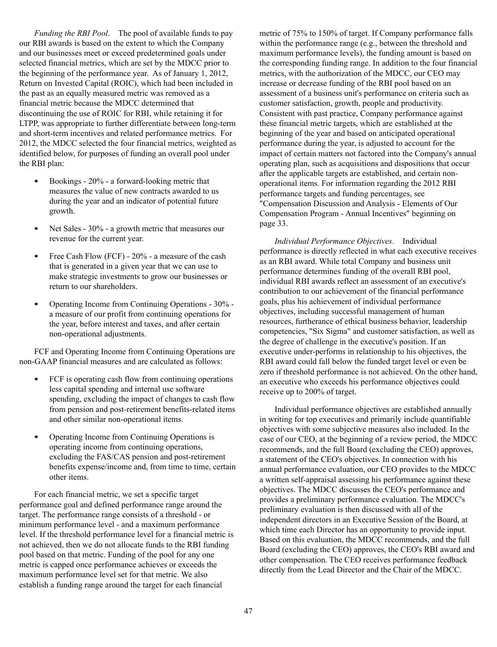*Funding the RBI Pool*. The pool of available funds to pay our RBI awards is based on the extent to which the Company and our businesses meet or exceed predetermined goals under selected financial metrics, which are set by the MDCC prior to the beginning of the performance year. As of January 1, 2012, Return on Invested Capital (ROIC), which had been included in the past as an equally measured metric was removed as a financial metric because the MDCC determined that discontinuing the use of ROIC for RBI, while retaining it for LTPP, was appropriate to further differentiate between long-term and short-term incentives and related performance metrics. For 2012, the MDCC selected the four financial metrics, weighted as identified below, for purposes of funding an overall pool under the RBI plan:

- $\bullet$ Bookings - 20% - a forward-looking metric that measures the value of new contracts awarded to us during the year and an indicator of potential future growth.
- Net Sales 30% a growth metric that measures our ۰ revenue for the current year.
- Free Cash Flow (FCF) 20% a measure of the cash  $\bullet$ that is generated in a given year that we can use to make strategic investments to grow our businesses or return to our shareholders.
- Operating Income from Continuing Operations 30%  $\bullet$ a measure of our profit from continuing operations for the year, before interest and taxes, and after certain non-operational adjustments.

FCF and Operating Income from Continuing Operations are non-GAAP financial measures and are calculated as follows:

- FCF is operating cash flow from continuing operations  $\bullet$ less capital spending and internal use software spending, excluding the impact of changes to cash flow from pension and post-retirement benefits-related items and other similar non-operational items.
- Operating Income from Continuing Operations is  $\bullet$ operating income from continuing operations, excluding the FAS/CAS pension and post-retirement benefits expense/income and, from time to time, certain other items.

For each financial metric, we set a specific target performance goal and defined performance range around the target. The performance range consists of a threshold - or minimum performance level - and a maximum performance level. If the threshold performance level for a financial metric is not achieved, then we do not allocate funds to the RBI funding pool based on that metric. Funding of the pool for any one metric is capped once performance achieves or exceeds the maximum performance level set for that metric. We also establish a funding range around the target for each financial

metric of 75% to 150% of target. If Company performance falls within the performance range (e.g., between the threshold and maximum performance levels), the funding amount is based on the corresponding funding range. In addition to the four financial metrics, with the authorization of the MDCC, our CEO may increase or decrease funding of the RBI pool based on an assessment of a business unit's performance on criteria such as customer satisfaction, growth, people and productivity. Consistent with past practice, Company performance against these financial metric targets, which are established at the beginning of the year and based on anticipated operational performance during the year, is adjusted to account for the impact of certain matters not factored into the Company's annual operating plan, such as acquisitions and dispositions that occur after the applicable targets are established, and certain nonoperational items. For information regarding the 2012 RBI performance targets and funding percentages, see "Compensation Discussion and Analysis - Elements of Our Compensation Program - Annual Incentives" beginning on page 33.

*Individual Performance Objectives*. Individual performance is directly reflected in what each executive receives as an RBI award. While total Company and business unit performance determines funding of the overall RBI pool, individual RBI awards reflect an assessment of an executive's contribution to our achievement of the financial performance goals, plus his achievement of individual performance objectives, including successful management of human resources, furtherance of ethical business behavior, leadership competencies, "Six Sigma" and customer satisfaction, as well as the degree of challenge in the executive's position. If an executive under-performs in relationship to his objectives, the RBI award could fall below the funded target level or even be zero if threshold performance is not achieved. On the other hand, an executive who exceeds his performance objectives could receive up to 200% of target.

Individual performance objectives are established annually in writing for top executives and primarily include quantifiable objectives with some subjective measures also included. In the case of our CEO, at the beginning of a review period, the MDCC recommends, and the full Board (excluding the CEO) approves, a statement of the CEO's objectives. In connection with his annual performance evaluation, our CEO provides to the MDCC a written self-appraisal assessing his performance against these objectives. The MDCC discusses the CEO's performance and provides a preliminary performance evaluation. The MDCC's preliminary evaluation is then discussed with all of the independent directors in an Executive Session of the Board, at which time each Director has an opportunity to provide input. Based on this evaluation, the MDCC recommends, and the full Board (excluding the CEO) approves, the CEO's RBI award and other compensation. The CEO receives performance feedback directly from the Lead Director and the Chair of the MDCC.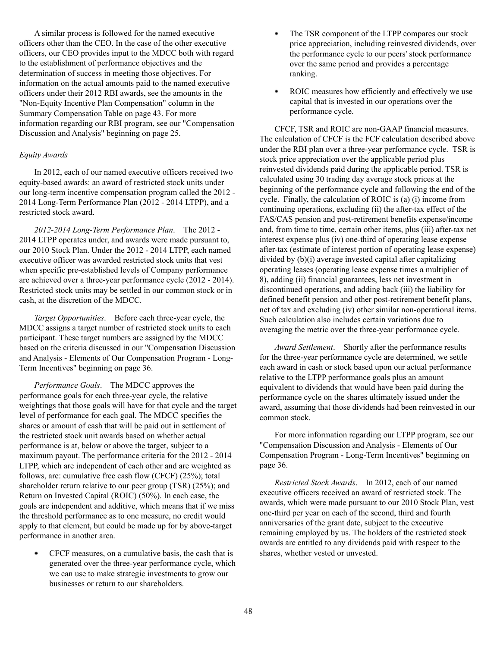A similar process is followed for the named executive officers other than the CEO. In the case of the other executive officers, our CEO provides input to the MDCC both with regard to the establishment of performance objectives and the determination of success in meeting those objectives. For information on the actual amounts paid to the named executive officers under their 2012 RBI awards, see the amounts in the "Non-Equity Incentive Plan Compensation" column in the Summary Compensation Table on page 43. For more information regarding our RBI program, see our "Compensation Discussion and Analysis" beginning on page 25.

## *Equity Awards*

In 2012, each of our named executive officers received two equity-based awards: an award of restricted stock units under our long-term incentive compensation program called the 2012 - 2014 Long-Term Performance Plan (2012 - 2014 LTPP), and a restricted stock award.

*2012-2014 Long-Term Performance Plan*. The 2012 - 2014 LTPP operates under, and awards were made pursuant to, our 2010 Stock Plan. Under the 2012 - 2014 LTPP, each named executive officer was awarded restricted stock units that vest when specific pre-established levels of Company performance are achieved over a three-year performance cycle (2012 - 2014). Restricted stock units may be settled in our common stock or in cash, at the discretion of the MDCC.

*Target Opportunities*. Before each three-year cycle, the MDCC assigns a target number of restricted stock units to each participant. These target numbers are assigned by the MDCC based on the criteria discussed in our "Compensation Discussion and Analysis - Elements of Our Compensation Program - Long-Term Incentives" beginning on page 36.

*Performance Goals*. The MDCC approves the performance goals for each three-year cycle, the relative weightings that those goals will have for that cycle and the target level of performance for each goal. The MDCC specifies the shares or amount of cash that will be paid out in settlement of the restricted stock unit awards based on whether actual performance is at, below or above the target, subject to a maximum payout. The performance criteria for the 2012 - 2014 LTPP, which are independent of each other and are weighted as follows, are: cumulative free cash flow (CFCF) (25%); total shareholder return relative to our peer group (TSR) (25%); and Return on Invested Capital (ROIC) (50%). In each case, the goals are independent and additive, which means that if we miss the threshold performance as to one measure, no credit would apply to that element, but could be made up for by above-target performance in another area.

 $\bullet$ CFCF measures, on a cumulative basis, the cash that is generated over the three-year performance cycle, which we can use to make strategic investments to grow our businesses or return to our shareholders.

- ٠ The TSR component of the LTPP compares our stock price appreciation, including reinvested dividends, over the performance cycle to our peers' stock performance over the same period and provides a percentage ranking.
- . ROIC measures how efficiently and effectively we use capital that is invested in our operations over the performance cycle.

CFCF, TSR and ROIC are non-GAAP financial measures. The calculation of CFCF is the FCF calculation described above under the RBI plan over a three-year performance cycle. TSR is stock price appreciation over the applicable period plus reinvested dividends paid during the applicable period. TSR is calculated using 30 trading day average stock prices at the beginning of the performance cycle and following the end of the cycle. Finally, the calculation of ROIC is (a) (i) income from continuing operations, excluding (ii) the after-tax effect of the FAS/CAS pension and post-retirement benefits expense/income and, from time to time, certain other items, plus (iii) after-tax net interest expense plus (iv) one-third of operating lease expense after-tax (estimate of interest portion of operating lease expense) divided by (b)(i) average invested capital after capitalizing operating leases (operating lease expense times a multiplier of 8), adding (ii) financial guarantees, less net investment in discontinued operations, and adding back (iii) the liability for defined benefit pension and other post-retirement benefit plans, net of tax and excluding (iv) other similar non-operational items. Such calculation also includes certain variations due to averaging the metric over the three-year performance cycle.

*Award Settlement*. Shortly after the performance results for the three-year performance cycle are determined, we settle each award in cash or stock based upon our actual performance relative to the LTPP performance goals plus an amount equivalent to dividends that would have been paid during the performance cycle on the shares ultimately issued under the award, assuming that those dividends had been reinvested in our common stock.

For more information regarding our LTPP program, see our "Compensation Discussion and Analysis - Elements of Our Compensation Program - Long-Term Incentives" beginning on page 36.

*Restricted Stock Awards*. In 2012, each of our named executive officers received an award of restricted stock. The awards, which were made pursuant to our 2010 Stock Plan, vest one-third per year on each of the second, third and fourth anniversaries of the grant date, subject to the executive remaining employed by us. The holders of the restricted stock awards are entitled to any dividends paid with respect to the shares, whether vested or unvested.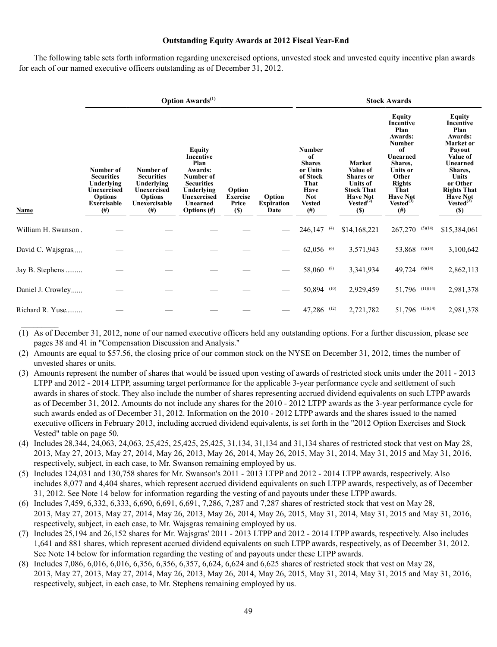## **Outstanding Equity Awards at 2012 Fiscal Year-End**

The following table sets forth information regarding unexercised options, unvested stock and unvested equity incentive plan awards for each of our named executive officers outstanding as of December 31, 2012.

|                     |                                                                                                          |                                                                                                            | <b>Option Awards</b> <sup>(1)</sup>                                                                                                        |                                                  | <b>Stock Awards</b>                 |                                                                                                                  |                                                                                                                                    |                                                                                                                                                                                     |                                                                                                                                                                                                |  |  |
|---------------------|----------------------------------------------------------------------------------------------------------|------------------------------------------------------------------------------------------------------------|--------------------------------------------------------------------------------------------------------------------------------------------|--------------------------------------------------|-------------------------------------|------------------------------------------------------------------------------------------------------------------|------------------------------------------------------------------------------------------------------------------------------------|-------------------------------------------------------------------------------------------------------------------------------------------------------------------------------------|------------------------------------------------------------------------------------------------------------------------------------------------------------------------------------------------|--|--|
| <b>Name</b>         | Number of<br><b>Securities</b><br>Underlying<br>Unexercised<br><b>Options</b><br>Exercisable<br>$^{(#)}$ | Number of<br><b>Securities</b><br>Underlying<br>Unexercised<br><b>Options</b><br>Unexercisable<br>$^{(#)}$ | <b>Equity</b><br>Incentive<br>Plan<br>Awards:<br>Number of<br><b>Securities</b><br>Underlying<br>Unexercised<br>Unearned<br>Options $(\#)$ | Option<br><b>Exercise</b><br>Price<br><b>(S)</b> | Option<br><b>Expiration</b><br>Date | <b>Number</b><br>of<br><b>Shares</b><br>or Units<br>of Stock<br>That<br>Have<br>Not<br><b>Vested</b><br>$^{(#)}$ | Market<br>Value of<br><b>Shares</b> or<br><b>Units of</b><br><b>Stock That</b><br><b>Have Not</b><br>Vested $^{(2)}$<br><b>(S)</b> | Equity<br><b>Incentive</b><br>Plan<br>Awards:<br>Number<br>of<br>Unearned<br>Shares,<br>Units or<br>Other<br><b>Rights</b><br>That<br><b>Have Not</b><br>$Vested^{(3)}$<br>$^{(#)}$ | Equity<br>Incentive<br>Plan<br>Awards:<br>Market or<br>Payout<br>Value of<br>Unearned<br>Shares,<br><b>Units</b><br>or Other<br><b>Rights That</b><br><b>Have Not</b><br>$Vested^{(2)}$<br>(S) |  |  |
| William H. Swanson. |                                                                                                          |                                                                                                            |                                                                                                                                            |                                                  |                                     | $246,147$ <sup>(4)</sup>                                                                                         | \$14,168,221                                                                                                                       | $267,270$ (5)(14)                                                                                                                                                                   | \$15,384,061                                                                                                                                                                                   |  |  |
| David C. Wajsgras   |                                                                                                          |                                                                                                            |                                                                                                                                            |                                                  |                                     | $62,056$ <sup>(6)</sup>                                                                                          | 3,571,943                                                                                                                          | 53,868 (7)(14)                                                                                                                                                                      | 3,100,642                                                                                                                                                                                      |  |  |
| Jay B. Stephens     |                                                                                                          |                                                                                                            |                                                                                                                                            |                                                  |                                     | 58,060 (8)                                                                                                       | 3,341,934                                                                                                                          | 49,724 (9)(14)                                                                                                                                                                      | 2,862,113                                                                                                                                                                                      |  |  |
| Daniel J. Crowley   |                                                                                                          |                                                                                                            |                                                                                                                                            |                                                  |                                     | 50,894 (10)                                                                                                      | 2,929,459                                                                                                                          | 51,796 (11)(14)                                                                                                                                                                     | 2,981,378                                                                                                                                                                                      |  |  |
| Richard R. Yuse     |                                                                                                          |                                                                                                            |                                                                                                                                            |                                                  |                                     | 47,286 (12)                                                                                                      | 2,721,782                                                                                                                          | 51,796 (13)(14)                                                                                                                                                                     | 2,981,378                                                                                                                                                                                      |  |  |

(1) As of December 31, 2012, none of our named executive officers held any outstanding options. For a further discussion, please see pages 38 and 41 in "Compensation Discussion and Analysis."

(2) Amounts are equal to \$57.56, the closing price of our common stock on the NYSE on December 31, 2012, times the number of unvested shares or units.

- (3) Amounts represent the number of shares that would be issued upon vesting of awards of restricted stock units under the 2011 2013 LTPP and 2012 - 2014 LTPP, assuming target performance for the applicable 3-year performance cycle and settlement of such awards in shares of stock. They also include the number of shares representing accrued dividend equivalents on such LTPP awards as of December 31, 2012. Amounts do not include any shares for the 2010 - 2012 LTPP awards as the 3-year performance cycle for such awards ended as of December 31, 2012. Information on the 2010 - 2012 LTPP awards and the shares issued to the named executive officers in February 2013, including accrued dividend equivalents, is set forth in the "2012 Option Exercises and Stock Vested" table on page 50.
- (4) Includes 28,344, 24,063, 24,063, 25,425, 25,425, 25,425, 31,134, 31,134 and 31,134 shares of restricted stock that vest on May 28, 2013, May 27, 2013, May 27, 2014, May 26, 2013, May 26, 2014, May 26, 2015, May 31, 2014, May 31, 2015 and May 31, 2016, respectively, subject, in each case, to Mr. Swanson remaining employed by us.
- (5) Includes 124,031 and 130,758 shares for Mr. Swanson's 2011 2013 LTPP and 2012 2014 LTPP awards, respectively. Also includes 8,077 and 4,404 shares, which represent accrued dividend equivalents on such LTPP awards, respectively, as of December 31, 2012. See Note 14 below for information regarding the vesting of and payouts under these LTPP awards.
- (6) Includes 7,459, 6,332, 6,333, 6,690, 6,691, 6,691, 7,286, 7,287 and 7,287 shares of restricted stock that vest on May 28, 2013, May 27, 2013, May 27, 2014, May 26, 2013, May 26, 2014, May 26, 2015, May 31, 2014, May 31, 2015 and May 31, 2016, respectively, subject, in each case, to Mr. Wajsgras remaining employed by us.
- (7) Includes 25,194 and 26,152 shares for Mr. Wajsgras' 2011 2013 LTPP and 2012 2014 LTPP awards, respectively. Also includes 1,641 and 881 shares, which represent accrued dividend equivalents on such LTPP awards, respectively, as of December 31, 2012. See Note 14 below for information regarding the vesting of and payouts under these LTPP awards.
- (8) Includes 7,086, 6,016, 6,016, 6,356, 6,356, 6,357, 6,624, 6,624 and 6,625 shares of restricted stock that vest on May 28, 2013, May 27, 2013, May 27, 2014, May 26, 2013, May 26, 2014, May 26, 2015, May 31, 2014, May 31, 2015 and May 31, 2016, respectively, subject, in each case, to Mr. Stephens remaining employed by us.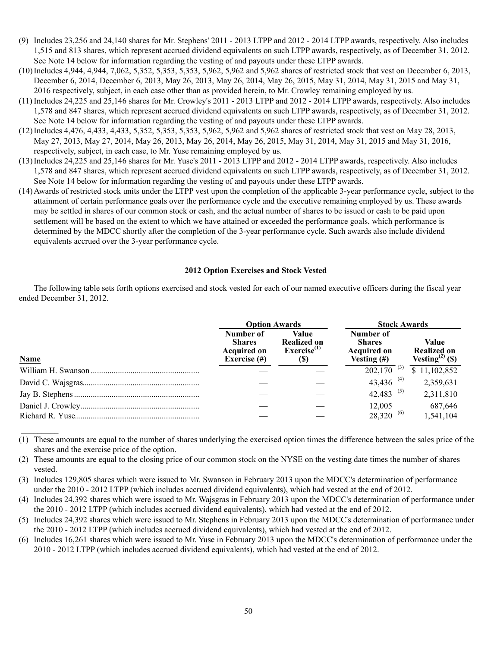- (9) Includes 23,256 and 24,140 shares for Mr. Stephens' 2011 2013 LTPP and 2012 2014 LTPP awards, respectively. Also includes 1,515 and 813 shares, which represent accrued dividend equivalents on such LTPP awards, respectively, as of December 31, 2012. See Note 14 below for information regarding the vesting of and payouts under these LTPP awards.
- (10) Includes 4,944, 4,944, 7,062, 5,352, 5,353, 5,353, 5,962, 5,962 and 5,962 shares of restricted stock that vest on December 6, 2013, December 6, 2014, December 6, 2013, May 26, 2013, May 26, 2014, May 26, 2015, May 31, 2014, May 31, 2015 and May 31, 2016 respectively, subject, in each case other than as provided herein, to Mr. Crowley remaining employed by us.
- (11) Includes 24,225 and 25,146 shares for Mr. Crowley's 2011 2013 LTPP and 2012 2014 LTPP awards, respectively. Also includes 1,578 and 847 shares, which represent accrued dividend equivalents on such LTPP awards, respectively, as of December 31, 2012. See Note 14 below for information regarding the vesting of and payouts under these LTPP awards.
- (12) Includes 4,476, 4,433, 4,433, 5,352, 5,353, 5,353, 5,962, 5,962 and 5,962 shares of restricted stock that vest on May 28, 2013, May 27, 2013, May 27, 2014, May 26, 2013, May 26, 2014, May 26, 2015, May 31, 2014, May 31, 2015 and May 31, 2016, respectively, subject, in each case, to Mr. Yuse remaining employed by us.
- (13) Includes 24,225 and 25,146 shares for Mr. Yuse's 2011 2013 LTPP and 2012 2014 LTPP awards, respectively. Also includes 1,578 and 847 shares, which represent accrued dividend equivalents on such LTPP awards, respectively, as of December 31, 2012. See Note 14 below for information regarding the vesting of and payouts under these LTPP awards.
- (14) Awards of restricted stock units under the LTPP vest upon the completion of the applicable 3-year performance cycle, subject to the attainment of certain performance goals over the performance cycle and the executive remaining employed by us. These awards may be settled in shares of our common stock or cash, and the actual number of shares to be issued or cash to be paid upon settlement will be based on the extent to which we have attained or exceeded the performance goals, which performance is determined by the MDCC shortly after the completion of the 3-year performance cycle. Such awards also include dividend equivalents accrued over the 3-year performance cycle.

# **2012 Option Exercises and Stock Vested**

The following table sets forth options exercised and stock vested for each of our named executive officers during the fiscal year ended December 31, 2012.

|             | <b>Option Awards</b><br><b>Stock Awards</b>                         |                                                               |                                                                    |                                                            |  |  |  |  |
|-------------|---------------------------------------------------------------------|---------------------------------------------------------------|--------------------------------------------------------------------|------------------------------------------------------------|--|--|--|--|
| <b>Name</b> | Number of<br><b>Shares</b><br><b>Acquired on</b><br>Exercise $(\#)$ | Value<br><b>Realized on</b><br>Exercise <sup>(1)</sup><br>(S) | Number of<br><b>Shares</b><br><b>Acquired on</b><br>Vesting $(\#)$ | Value<br><b>Realized on</b><br>Vesting <sup>(2)</sup> (\$) |  |  |  |  |
|             |                                                                     |                                                               | $202,170^{(3)}$                                                    | \$11,102,852                                               |  |  |  |  |
|             |                                                                     |                                                               | 43,436 <sup>(4)</sup>                                              | 2,359,631                                                  |  |  |  |  |
|             |                                                                     |                                                               | 42,483 <sup>(5)</sup>                                              | 2,311,810                                                  |  |  |  |  |
|             |                                                                     |                                                               | 12.005                                                             | 687,646                                                    |  |  |  |  |
|             |                                                                     |                                                               | $28,320^{(6)}$                                                     | 1,541,104                                                  |  |  |  |  |

(1) These amounts are equal to the number of shares underlying the exercised option times the difference between the sales price of the shares and the exercise price of the option.

(2) These amounts are equal to the closing price of our common stock on the NYSE on the vesting date times the number of shares vested.

 $\frac{1}{2}$ 

(3) Includes 129,805 shares which were issued to Mr. Swanson in February 2013 upon the MDCC's determination of performance under the 2010 - 2012 LTPP (which includes accrued dividend equivalents), which had vested at the end of 2012.

(4) Includes 24,392 shares which were issued to Mr. Wajsgras in February 2013 upon the MDCC's determination of performance under the 2010 - 2012 LTPP (which includes accrued dividend equivalents), which had vested at the end of 2012.

(5) Includes 24,392 shares which were issued to Mr. Stephens in February 2013 upon the MDCC's determination of performance under the 2010 - 2012 LTPP (which includes accrued dividend equivalents), which had vested at the end of 2012.

(6) Includes 16,261 shares which were issued to Mr. Yuse in February 2013 upon the MDCC's determination of performance under the 2010 - 2012 LTPP (which includes accrued dividend equivalents), which had vested at the end of 2012.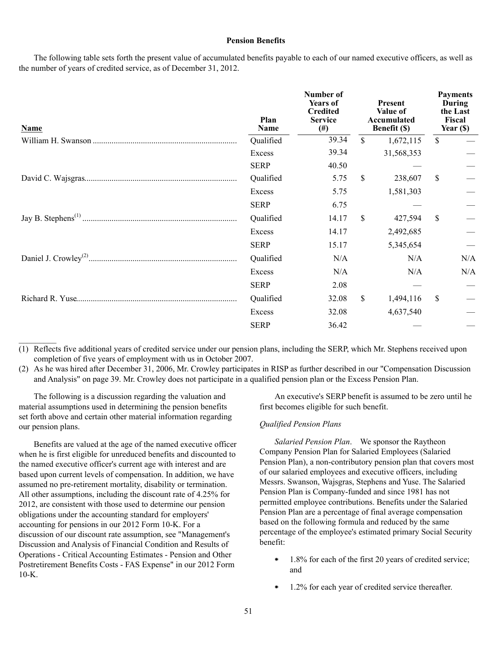#### **Pension Benefits**

The following table sets forth the present value of accumulated benefits payable to each of our named executive officers, as well as the number of years of credited service, as of December 31, 2012.

| <b>Name</b> | Plan<br>Name | Number of<br><b>Years of</b><br><b>Credited</b><br><b>Service</b><br>$^{(#)}$ |                           | <b>Present</b><br>Value of<br>Accumulated<br>Benefit (\$) | <b>Payments</b><br>During<br>the Last<br>Fiscal<br>Year (\$) |     |
|-------------|--------------|-------------------------------------------------------------------------------|---------------------------|-----------------------------------------------------------|--------------------------------------------------------------|-----|
|             | Qualified    | 39.34                                                                         | $\mathbf S$               | 1,672,115                                                 | \$                                                           |     |
|             | Excess       | 39.34                                                                         |                           | 31,568,353                                                |                                                              |     |
|             | <b>SERP</b>  | 40.50                                                                         |                           |                                                           |                                                              |     |
|             | Qualified    | 5.75                                                                          | \$                        | 238,607                                                   | \$                                                           |     |
|             | Excess       | 5.75                                                                          |                           | 1,581,303                                                 |                                                              |     |
|             | <b>SERP</b>  | 6.75                                                                          |                           |                                                           |                                                              |     |
|             | Qualified    | 14.17                                                                         | $\boldsymbol{\mathsf{S}}$ | 427,594                                                   | \$                                                           |     |
|             | Excess       | 14.17                                                                         |                           | 2,492,685                                                 |                                                              |     |
|             | <b>SERP</b>  | 15.17                                                                         |                           | 5,345,654                                                 |                                                              |     |
|             | Qualified    | N/A                                                                           |                           | N/A                                                       |                                                              | N/A |
|             | Excess       | N/A                                                                           |                           | N/A                                                       |                                                              | N/A |
|             | <b>SERP</b>  | 2.08                                                                          |                           |                                                           |                                                              |     |
|             | Qualified    | 32.08                                                                         | \$                        | 1,494,116                                                 | \$                                                           |     |
|             | Excess       | 32.08                                                                         |                           | 4,637,540                                                 |                                                              |     |
|             | <b>SERP</b>  | 36.42                                                                         |                           |                                                           |                                                              |     |

(1) Reflects five additional years of credited service under our pension plans, including the SERP, which Mr. Stephens received upon completion of five years of employment with us in October 2007.

(2) As he was hired after December 31, 2006, Mr. Crowley participates in RISP as further described in our "Compensation Discussion and Analysis" on page 39. Mr. Crowley does not participate in a qualified pension plan or the Excess Pension Plan.

The following is a discussion regarding the valuation and material assumptions used in determining the pension benefits set forth above and certain other material information regarding our pension plans.

 $\mathcal{L}$ 

Benefits are valued at the age of the named executive officer when he is first eligible for unreduced benefits and discounted to the named executive officer's current age with interest and are based upon current levels of compensation. In addition, we have assumed no pre-retirement mortality, disability or termination. All other assumptions, including the discount rate of 4.25% for 2012, are consistent with those used to determine our pension obligations under the accounting standard for employers' accounting for pensions in our 2012 Form 10-K. For a discussion of our discount rate assumption, see "Management's Discussion and Analysis of Financial Condition and Results of Operations - Critical Accounting Estimates - Pension and Other Postretirement Benefits Costs - FAS Expense" in our 2012 Form  $10-K$ .

An executive's SERP benefit is assumed to be zero until he first becomes eligible for such benefit.

# *Qualified Pension Plans*

*Salaried Pension Plan*. We sponsor the Raytheon Company Pension Plan for Salaried Employees (Salaried Pension Plan), a non-contributory pension plan that covers most of our salaried employees and executive officers, including Messrs. Swanson, Wajsgras, Stephens and Yuse. The Salaried Pension Plan is Company-funded and since 1981 has not permitted employee contributions. Benefits under the Salaried Pension Plan are a percentage of final average compensation based on the following formula and reduced by the same percentage of the employee's estimated primary Social Security benefit:

- 1.8% for each of the first 20 years of credited service; ٠ and
- 1.2% for each year of credited service thereafter.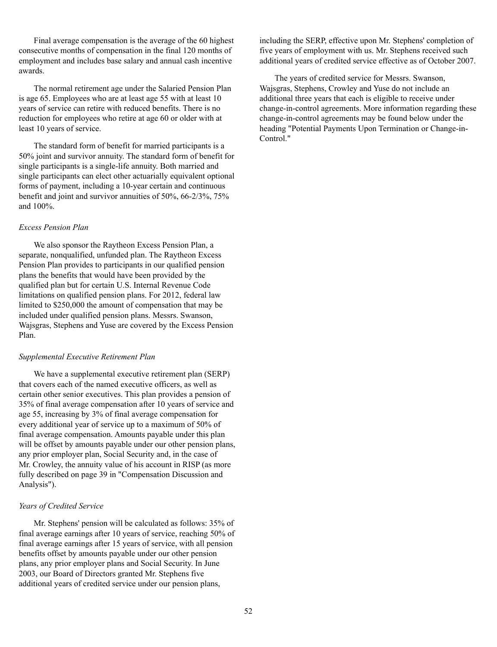Final average compensation is the average of the 60 highest consecutive months of compensation in the final 120 months of employment and includes base salary and annual cash incentive awards.

The normal retirement age under the Salaried Pension Plan is age 65. Employees who are at least age 55 with at least 10 years of service can retire with reduced benefits. There is no reduction for employees who retire at age 60 or older with at least 10 years of service.

The standard form of benefit for married participants is a 50% joint and survivor annuity. The standard form of benefit for single participants is a single-life annuity. Both married and single participants can elect other actuarially equivalent optional forms of payment, including a 10-year certain and continuous benefit and joint and survivor annuities of 50%, 66-2/3%, 75% and 100%.

## *Excess Pension Plan*

We also sponsor the Raytheon Excess Pension Plan, a separate, nonqualified, unfunded plan. The Raytheon Excess Pension Plan provides to participants in our qualified pension plans the benefits that would have been provided by the qualified plan but for certain U.S. Internal Revenue Code limitations on qualified pension plans. For 2012, federal law limited to \$250,000 the amount of compensation that may be included under qualified pension plans. Messrs. Swanson, Wajsgras, Stephens and Yuse are covered by the Excess Pension Plan.

# *Supplemental Executive Retirement Plan*

We have a supplemental executive retirement plan (SERP) that covers each of the named executive officers, as well as certain other senior executives. This plan provides a pension of 35% of final average compensation after 10 years of service and age 55, increasing by 3% of final average compensation for every additional year of service up to a maximum of 50% of final average compensation. Amounts payable under this plan will be offset by amounts payable under our other pension plans. any prior employer plan, Social Security and, in the case of Mr. Crowley, the annuity value of his account in RISP (as more fully described on page 39 in "Compensation Discussion and Analysis").

#### *Years of Credited Service*

Mr. Stephens' pension will be calculated as follows: 35% of final average earnings after 10 years of service, reaching 50% of final average earnings after 15 years of service, with all pension benefits offset by amounts payable under our other pension plans, any prior employer plans and Social Security. In June 2003, our Board of Directors granted Mr. Stephens five additional years of credited service under our pension plans,

including the SERP, effective upon Mr. Stephens' completion of five years of employment with us. Mr. Stephens received such additional years of credited service effective as of October 2007.

The years of credited service for Messrs. Swanson, Wajsgras, Stephens, Crowley and Yuse do not include an additional three years that each is eligible to receive under change-in-control agreements. More information regarding these change-in-control agreements may be found below under the heading "Potential Payments Upon Termination or Change-in-Control."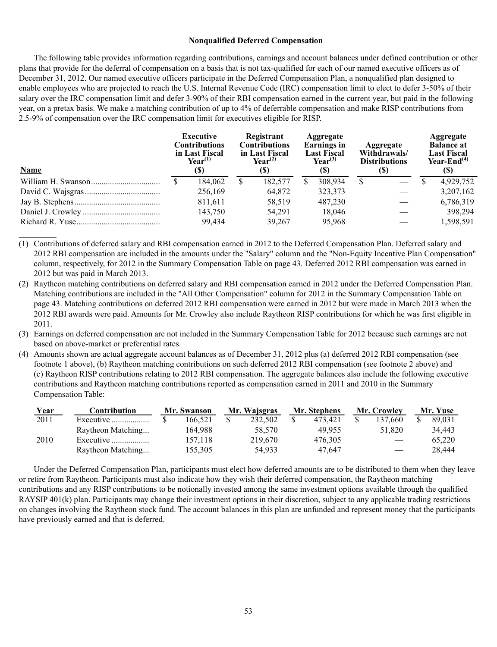#### **Nonqualified Deferred Compensation**

The following table provides information regarding contributions, earnings and account balances under defined contribution or other plans that provide for the deferral of compensation on a basis that is not tax-qualified for each of our named executive officers as of December 31, 2012. Our named executive officers participate in the Deferred Compensation Plan, a nonqualified plan designed to enable employees who are projected to reach the U.S. Internal Revenue Code (IRC) compensation limit to elect to defer 3-50% of their salary over the IRC compensation limit and defer 3-90% of their RBI compensation earned in the current year, but paid in the following year, on a pretax basis. We make a matching contribution of up to 4% of deferrable compensation and make RISP contributions from 2.5-9% of compensation over the IRC compensation limit for executives eligible for RISP.

| <b>Name</b> | Executive<br><b>Contributions</b><br>in Last Fiscal<br>$\text{Year}^{(1)}$<br>(S) |   | Registrant<br><b>Contributions</b><br>in Last Fiscal<br>$Year^{(2)}$<br>(S) | Aggregate<br><b>Earnings</b> in<br><b>Last Fiscal</b><br>$Year^{(3)}$<br>(S) |   | <b>Aggregate</b><br>Withdrawals/<br><b>Distributions</b><br>(S) | <b>Aggregate</b><br><b>Balance at</b><br><b>Last Fiscal</b><br>Year-End $(4)$<br>(S) |           |  |
|-------------|-----------------------------------------------------------------------------------|---|-----------------------------------------------------------------------------|------------------------------------------------------------------------------|---|-----------------------------------------------------------------|--------------------------------------------------------------------------------------|-----------|--|
|             | 184,062                                                                           | S | 182,577                                                                     | 308,934                                                                      | S |                                                                 |                                                                                      | 4,929,752 |  |
|             | 256,169                                                                           |   | 64,872                                                                      | 323,373                                                                      |   |                                                                 |                                                                                      | 3,207,162 |  |
|             | 811,611                                                                           |   | 58,519                                                                      | 487,230                                                                      |   |                                                                 |                                                                                      | 6,786,319 |  |
|             | 143,750                                                                           |   | 54,291                                                                      | 18,046                                                                       |   |                                                                 |                                                                                      | 398.294   |  |
|             | 99.434                                                                            |   | 39,267                                                                      | 95,968                                                                       |   |                                                                 |                                                                                      | 1,598,591 |  |

(1) Contributions of deferred salary and RBI compensation earned in 2012 to the Deferred Compensation Plan. Deferred salary and 2012 RBI compensation are included in the amounts under the "Salary" column and the "Non-Equity Incentive Plan Compensation" column, respectively, for 2012 in the Summary Compensation Table on page 43. Deferred 2012 RBI compensation was earned in 2012 but was paid in March 2013.

 $\frac{1}{2}$ 

- (2) Raytheon matching contributions on deferred salary and RBI compensation earned in 2012 under the Deferred Compensation Plan. Matching contributions are included in the "All Other Compensation" column for 2012 in the Summary Compensation Table on page 43. Matching contributions on deferred 2012 RBI compensation were earned in 2012 but were made in March 2013 when the 2012 RBI awards were paid. Amounts for Mr. Crowley also include Raytheon RISP contributions for which he was first eligible in 2011.
- (3) Earnings on deferred compensation are not included in the Summary Compensation Table for 2012 because such earnings are not based on above-market or preferential rates.
- (4) Amounts shown are actual aggregate account balances as of December 31, 2012 plus (a) deferred 2012 RBI compensation (see footnote 1 above), (b) Raytheon matching contributions on such deferred 2012 RBI compensation (see footnote 2 above) and (c) Raytheon RISP contributions relating to 2012 RBI compensation. The aggregate balances also include the following executive contributions and Raytheon matching contributions reported as compensation earned in 2011 and 2010 in the Summary Compensation Table:

| Year | Contribution       | Mr. Swanson |  | Mr. Wajsgras | Mr. Stephens | Mr. Crowley              | Mr. Yuse |  |
|------|--------------------|-------------|--|--------------|--------------|--------------------------|----------|--|
| 2011 | Executive          | 166.521     |  | 232.502      | 473.421      | 137.660                  | 89.031   |  |
|      | Raytheon Matching  | 164.988     |  | 58.570       | 49.955       | 51.820                   | 34.443   |  |
| 2010 | Executive $\ldots$ | 157.118     |  | 219,670      | 476.305      |                          | 65.220   |  |
|      | Raytheon Matching  | 155.305     |  | 54.933       | 47.647       | $\overline{\phantom{m}}$ | 28,444   |  |

Under the Deferred Compensation Plan, participants must elect how deferred amounts are to be distributed to them when they leave or retire from Raytheon. Participants must also indicate how they wish their deferred compensation, the Raytheon matching contributions and any RISP contributions to be notionally invested among the same investment options available through the qualified RAYSIP 401(k) plan. Participants may change their investment options in their discretion, subject to any applicable trading restrictions on changes involving the Raytheon stock fund. The account balances in this plan are unfunded and represent money that the participants have previously earned and that is deferred.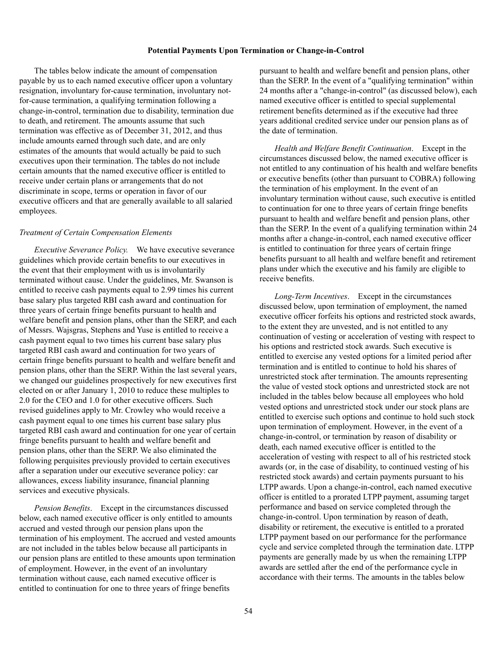#### **Potential Payments Upon Termination or Change-in-Control**

The tables below indicate the amount of compensation payable by us to each named executive officer upon a voluntary resignation, involuntary for-cause termination, involuntary notfor-cause termination, a qualifying termination following a change-in-control, termination due to disability, termination due to death, and retirement. The amounts assume that such termination was effective as of December 31, 2012, and thus include amounts earned through such date, and are only estimates of the amounts that would actually be paid to such executives upon their termination. The tables do not include certain amounts that the named executive officer is entitled to receive under certain plans or arrangements that do not discriminate in scope, terms or operation in favor of our executive officers and that are generally available to all salaried employees.

#### *Treatment of Certain Compensation Elements*

*Executive Severance Policy.* We have executive severance guidelines which provide certain benefits to our executives in the event that their employment with us is involuntarily terminated without cause. Under the guidelines, Mr. Swanson is entitled to receive cash payments equal to 2.99 times his current base salary plus targeted RBI cash award and continuation for three years of certain fringe benefits pursuant to health and welfare benefit and pension plans, other than the SERP, and each of Messrs. Wajsgras, Stephens and Yuse is entitled to receive a cash payment equal to two times his current base salary plus targeted RBI cash award and continuation for two years of certain fringe benefits pursuant to health and welfare benefit and pension plans, other than the SERP. Within the last several years, we changed our guidelines prospectively for new executives first elected on or after January 1, 2010 to reduce these multiples to 2.0 for the CEO and 1.0 for other executive officers. Such revised guidelines apply to Mr. Crowley who would receive a cash payment equal to one times his current base salary plus targeted RBI cash award and continuation for one year of certain fringe benefits pursuant to health and welfare benefit and pension plans, other than the SERP. We also eliminated the following perquisites previously provided to certain executives after a separation under our executive severance policy: car allowances, excess liability insurance, financial planning services and executive physicals.

*Pension Benefits*. Except in the circumstances discussed below, each named executive officer is only entitled to amounts accrued and vested through our pension plans upon the termination of his employment. The accrued and vested amounts are not included in the tables below because all participants in our pension plans are entitled to these amounts upon termination of employment. However, in the event of an involuntary termination without cause, each named executive officer is entitled to continuation for one to three years of fringe benefits

pursuant to health and welfare benefit and pension plans, other than the SERP. In the event of a "qualifying termination" within 24 months after a "change-in-control" (as discussed below), each named executive officer is entitled to special supplemental retirement benefits determined as if the executive had three years additional credited service under our pension plans as of the date of termination.

*Health and Welfare Benefit Continuation*. Except in the circumstances discussed below, the named executive officer is not entitled to any continuation of his health and welfare benefits or executive benefits (other than pursuant to COBRA) following the termination of his employment. In the event of an involuntary termination without cause, such executive is entitled to continuation for one to three years of certain fringe benefits pursuant to health and welfare benefit and pension plans, other than the SERP. In the event of a qualifying termination within 24 months after a change-in-control, each named executive officer is entitled to continuation for three years of certain fringe benefits pursuant to all health and welfare benefit and retirement plans under which the executive and his family are eligible to receive benefits.

*Long-Term Incentives*. Except in the circumstances discussed below, upon termination of employment, the named executive officer forfeits his options and restricted stock awards, to the extent they are unvested, and is not entitled to any continuation of vesting or acceleration of vesting with respect to his options and restricted stock awards. Such executive is entitled to exercise any vested options for a limited period after termination and is entitled to continue to hold his shares of unrestricted stock after termination. The amounts representing the value of vested stock options and unrestricted stock are not included in the tables below because all employees who hold vested options and unrestricted stock under our stock plans are entitled to exercise such options and continue to hold such stock upon termination of employment. However, in the event of a change-in-control, or termination by reason of disability or death, each named executive officer is entitled to the acceleration of vesting with respect to all of his restricted stock awards (or, in the case of disability, to continued vesting of his restricted stock awards) and certain payments pursuant to his LTPP awards. Upon a change-in-control, each named executive officer is entitled to a prorated LTPP payment, assuming target performance and based on service completed through the change-in-control. Upon termination by reason of death, disability or retirement, the executive is entitled to a prorated LTPP payment based on our performance for the performance cycle and service completed through the termination date. LTPP payments are generally made by us when the remaining LTPP awards are settled after the end of the performance cycle in accordance with their terms. The amounts in the tables below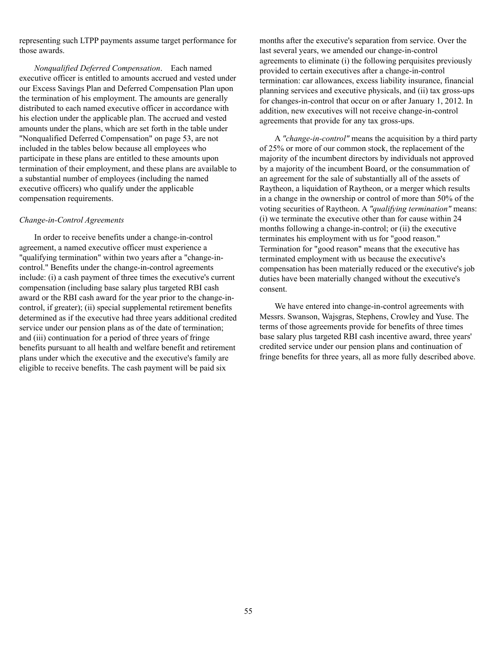representing such LTPP payments assume target performance for those awards.

*Nonqualified Deferred Compensation*. Each named executive officer is entitled to amounts accrued and vested under our Excess Savings Plan and Deferred Compensation Plan upon the termination of his employment. The amounts are generally distributed to each named executive officer in accordance with his election under the applicable plan. The accrued and vested amounts under the plans, which are set forth in the table under "Nonqualified Deferred Compensation" on page 53, are not included in the tables below because all employees who participate in these plans are entitled to these amounts upon termination of their employment, and these plans are available to a substantial number of employees (including the named executive officers) who qualify under the applicable compensation requirements.

#### *Change-in-Control Agreements*

In order to receive benefits under a change-in-control agreement, a named executive officer must experience a "qualifying termination" within two years after a "change-incontrol." Benefits under the change-in-control agreements include: (i) a cash payment of three times the executive's current compensation (including base salary plus targeted RBI cash award or the RBI cash award for the year prior to the change-incontrol, if greater); (ii) special supplemental retirement benefits determined as if the executive had three years additional credited service under our pension plans as of the date of termination; and (iii) continuation for a period of three years of fringe benefits pursuant to all health and welfare benefit and retirement plans under which the executive and the executive's family are eligible to receive benefits. The cash payment will be paid six

months after the executive's separation from service. Over the last several years, we amended our change-in-control agreements to eliminate (i) the following perquisites previously provided to certain executives after a change-in-control termination: car allowances, excess liability insurance, financial planning services and executive physicals, and (ii) tax gross-ups for changes-in-control that occur on or after January 1, 2012. In addition, new executives will not receive change-in-control agreements that provide for any tax gross-ups.

A *"change-in-control"* means the acquisition by a third party of 25% or more of our common stock, the replacement of the majority of the incumbent directors by individuals not approved by a majority of the incumbent Board, or the consummation of an agreement for the sale of substantially all of the assets of Raytheon, a liquidation of Raytheon, or a merger which results in a change in the ownership or control of more than 50% of the voting securities of Raytheon. A *"qualifying termination"* means: (i) we terminate the executive other than for cause within 24 months following a change-in-control; or (ii) the executive terminates his employment with us for "good reason." Termination for "good reason" means that the executive has terminated employment with us because the executive's compensation has been materially reduced or the executive's job duties have been materially changed without the executive's consent.

We have entered into change-in-control agreements with Messrs. Swanson, Wajsgras, Stephens, Crowley and Yuse. The terms of those agreements provide for benefits of three times base salary plus targeted RBI cash incentive award, three years' credited service under our pension plans and continuation of fringe benefits for three years, all as more fully described above.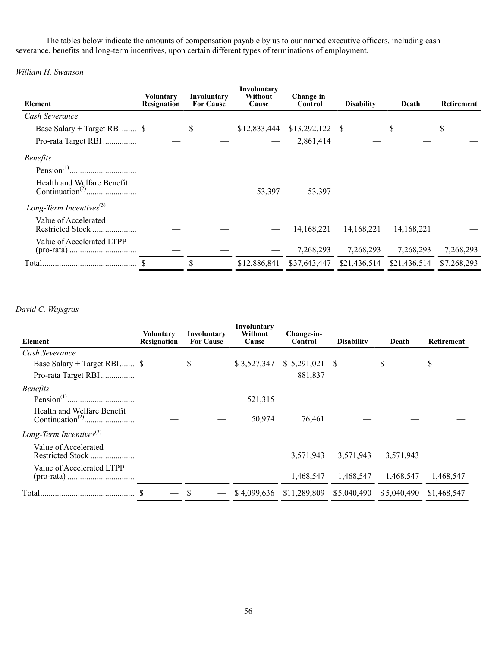The tables below indicate the amounts of compensation payable by us to our named executive officers, including cash severance, benefits and long-term incentives, upon certain different types of terminations of employment.

*William H. Swanson*

| Element                       | <b>Voluntary</b><br>Resignation | Involuntary<br><b>For Cause</b> | Involuntary<br>Without<br>Cause | Change-in-<br>Control | <b>Disability</b> | Death        | Retirement  |
|-------------------------------|---------------------------------|---------------------------------|---------------------------------|-----------------------|-------------------|--------------|-------------|
|                               |                                 |                                 |                                 |                       |                   |              |             |
| Cash Severance                |                                 |                                 |                                 |                       |                   |              |             |
| Base Salary + Target RBI \$   |                                 | S                               | \$12,833,444                    | $$13,292,122$ \ \$    |                   |              | S           |
| Pro-rata Target RBI           |                                 |                                 |                                 | 2,861,414             |                   |              |             |
| <b>Benefits</b>               |                                 |                                 |                                 |                       |                   |              |             |
|                               |                                 |                                 |                                 |                       |                   |              |             |
| Health and Welfare Benefit    |                                 |                                 | 53,397                          | 53,397                |                   |              |             |
| Long-Term Incentives $^{(3)}$ |                                 |                                 |                                 |                       |                   |              |             |
| Value of Accelerated          |                                 |                                 |                                 | 14, 168, 221          | 14, 168, 221      | 14, 168, 221 |             |
| Value of Accelerated LTPP     |                                 |                                 |                                 | 7,268,293             | 7,268,293         | 7,268,293    | 7,268,293   |
| Total                         |                                 |                                 | \$12,886,841                    | \$37,643,447          | \$21,436,514      | \$21,436,514 | \$7,268,293 |

# *David C. Wajsgras*

| Element                       | Voluntary<br>Resignation | Involuntary<br><b>For Cause</b> | Involuntary<br>Without<br>Cause | Change-in-<br>Control | <b>Disability</b> | Death       | <b>Retirement</b> |
|-------------------------------|--------------------------|---------------------------------|---------------------------------|-----------------------|-------------------|-------------|-------------------|
| Cash Severance                |                          |                                 |                                 |                       |                   |             |                   |
| Base Salary + Target RBI \$   |                          | $-$ \$                          | \$3,527,347                     |                       |                   | S           |                   |
| Pro-rata Target RBI           |                          |                                 |                                 | 881,837               |                   |             |                   |
| <i>Benefits</i>               |                          |                                 |                                 |                       |                   |             |                   |
|                               |                          |                                 | 521,315                         |                       |                   |             |                   |
| Health and Welfare Benefit    |                          |                                 | 50,974                          | 76,461                |                   |             |                   |
| Long-Term Incentives $^{(3)}$ |                          |                                 |                                 |                       |                   |             |                   |
| Value of Accelerated          |                          |                                 |                                 | 3,571,943             | 3,571,943         | 3,571,943   |                   |
| Value of Accelerated LTPP     |                          |                                 |                                 | 1,468,547             | 1,468,547         | 1,468,547   | 1,468,547         |
|                               |                          |                                 | \$4,099,636                     | \$11,289,809          | \$5,040,490       | \$5,040,490 | \$1,468,547       |
|                               |                          |                                 |                                 |                       |                   |             |                   |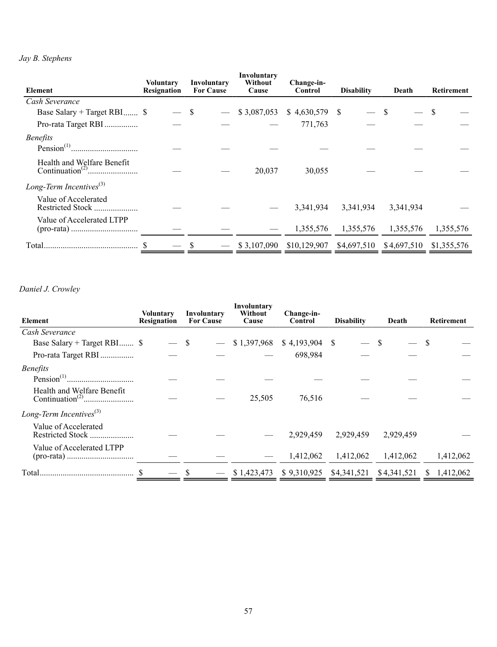# *Jay B. Stephens*

| Element                                  | Voluntary<br><b>Resignation</b> | Involuntary<br><b>For Cause</b> | Involuntary<br>Without<br>Cause | Change-in-<br>Control | <b>Disability</b> | Death       | <b>Retirement</b> |
|------------------------------------------|---------------------------------|---------------------------------|---------------------------------|-----------------------|-------------------|-------------|-------------------|
| Cash Severance                           |                                 |                                 |                                 |                       |                   |             |                   |
| Base Salary + Target RBI \$              |                                 | — \$                            | \$3,087,053                     | $$4,630,579$ \;       |                   |             | S                 |
| Pro-rata Target RBI                      |                                 |                                 |                                 | 771,763               |                   |             |                   |
| <b>Benefits</b>                          |                                 |                                 |                                 |                       |                   |             |                   |
| Health and Welfare Benefit               |                                 |                                 | 20,037                          | 30,055                |                   |             |                   |
| Long-Term Incentives $^{(3)}$            |                                 |                                 |                                 |                       |                   |             |                   |
| Value of Accelerated<br>Restricted Stock |                                 |                                 |                                 | 3,341,934             | 3,341,934         | 3,341,934   |                   |
| Value of Accelerated LTPP                |                                 |                                 |                                 | 1,355,576             | 1,355,576         | 1,355,576   | 1,355,576         |
| Total.                                   |                                 |                                 | \$3,107,090                     | \$10,129,907          | \$4,697,510       | \$4,697,510 | \$1,355,576       |

# *Daniel J. Crowley*

| Element                                       | <b>Voluntary</b><br><b>Resignation</b> | Involuntary<br><b>For Cause</b> | Involuntary<br>Without<br>Cause | Change-in-<br>Control | <b>Disability</b> | Death       | <b>Retirement</b> |
|-----------------------------------------------|----------------------------------------|---------------------------------|---------------------------------|-----------------------|-------------------|-------------|-------------------|
| Cash Severance                                |                                        |                                 |                                 |                       |                   |             |                   |
| Base Salary + Target RBI \$                   |                                        | <sup>S</sup>                    | \$1,397,968                     | \$4,193,904           | -S                | -S          |                   |
| Pro-rata Target RBI                           |                                        |                                 |                                 | 698,984               |                   |             |                   |
| <b>Benefits</b>                               |                                        |                                 |                                 |                       |                   |             |                   |
|                                               |                                        |                                 |                                 |                       |                   |             |                   |
| Health and Welfare Benefit                    |                                        |                                 | 25,505                          | 76,516                |                   |             |                   |
| Long-Term Incentives $^{(3)}$                 |                                        |                                 |                                 |                       |                   |             |                   |
| Value of Accelerated<br>Restricted Stock<br>. |                                        |                                 |                                 | 2,929,459             | 2,929,459         | 2,929,459   |                   |
| Value of Accelerated LTPP                     |                                        |                                 |                                 | 1,412,062             | 1,412,062         | 1,412,062   | 1,412,062         |
| Total                                         |                                        |                                 | \$1,423,473                     | \$9,310,925           | \$4,341,521       | \$4,341,521 | 1,412,062<br>S.   |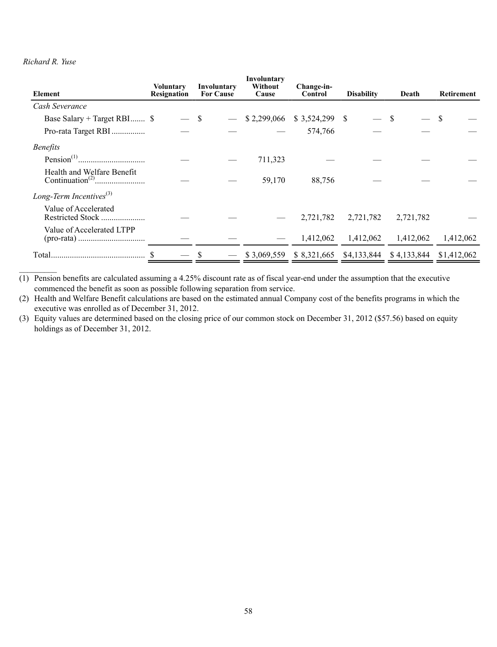# *Richard R. Yuse*

| Element                       | <b>Voluntary</b><br>Resignation | Involuntary<br><b>For Cause</b> | Involuntary<br>Without<br>Cause | Change-in-<br>Control | <b>Disability</b> | Death                   | Retirement  |
|-------------------------------|---------------------------------|---------------------------------|---------------------------------|-----------------------|-------------------|-------------------------|-------------|
| Cash Severance                |                                 |                                 |                                 |                       |                   |                         |             |
| Base Salary + Target RBI \$   |                                 | \$                              | \$2,299,066                     |                       |                   |                         |             |
| Pro-rata Target RBI           |                                 |                                 |                                 | 574,766               |                   |                         |             |
| <b>Benefits</b>               |                                 |                                 |                                 |                       |                   |                         |             |
|                               |                                 |                                 | 711,323                         |                       |                   |                         |             |
| Health and Welfare Benefit    |                                 |                                 | 59,170                          | 88,756                |                   |                         |             |
| Long-Term Incentives $^{(3)}$ |                                 |                                 |                                 |                       |                   |                         |             |
| Value of Accelerated          |                                 |                                 |                                 | 2,721,782             | 2,721,782         | 2,721,782               |             |
| Value of Accelerated LTPP     |                                 |                                 |                                 | 1,412,062             | 1,412,062         | 1,412,062               | 1,412,062   |
|                               |                                 |                                 | \$3,069,559                     | \$8,321,665           |                   | \$4,133,844 \$4,133,844 | \$1,412,062 |

(1) Pension benefits are calculated assuming a 4.25% discount rate as of fiscal year-end under the assumption that the executive commenced the benefit as soon as possible following separation from service.

(2) Health and Welfare Benefit calculations are based on the estimated annual Company cost of the benefits programs in which the executive was enrolled as of December 31, 2012.

(3) Equity values are determined based on the closing price of our common stock on December 31, 2012 (\$57.56) based on equity holdings as of December 31, 2012.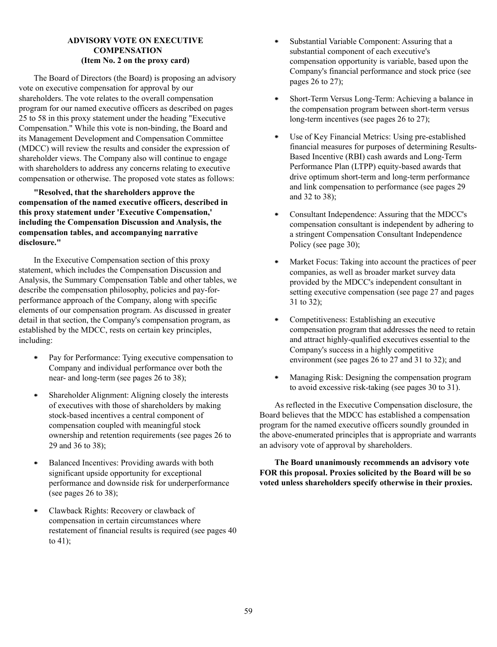# **ADVISORY VOTE ON EXECUTIVE COMPENSATION (Item No. 2 on the proxy card)**

The Board of Directors (the Board) is proposing an advisory vote on executive compensation for approval by our shareholders. The vote relates to the overall compensation program for our named executive officers as described on pages 25 to 58 in this proxy statement under the heading "Executive Compensation." While this vote is non-binding, the Board and its Management Development and Compensation Committee (MDCC) will review the results and consider the expression of shareholder views. The Company also will continue to engage with shareholders to address any concerns relating to executive compensation or otherwise. The proposed vote states as follows:

**"Resolved, that the shareholders approve the compensation of the named executive officers, described in this proxy statement under 'Executive Compensation,' including the Compensation Discussion and Analysis, the compensation tables, and accompanying narrative disclosure."**

In the Executive Compensation section of this proxy statement, which includes the Compensation Discussion and Analysis, the Summary Compensation Table and other tables, we describe the compensation philosophy, policies and pay-forperformance approach of the Company, along with specific elements of our compensation program. As discussed in greater detail in that section, the Company's compensation program, as established by the MDCC, rests on certain key principles, including:

- $\bullet$ Pay for Performance: Tying executive compensation to Company and individual performance over both the near- and long-term (see pages 26 to 38);
- Shareholder Alignment: Aligning closely the interests of executives with those of shareholders by making stock-based incentives a central component of compensation coupled with meaningful stock ownership and retention requirements (see pages 26 to 29 and 36 to 38);
- Balanced Incentives: Providing awards with both ۰ significant upside opportunity for exceptional performance and downside risk for underperformance (see pages 26 to 38);
- Clawback Rights: Recovery or clawback of compensation in certain circumstances where restatement of financial results is required (see pages 40 to 41);
- . Substantial Variable Component: Assuring that a substantial component of each executive's compensation opportunity is variable, based upon the Company's financial performance and stock price (see pages 26 to 27);
- . Short-Term Versus Long-Term: Achieving a balance in the compensation program between short-term versus long-term incentives (see pages 26 to 27);
- Use of Key Financial Metrics: Using pre-established  $\bullet$ financial measures for purposes of determining Results-Based Incentive (RBI) cash awards and Long-Term Performance Plan (LTPP) equity-based awards that drive optimum short-term and long-term performance and link compensation to performance (see pages 29 and 32 to 38);
- Consultant Independence: Assuring that the MDCC's . compensation consultant is independent by adhering to a stringent Compensation Consultant Independence Policy (see page 30);
- . Market Focus: Taking into account the practices of peer companies, as well as broader market survey data provided by the MDCC's independent consultant in setting executive compensation (see page 27 and pages 31 to 32);
- Competitiveness: Establishing an executive  $\bullet$ compensation program that addresses the need to retain and attract highly-qualified executives essential to the Company's success in a highly competitive environment (see pages 26 to 27 and 31 to 32); and
- $\bullet$ Managing Risk: Designing the compensation program to avoid excessive risk-taking (see pages 30 to 31).

As reflected in the Executive Compensation disclosure, the Board believes that the MDCC has established a compensation program for the named executive officers soundly grounded in the above-enumerated principles that is appropriate and warrants an advisory vote of approval by shareholders.

**The Board unanimously recommends an advisory vote FOR this proposal. Proxies solicited by the Board will be so voted unless shareholders specify otherwise in their proxies.**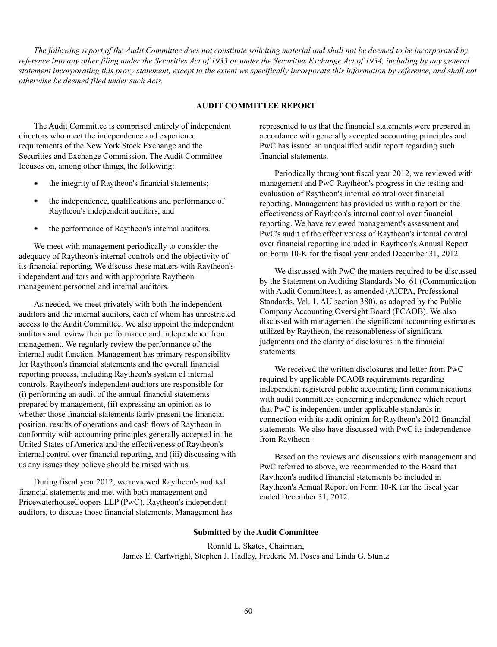*The following report of the Audit Committee does not constitute soliciting material and shall not be deemed to be incorporated by reference into any other filing under the Securities Act of 1933 or under the Securities Exchange Act of 1934, including by any general statement incorporating this proxy statement, except to the extent we specifically incorporate this information by reference, and shall not otherwise be deemed filed under such Acts.*

# **AUDIT COMMITTEE REPORT**

The Audit Committee is comprised entirely of independent directors who meet the independence and experience requirements of the New York Stock Exchange and the Securities and Exchange Commission. The Audit Committee focuses on, among other things, the following:

- the integrity of Raytheon's financial statements;
- the independence, qualifications and performance of Raytheon's independent auditors; and
- ٠ the performance of Raytheon's internal auditors.

We meet with management periodically to consider the adequacy of Raytheon's internal controls and the objectivity of its financial reporting. We discuss these matters with Raytheon's independent auditors and with appropriate Raytheon management personnel and internal auditors.

As needed, we meet privately with both the independent auditors and the internal auditors, each of whom has unrestricted access to the Audit Committee. We also appoint the independent auditors and review their performance and independence from management. We regularly review the performance of the internal audit function. Management has primary responsibility for Raytheon's financial statements and the overall financial reporting process, including Raytheon's system of internal controls. Raytheon's independent auditors are responsible for (i) performing an audit of the annual financial statements prepared by management, (ii) expressing an opinion as to whether those financial statements fairly present the financial position, results of operations and cash flows of Raytheon in conformity with accounting principles generally accepted in the United States of America and the effectiveness of Raytheon's internal control over financial reporting, and (iii) discussing with us any issues they believe should be raised with us.

During fiscal year 2012, we reviewed Raytheon's audited financial statements and met with both management and PricewaterhouseCoopers LLP (PwC), Raytheon's independent auditors, to discuss those financial statements. Management has represented to us that the financial statements were prepared in accordance with generally accepted accounting principles and PwC has issued an unqualified audit report regarding such financial statements.

Periodically throughout fiscal year 2012, we reviewed with management and PwC Raytheon's progress in the testing and evaluation of Raytheon's internal control over financial reporting. Management has provided us with a report on the effectiveness of Raytheon's internal control over financial reporting. We have reviewed management's assessment and PwC's audit of the effectiveness of Raytheon's internal control over financial reporting included in Raytheon's Annual Report on Form 10-K for the fiscal year ended December 31, 2012.

We discussed with PwC the matters required to be discussed by the Statement on Auditing Standards No. 61 (Communication with Audit Committees), as amended (AICPA, Professional Standards, Vol. 1. AU section 380), as adopted by the Public Company Accounting Oversight Board (PCAOB). We also discussed with management the significant accounting estimates utilized by Raytheon, the reasonableness of significant judgments and the clarity of disclosures in the financial statements.

We received the written disclosures and letter from PwC required by applicable PCAOB requirements regarding independent registered public accounting firm communications with audit committees concerning independence which report that PwC is independent under applicable standards in connection with its audit opinion for Raytheon's 2012 financial statements. We also have discussed with PwC its independence from Raytheon.

Based on the reviews and discussions with management and PwC referred to above, we recommended to the Board that Raytheon's audited financial statements be included in Raytheon's Annual Report on Form 10-K for the fiscal year ended December 31, 2012.

#### **Submitted by the Audit Committee**

Ronald L. Skates, Chairman, James E. Cartwright, Stephen J. Hadley, Frederic M. Poses and Linda G. Stuntz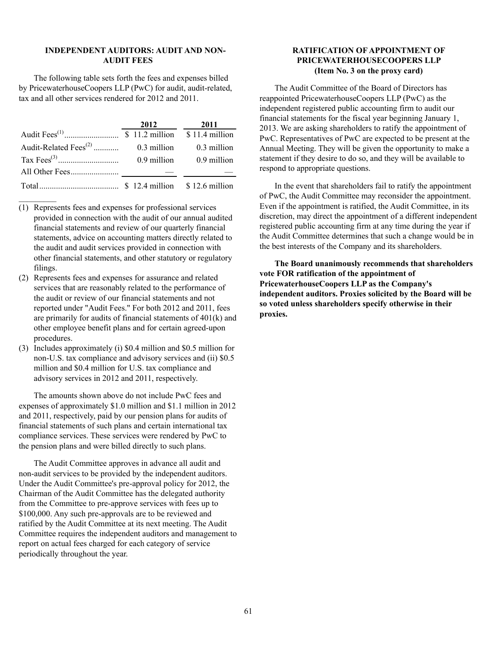#### **INDEPENDENT AUDITORS: AUDIT AND NON-AUDIT FEES**

The following table sets forth the fees and expenses billed by PricewaterhouseCoopers LLP (PwC) for audit, audit-related, tax and all other services rendered for 2012 and 2011.

|                                   | 2012 | 2011                        |
|-----------------------------------|------|-----------------------------|
|                                   |      |                             |
| Audit-Related Fees <sup>(2)</sup> |      | $0.3$ million $0.3$ million |
|                                   |      | $0.9$ million $0.9$ million |
|                                   |      |                             |
|                                   |      |                             |

(1) Represents fees and expenses for professional services provided in connection with the audit of our annual audited financial statements and review of our quarterly financial statements, advice on accounting matters directly related to the audit and audit services provided in connection with other financial statements, and other statutory or regulatory filings.

- (2) Represents fees and expenses for assurance and related services that are reasonably related to the performance of the audit or review of our financial statements and not reported under "Audit Fees." For both 2012 and 2011, fees are primarily for audits of financial statements of 401(k) and other employee benefit plans and for certain agreed-upon procedures.
- (3) Includes approximately (i) \$0.4 million and \$0.5 million for non-U.S. tax compliance and advisory services and (ii) \$0.5 million and \$0.4 million for U.S. tax compliance and advisory services in 2012 and 2011, respectively.

The amounts shown above do not include PwC fees and expenses of approximately \$1.0 million and \$1.1 million in 2012 and 2011, respectively, paid by our pension plans for audits of financial statements of such plans and certain international tax compliance services. These services were rendered by PwC to the pension plans and were billed directly to such plans.

The Audit Committee approves in advance all audit and non-audit services to be provided by the independent auditors. Under the Audit Committee's pre-approval policy for 2012, the Chairman of the Audit Committee has the delegated authority from the Committee to pre-approve services with fees up to \$100,000. Any such pre-approvals are to be reviewed and ratified by the Audit Committee at its next meeting. The Audit Committee requires the independent auditors and management to report on actual fees charged for each category of service periodically throughout the year.

## **RATIFICATION OF APPOINTMENT OF PRICEWATERHOUSECOOPERS LLP (Item No. 3 on the proxy card)**

The Audit Committee of the Board of Directors has reappointed PricewaterhouseCoopers LLP (PwC) as the independent registered public accounting firm to audit our financial statements for the fiscal year beginning January 1, 2013. We are asking shareholders to ratify the appointment of PwC. Representatives of PwC are expected to be present at the Annual Meeting. They will be given the opportunity to make a statement if they desire to do so, and they will be available to respond to appropriate questions.

In the event that shareholders fail to ratify the appointment of PwC, the Audit Committee may reconsider the appointment. Even if the appointment is ratified, the Audit Committee, in its discretion, may direct the appointment of a different independent registered public accounting firm at any time during the year if the Audit Committee determines that such a change would be in the best interests of the Company and its shareholders.

**The Board unanimously recommends that shareholders vote FOR ratification of the appointment of PricewaterhouseCoopers LLP as the Company's independent auditors. Proxies solicited by the Board will be so voted unless shareholders specify otherwise in their proxies.**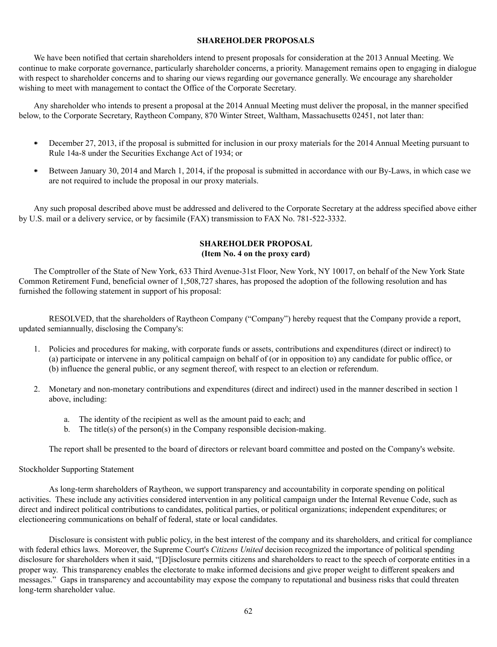#### **SHAREHOLDER PROPOSALS**

We have been notified that certain shareholders intend to present proposals for consideration at the 2013 Annual Meeting. We continue to make corporate governance, particularly shareholder concerns, a priority. Management remains open to engaging in dialogue with respect to shareholder concerns and to sharing our views regarding our governance generally. We encourage any shareholder wishing to meet with management to contact the Office of the Corporate Secretary.

Any shareholder who intends to present a proposal at the 2014 Annual Meeting must deliver the proposal, in the manner specified below, to the Corporate Secretary, Raytheon Company, 870 Winter Street, Waltham, Massachusetts 02451, not later than:

- December 27, 2013, if the proposal is submitted for inclusion in our proxy materials for the 2014 Annual Meeting pursuant to Rule 14a-8 under the Securities Exchange Act of 1934; or
- Between January 30, 2014 and March 1, 2014, if the proposal is submitted in accordance with our By-Laws, in which case we  $\bullet$ are not required to include the proposal in our proxy materials.

Any such proposal described above must be addressed and delivered to the Corporate Secretary at the address specified above either by U.S. mail or a delivery service, or by facsimile (FAX) transmission to FAX No. 781-522-3332.

# **SHAREHOLDER PROPOSAL (Item No. 4 on the proxy card)**

The Comptroller of the State of New York, 633 Third Avenue-31st Floor, New York, NY 10017, on behalf of the New York State Common Retirement Fund, beneficial owner of 1,508,727 shares, has proposed the adoption of the following resolution and has furnished the following statement in support of his proposal:

RESOLVED, that the shareholders of Raytheon Company ("Company") hereby request that the Company provide a report, updated semiannually, disclosing the Company's:

- 1. Policies and procedures for making, with corporate funds or assets, contributions and expenditures (direct or indirect) to (a) participate or intervene in any political campaign on behalf of (or in opposition to) any candidate for public office, or (b) influence the general public, or any segment thereof, with respect to an election or referendum.
- 2. Monetary and non-monetary contributions and expenditures (direct and indirect) used in the manner described in section 1 above, including:
	- a. The identity of the recipient as well as the amount paid to each; and
	- b. The title(s) of the person(s) in the Company responsible decision-making.

The report shall be presented to the board of directors or relevant board committee and posted on the Company's website.

Stockholder Supporting Statement

As long-term shareholders of Raytheon, we support transparency and accountability in corporate spending on political activities. These include any activities considered intervention in any political campaign under the Internal Revenue Code, such as direct and indirect political contributions to candidates, political parties, or political organizations; independent expenditures; or electioneering communications on behalf of federal, state or local candidates.

Disclosure is consistent with public policy, in the best interest of the company and its shareholders, and critical for compliance with federal ethics laws. Moreover, the Supreme Court's *Citizens United* decision recognized the importance of political spending disclosure for shareholders when it said, "[D]isclosure permits citizens and shareholders to react to the speech of corporate entities in a proper way. This transparency enables the electorate to make informed decisions and give proper weight to different speakers and messages." Gaps in transparency and accountability may expose the company to reputational and business risks that could threaten long-term shareholder value.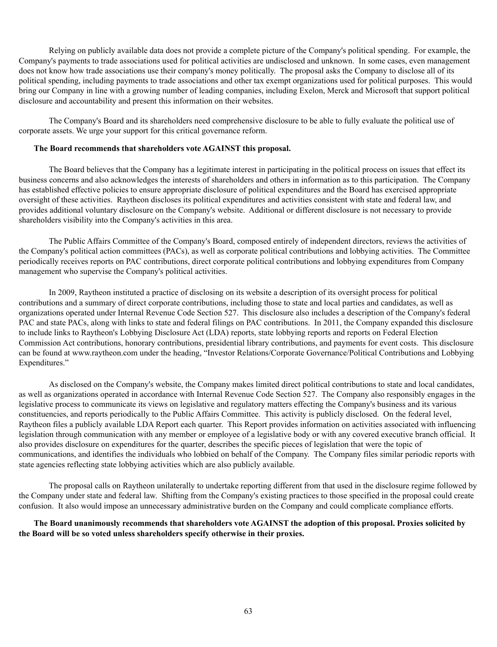Relying on publicly available data does not provide a complete picture of the Company's political spending. For example, the Company's payments to trade associations used for political activities are undisclosed and unknown. In some cases, even management does not know how trade associations use their company's money politically. The proposal asks the Company to disclose all of its political spending, including payments to trade associations and other tax exempt organizations used for political purposes. This would bring our Company in line with a growing number of leading companies, including Exelon, Merck and Microsoft that support political disclosure and accountability and present this information on their websites.

The Company's Board and its shareholders need comprehensive disclosure to be able to fully evaluate the political use of corporate assets. We urge your support for this critical governance reform.

## **The Board recommends that shareholders vote AGAINST this proposal.**

The Board believes that the Company has a legitimate interest in participating in the political process on issues that effect its business concerns and also acknowledges the interests of shareholders and others in information as to this participation. The Company has established effective policies to ensure appropriate disclosure of political expenditures and the Board has exercised appropriate oversight of these activities. Raytheon discloses its political expenditures and activities consistent with state and federal law, and provides additional voluntary disclosure on the Company's website. Additional or different disclosure is not necessary to provide shareholders visibility into the Company's activities in this area.

The Public Affairs Committee of the Company's Board, composed entirely of independent directors, reviews the activities of the Company's political action committees (PACs), as well as corporate political contributions and lobbying activities. The Committee periodically receives reports on PAC contributions, direct corporate political contributions and lobbying expenditures from Company management who supervise the Company's political activities.

In 2009, Raytheon instituted a practice of disclosing on its website a description of its oversight process for political contributions and a summary of direct corporate contributions, including those to state and local parties and candidates, as well as organizations operated under Internal Revenue Code Section 527. This disclosure also includes a description of the Company's federal PAC and state PACs, along with links to state and federal filings on PAC contributions. In 2011, the Company expanded this disclosure to include links to Raytheon's Lobbying Disclosure Act (LDA) reports, state lobbying reports and reports on Federal Election Commission Act contributions, honorary contributions, presidential library contributions, and payments for event costs. This disclosure can be found at www.raytheon.com under the heading, "Investor Relations/Corporate Governance/Political Contributions and Lobbying Expenditures."

As disclosed on the Company's website, the Company makes limited direct political contributions to state and local candidates, as well as organizations operated in accordance with Internal Revenue Code Section 527. The Company also responsibly engages in the legislative process to communicate its views on legislative and regulatory matters effecting the Company's business and its various constituencies, and reports periodically to the Public Affairs Committee. This activity is publicly disclosed. On the federal level, Raytheon files a publicly available LDA Report each quarter. This Report provides information on activities associated with influencing legislation through communication with any member or employee of a legislative body or with any covered executive branch official. It also provides disclosure on expenditures for the quarter, describes the specific pieces of legislation that were the topic of communications, and identifies the individuals who lobbied on behalf of the Company. The Company files similar periodic reports with state agencies reflecting state lobbying activities which are also publicly available.

The proposal calls on Raytheon unilaterally to undertake reporting different from that used in the disclosure regime followed by the Company under state and federal law. Shifting from the Company's existing practices to those specified in the proposal could create confusion. It also would impose an unnecessary administrative burden on the Company and could complicate compliance efforts.

# **The Board unanimously recommends that shareholders vote AGAINST the adoption of this proposal. Proxies solicited by the Board will be so voted unless shareholders specify otherwise in their proxies.**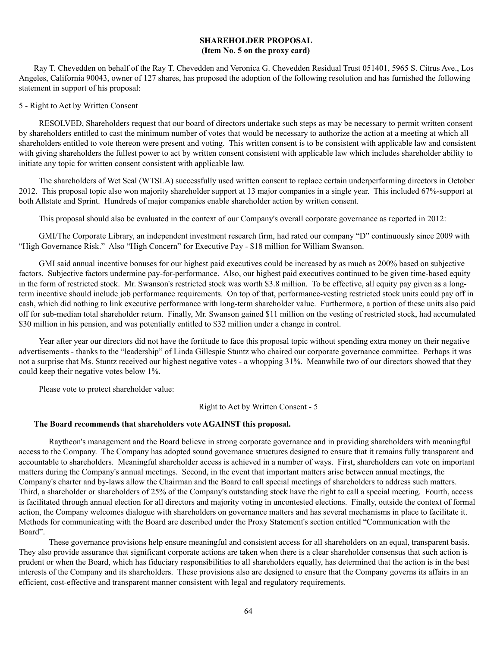# **SHAREHOLDER PROPOSAL (Item No. 5 on the proxy card)**

Ray T. Chevedden on behalf of the Ray T. Chevedden and Veronica G. Chevedden Residual Trust 051401, 5965 S. Citrus Ave., Los Angeles, California 90043, owner of 127 shares, has proposed the adoption of the following resolution and has furnished the following statement in support of his proposal:

#### 5 - Right to Act by Written Consent

RESOLVED, Shareholders request that our board of directors undertake such steps as may be necessary to permit written consent by shareholders entitled to cast the minimum number of votes that would be necessary to authorize the action at a meeting at which all shareholders entitled to vote thereon were present and voting. This written consent is to be consistent with applicable law and consistent with giving shareholders the fullest power to act by written consent consistent with applicable law which includes shareholder ability to initiate any topic for written consent consistent with applicable law.

The shareholders of Wet Seal (WTSLA) successfully used written consent to replace certain underperforming directors in October 2012. This proposal topic also won majority shareholder support at 13 major companies in a single year. This included 67%-support at both Allstate and Sprint. Hundreds of major companies enable shareholder action by written consent.

This proposal should also be evaluated in the context of our Company's overall corporate governance as reported in 2012:

GMI/The Corporate Library, an independent investment research firm, had rated our company "D" continuously since 2009 with "High Governance Risk." Also "High Concern" for Executive Pay - \$18 million for William Swanson.

GMI said annual incentive bonuses for our highest paid executives could be increased by as much as 200% based on subjective factors. Subjective factors undermine pay-for-performance. Also, our highest paid executives continued to be given time-based equity in the form of restricted stock. Mr. Swanson's restricted stock was worth \$3.8 million. To be effective, all equity pay given as a longterm incentive should include job performance requirements. On top of that, performance-vesting restricted stock units could pay off in cash, which did nothing to link executive performance with long-term shareholder value. Furthermore, a portion of these units also paid off for sub-median total shareholder return. Finally, Mr. Swanson gained \$11 million on the vesting of restricted stock, had accumulated \$30 million in his pension, and was potentially entitled to \$32 million under a change in control.

Year after year our directors did not have the fortitude to face this proposal topic without spending extra money on their negative advertisements - thanks to the "leadership" of Linda Gillespie Stuntz who chaired our corporate governance committee. Perhaps it was not a surprise that Ms. Stuntz received our highest negative votes - a whopping 31%. Meanwhile two of our directors showed that they could keep their negative votes below 1%.

Please vote to protect shareholder value:

Right to Act by Written Consent - 5

# **The Board recommends that shareholders vote AGAINST this proposal.**

Raytheon's management and the Board believe in strong corporate governance and in providing shareholders with meaningful access to the Company. The Company has adopted sound governance structures designed to ensure that it remains fully transparent and accountable to shareholders. Meaningful shareholder access is achieved in a number of ways. First, shareholders can vote on important matters during the Company's annual meetings. Second, in the event that important matters arise between annual meetings, the Company's charter and by-laws allow the Chairman and the Board to call special meetings of shareholders to address such matters. Third, a shareholder or shareholders of 25% of the Company's outstanding stock have the right to call a special meeting. Fourth, access is facilitated through annual election for all directors and majority voting in uncontested elections. Finally, outside the context of formal action, the Company welcomes dialogue with shareholders on governance matters and has several mechanisms in place to facilitate it. Methods for communicating with the Board are described under the Proxy Statement's section entitled "Communication with the Board".

These governance provisions help ensure meaningful and consistent access for all shareholders on an equal, transparent basis. They also provide assurance that significant corporate actions are taken when there is a clear shareholder consensus that such action is prudent or when the Board, which has fiduciary responsibilities to all shareholders equally, has determined that the action is in the best interests of the Company and its shareholders. These provisions also are designed to ensure that the Company governs its affairs in an efficient, cost-effective and transparent manner consistent with legal and regulatory requirements.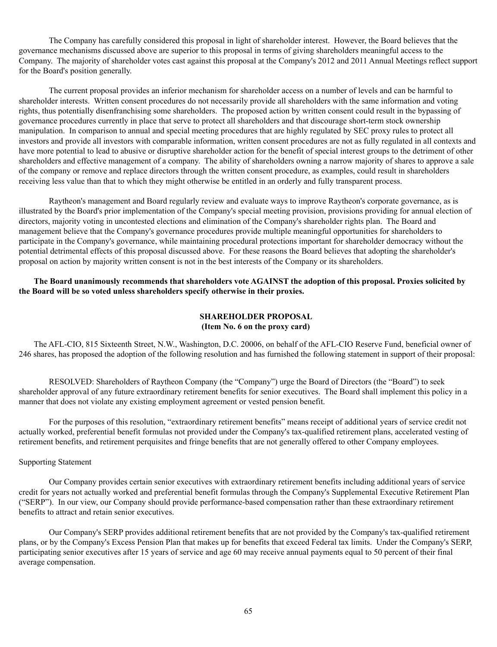The Company has carefully considered this proposal in light of shareholder interest. However, the Board believes that the governance mechanisms discussed above are superior to this proposal in terms of giving shareholders meaningful access to the Company. The majority of shareholder votes cast against this proposal at the Company's 2012 and 2011 Annual Meetings reflect support for the Board's position generally.

The current proposal provides an inferior mechanism for shareholder access on a number of levels and can be harmful to shareholder interests. Written consent procedures do not necessarily provide all shareholders with the same information and voting rights, thus potentially disenfranchising some shareholders. The proposed action by written consent could result in the bypassing of governance procedures currently in place that serve to protect all shareholders and that discourage short-term stock ownership manipulation. In comparison to annual and special meeting procedures that are highly regulated by SEC proxy rules to protect all investors and provide all investors with comparable information, written consent procedures are not as fully regulated in all contexts and have more potential to lead to abusive or disruptive shareholder action for the benefit of special interest groups to the detriment of other shareholders and effective management of a company. The ability of shareholders owning a narrow majority of shares to approve a sale of the company or remove and replace directors through the written consent procedure, as examples, could result in shareholders receiving less value than that to which they might otherwise be entitled in an orderly and fully transparent process.

Raytheon's management and Board regularly review and evaluate ways to improve Raytheon's corporate governance, as is illustrated by the Board's prior implementation of the Company's special meeting provision, provisions providing for annual election of directors, majority voting in uncontested elections and elimination of the Company's shareholder rights plan. The Board and management believe that the Company's governance procedures provide multiple meaningful opportunities for shareholders to participate in the Company's governance, while maintaining procedural protections important for shareholder democracy without the potential detrimental effects of this proposal discussed above. For these reasons the Board believes that adopting the shareholder's proposal on action by majority written consent is not in the best interests of the Company or its shareholders.

**The Board unanimously recommends that shareholders vote AGAINST the adoption of this proposal. Proxies solicited by the Board will be so voted unless shareholders specify otherwise in their proxies.**

# **SHAREHOLDER PROPOSAL (Item No. 6 on the proxy card)**

The AFL-CIO, 815 Sixteenth Street, N.W., Washington, D.C. 20006, on behalf of the AFL-CIO Reserve Fund, beneficial owner of 246 shares, has proposed the adoption of the following resolution and has furnished the following statement in support of their proposal:

RESOLVED: Shareholders of Raytheon Company (the "Company") urge the Board of Directors (the "Board") to seek shareholder approval of any future extraordinary retirement benefits for senior executives. The Board shall implement this policy in a manner that does not violate any existing employment agreement or vested pension benefit.

For the purposes of this resolution, "extraordinary retirement benefits" means receipt of additional years of service credit not actually worked, preferential benefit formulas not provided under the Company's tax-qualified retirement plans, accelerated vesting of retirement benefits, and retirement perquisites and fringe benefits that are not generally offered to other Company employees.

#### Supporting Statement

Our Company provides certain senior executives with extraordinary retirement benefits including additional years of service credit for years not actually worked and preferential benefit formulas through the Company's Supplemental Executive Retirement Plan ("SERP"). In our view, our Company should provide performance-based compensation rather than these extraordinary retirement benefits to attract and retain senior executives.

Our Company's SERP provides additional retirement benefits that are not provided by the Company's tax-qualified retirement plans, or by the Company's Excess Pension Plan that makes up for benefits that exceed Federal tax limits. Under the Company's SERP, participating senior executives after 15 years of service and age 60 may receive annual payments equal to 50 percent of their final average compensation.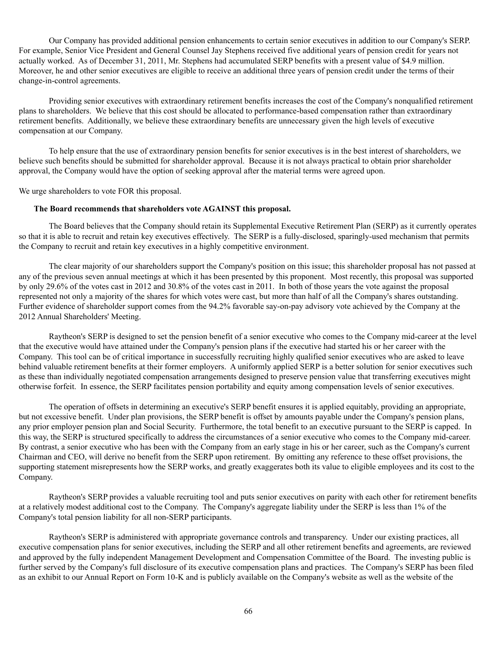Our Company has provided additional pension enhancements to certain senior executives in addition to our Company's SERP. For example, Senior Vice President and General Counsel Jay Stephens received five additional years of pension credit for years not actually worked. As of December 31, 2011, Mr. Stephens had accumulated SERP benefits with a present value of \$4.9 million. Moreover, he and other senior executives are eligible to receive an additional three years of pension credit under the terms of their change-in-control agreements.

Providing senior executives with extraordinary retirement benefits increases the cost of the Company's nonqualified retirement plans to shareholders. We believe that this cost should be allocated to performance-based compensation rather than extraordinary retirement benefits. Additionally, we believe these extraordinary benefits are unnecessary given the high levels of executive compensation at our Company.

To help ensure that the use of extraordinary pension benefits for senior executives is in the best interest of shareholders, we believe such benefits should be submitted for shareholder approval. Because it is not always practical to obtain prior shareholder approval, the Company would have the option of seeking approval after the material terms were agreed upon.

We urge shareholders to vote FOR this proposal.

#### **The Board recommends that shareholders vote AGAINST this proposal.**

The Board believes that the Company should retain its Supplemental Executive Retirement Plan (SERP) as it currently operates so that it is able to recruit and retain key executives effectively. The SERP is a fully-disclosed, sparingly-used mechanism that permits the Company to recruit and retain key executives in a highly competitive environment.

The clear majority of our shareholders support the Company's position on this issue; this shareholder proposal has not passed at any of the previous seven annual meetings at which it has been presented by this proponent. Most recently, this proposal was supported by only 29.6% of the votes cast in 2012 and 30.8% of the votes cast in 2011. In both of those years the vote against the proposal represented not only a majority of the shares for which votes were cast, but more than half of all the Company's shares outstanding. Further evidence of shareholder support comes from the 94.2% favorable say-on-pay advisory vote achieved by the Company at the 2012 Annual Shareholders' Meeting.

Raytheon's SERP is designed to set the pension benefit of a senior executive who comes to the Company mid-career at the level that the executive would have attained under the Company's pension plans if the executive had started his or her career with the Company. This tool can be of critical importance in successfully recruiting highly qualified senior executives who are asked to leave behind valuable retirement benefits at their former employers. A uniformly applied SERP is a better solution for senior executives such as these than individually negotiated compensation arrangements designed to preserve pension value that transferring executives might otherwise forfeit. In essence, the SERP facilitates pension portability and equity among compensation levels of senior executives.

The operation of offsets in determining an executive's SERP benefit ensures it is applied equitably, providing an appropriate, but not excessive benefit. Under plan provisions, the SERP benefit is offset by amounts payable under the Company's pension plans, any prior employer pension plan and Social Security. Furthermore, the total benefit to an executive pursuant to the SERP is capped. In this way, the SERP is structured specifically to address the circumstances of a senior executive who comes to the Company mid-career. By contrast, a senior executive who has been with the Company from an early stage in his or her career, such as the Company's current Chairman and CEO, will derive no benefit from the SERP upon retirement. By omitting any reference to these offset provisions, the supporting statement misrepresents how the SERP works, and greatly exaggerates both its value to eligible employees and its cost to the Company.

Raytheon's SERP provides a valuable recruiting tool and puts senior executives on parity with each other for retirement benefits at a relatively modest additional cost to the Company. The Company's aggregate liability under the SERP is less than 1% of the Company's total pension liability for all non-SERP participants.

Raytheon's SERP is administered with appropriate governance controls and transparency. Under our existing practices, all executive compensation plans for senior executives, including the SERP and all other retirement benefits and agreements, are reviewed and approved by the fully independent Management Development and Compensation Committee of the Board. The investing public is further served by the Company's full disclosure of its executive compensation plans and practices. The Company's SERP has been filed as an exhibit to our Annual Report on Form 10-K and is publicly available on the Company's website as well as the website of the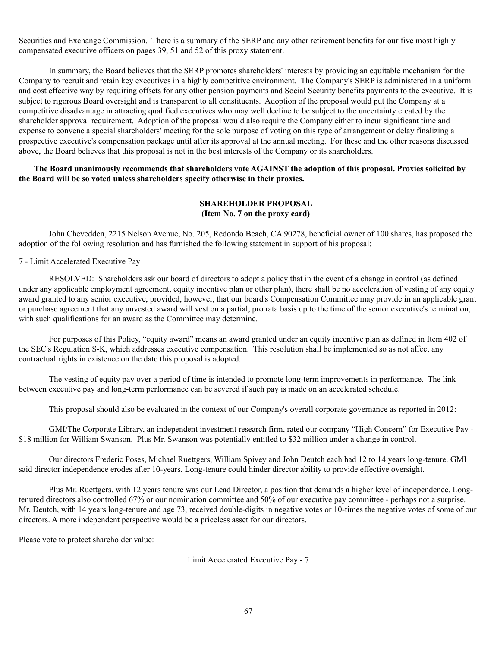Securities and Exchange Commission. There is a summary of the SERP and any other retirement benefits for our five most highly compensated executive officers on pages 39, 51 and 52 of this proxy statement.

In summary, the Board believes that the SERP promotes shareholders' interests by providing an equitable mechanism for the Company to recruit and retain key executives in a highly competitive environment. The Company's SERP is administered in a uniform and cost effective way by requiring offsets for any other pension payments and Social Security benefits payments to the executive. It is subject to rigorous Board oversight and is transparent to all constituents. Adoption of the proposal would put the Company at a competitive disadvantage in attracting qualified executives who may well decline to be subject to the uncertainty created by the shareholder approval requirement. Adoption of the proposal would also require the Company either to incur significant time and expense to convene a special shareholders' meeting for the sole purpose of voting on this type of arrangement or delay finalizing a prospective executive's compensation package until after its approval at the annual meeting. For these and the other reasons discussed above, the Board believes that this proposal is not in the best interests of the Company or its shareholders.

**The Board unanimously recommends that shareholders vote AGAINST the adoption of this proposal. Proxies solicited by the Board will be so voted unless shareholders specify otherwise in their proxies.**

# **SHAREHOLDER PROPOSAL (Item No. 7 on the proxy card)**

John Chevedden, 2215 Nelson Avenue, No. 205, Redondo Beach, CA 90278, beneficial owner of 100 shares, has proposed the adoption of the following resolution and has furnished the following statement in support of his proposal:

7 - Limit Accelerated Executive Pay

RESOLVED: Shareholders ask our board of directors to adopt a policy that in the event of a change in control (as defined under any applicable employment agreement, equity incentive plan or other plan), there shall be no acceleration of vesting of any equity award granted to any senior executive, provided, however, that our board's Compensation Committee may provide in an applicable grant or purchase agreement that any unvested award will vest on a partial, pro rata basis up to the time of the senior executive's termination, with such qualifications for an award as the Committee may determine.

For purposes of this Policy, "equity award" means an award granted under an equity incentive plan as defined in Item 402 of the SEC's Regulation S-K, which addresses executive compensation. This resolution shall be implemented so as not affect any contractual rights in existence on the date this proposal is adopted.

The vesting of equity pay over a period of time is intended to promote long-term improvements in performance. The link between executive pay and long-term performance can be severed if such pay is made on an accelerated schedule.

This proposal should also be evaluated in the context of our Company's overall corporate governance as reported in 2012:

GMI/The Corporate Library, an independent investment research firm, rated our company "High Concern" for Executive Pay - \$18 million for William Swanson. Plus Mr. Swanson was potentially entitled to \$32 million under a change in control.

Our directors Frederic Poses, Michael Ruettgers, William Spivey and John Deutch each had 12 to 14 years long-tenure. GMI said director independence erodes after 10-years. Long-tenure could hinder director ability to provide effective oversight.

Plus Mr. Ruettgers, with 12 years tenure was our Lead Director, a position that demands a higher level of independence. Longtenured directors also controlled 67% or our nomination committee and 50% of our executive pay committee - perhaps not a surprise. Mr. Deutch, with 14 years long-tenure and age 73, received double-digits in negative votes or 10-times the negative votes of some of our directors. A more independent perspective would be a priceless asset for our directors.

Please vote to protect shareholder value:

Limit Accelerated Executive Pay - 7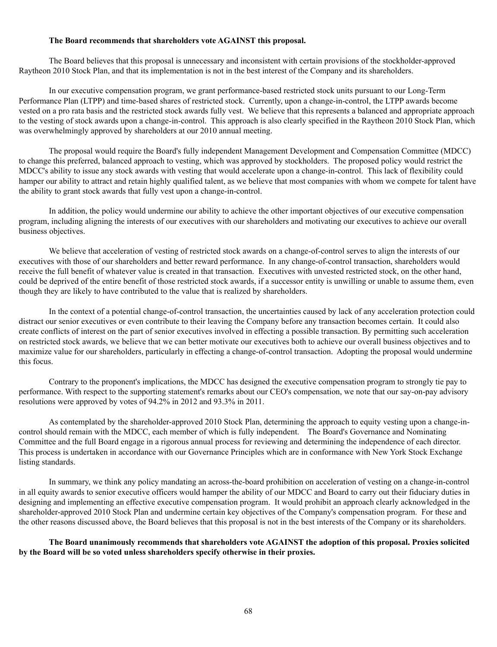#### **The Board recommends that shareholders vote AGAINST this proposal.**

The Board believes that this proposal is unnecessary and inconsistent with certain provisions of the stockholder-approved Raytheon 2010 Stock Plan, and that its implementation is not in the best interest of the Company and its shareholders.

In our executive compensation program, we grant performance-based restricted stock units pursuant to our Long-Term Performance Plan (LTPP) and time-based shares of restricted stock. Currently, upon a change-in-control, the LTPP awards become vested on a pro rata basis and the restricted stock awards fully vest. We believe that this represents a balanced and appropriate approach to the vesting of stock awards upon a change-in-control. This approach is also clearly specified in the Raytheon 2010 Stock Plan, which was overwhelmingly approved by shareholders at our 2010 annual meeting.

The proposal would require the Board's fully independent Management Development and Compensation Committee (MDCC) to change this preferred, balanced approach to vesting, which was approved by stockholders. The proposed policy would restrict the MDCC's ability to issue any stock awards with vesting that would accelerate upon a change-in-control. This lack of flexibility could hamper our ability to attract and retain highly qualified talent, as we believe that most companies with whom we compete for talent have the ability to grant stock awards that fully vest upon a change-in-control.

In addition, the policy would undermine our ability to achieve the other important objectives of our executive compensation program, including aligning the interests of our executives with our shareholders and motivating our executives to achieve our overall business objectives.

We believe that acceleration of vesting of restricted stock awards on a change-of-control serves to align the interests of our executives with those of our shareholders and better reward performance. In any change-of-control transaction, shareholders would receive the full benefit of whatever value is created in that transaction. Executives with unvested restricted stock, on the other hand, could be deprived of the entire benefit of those restricted stock awards, if a successor entity is unwilling or unable to assume them, even though they are likely to have contributed to the value that is realized by shareholders.

In the context of a potential change-of-control transaction, the uncertainties caused by lack of any acceleration protection could distract our senior executives or even contribute to their leaving the Company before any transaction becomes certain. It could also create conflicts of interest on the part of senior executives involved in effecting a possible transaction. By permitting such acceleration on restricted stock awards, we believe that we can better motivate our executives both to achieve our overall business objectives and to maximize value for our shareholders, particularly in effecting a change-of-control transaction. Adopting the proposal would undermine this focus.

Contrary to the proponent's implications, the MDCC has designed the executive compensation program to strongly tie pay to performance. With respect to the supporting statement's remarks about our CEO's compensation, we note that our say-on-pay advisory resolutions were approved by votes of 94.2% in 2012 and 93.3% in 2011.

As contemplated by the shareholder-approved 2010 Stock Plan, determining the approach to equity vesting upon a change-incontrol should remain with the MDCC, each member of which is fully independent. The Board's Governance and Nominating Committee and the full Board engage in a rigorous annual process for reviewing and determining the independence of each director. This process is undertaken in accordance with our Governance Principles which are in conformance with New York Stock Exchange listing standards.

In summary, we think any policy mandating an across-the-board prohibition on acceleration of vesting on a change-in-control in all equity awards to senior executive officers would hamper the ability of our MDCC and Board to carry out their fiduciary duties in designing and implementing an effective executive compensation program. It would prohibit an approach clearly acknowledged in the shareholder-approved 2010 Stock Plan and undermine certain key objectives of the Company's compensation program. For these and the other reasons discussed above, the Board believes that this proposal is not in the best interests of the Company or its shareholders.

**The Board unanimously recommends that shareholders vote AGAINST the adoption of this proposal. Proxies solicited by the Board will be so voted unless shareholders specify otherwise in their proxies.**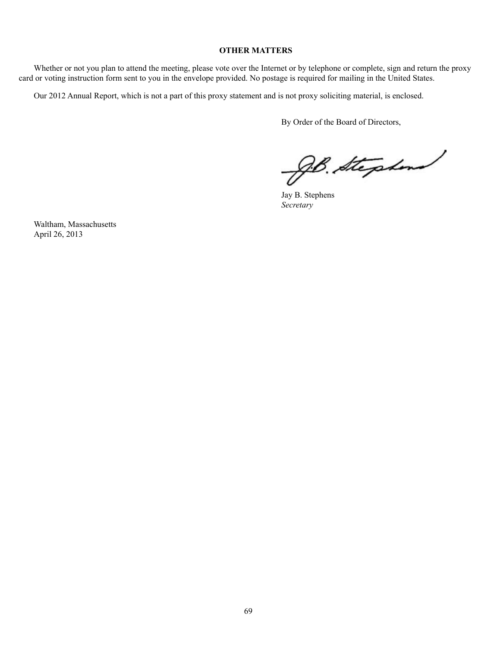## **OTHER MATTERS**

Whether or not you plan to attend the meeting, please vote over the Internet or by telephone or complete, sign and return the proxy card or voting instruction form sent to you in the envelope provided. No postage is required for mailing in the United States.

Our 2012 Annual Report, which is not a part of this proxy statement and is not proxy soliciting material, is enclosed.

By Order of the Board of Directors,

JB. Stephen

Jay B. Stephens *Secretary*

Waltham, Massachusetts April 26, 2013